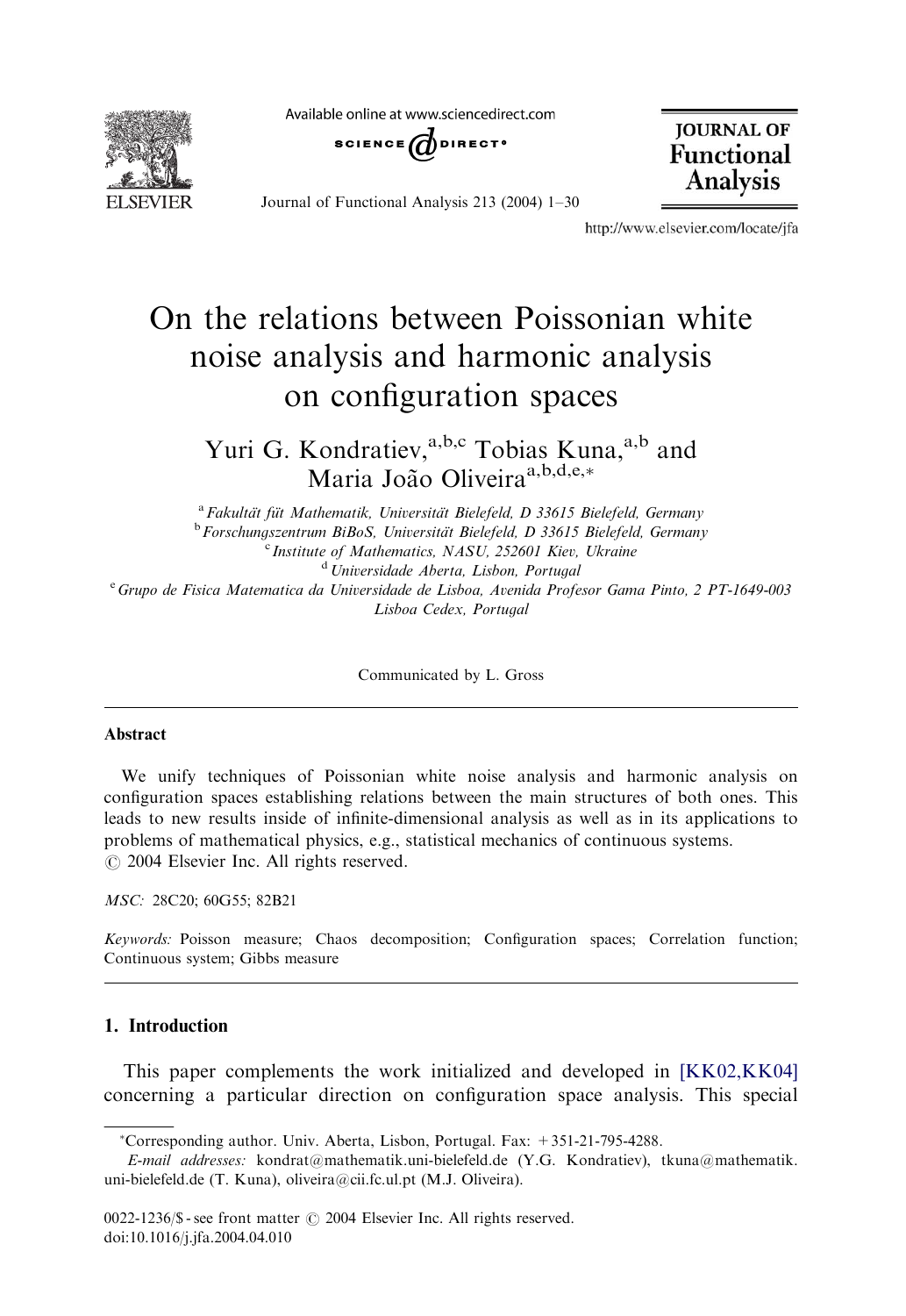**FI SEVIER** 

Available online at www.sciencedirect.com



Journal of Functional Analysis 213 (2004) 1–30

**JOURNAL OF Functional Analysis** 

http://www.elsevier.com/locate/jfa

# On the relations between Poissonian white noise analysis and harmonic analysis on configuration spaces

Yuri G. Kondratiev,<sup>a,b,c</sup> Tobias Kuna,<sup>a,b</sup> and Maria João Oliveira<sup>a,b,d,e,\*</sup>

<sup>a</sup> Fakultät füt Mathematik, Universität Bielefeld, D 33615 Bielefeld, Germany<br><sup>b</sup> Forschungszentrum BiBoS, Universität Bielefeld, D 33615 Bielefeld, Germany  $\degree$  Institute of Mathematics, NASU, 252601 Kiev, Ukraine <sup>d</sup> Universidade Aberta, Lisbon, Portugal <sup>e</sup> Grupo de Fisica Matematica da Universidade de Lisboa, Avenida Profesor Gama Pinto, 2 PT-1649-003 Lisboa Cedex, Portugal

Communicated by L. Gross

#### Abstract

We unify techniques of Poissonian white noise analysis and harmonic analysis on configuration spaces establishing relations between the main structures of both ones. This leads to new results inside of infinite-dimensional analysis as well as in its applications to problems of mathematical physics, e.g., statistical mechanics of continuous systems.  $O$  2004 Elsevier Inc. All rights reserved.

MSC: 28C20; 60G55; 82B21

Keywords: Poisson measure; Chaos decomposition; Configuration spaces; Correlation function; Continuous system; Gibbs measure

# 1. Introduction

This paper complements the work initialized and developed in [\[KK02,KK04\]](#page-28-0) concerning a particular direction on configuration space analysis. This special

Corresponding author. Univ. Aberta, Lisbon, Portugal. Fax: +351-21-795-4288.

E-mail addresses: kondrat@mathematik.uni-bielefeld.de (Y.G. Kondratiev), tkuna@mathematik. uni-bielefeld.de (T. Kuna), oliveira@cii.fc.ul.pt (M.J. Oliveira).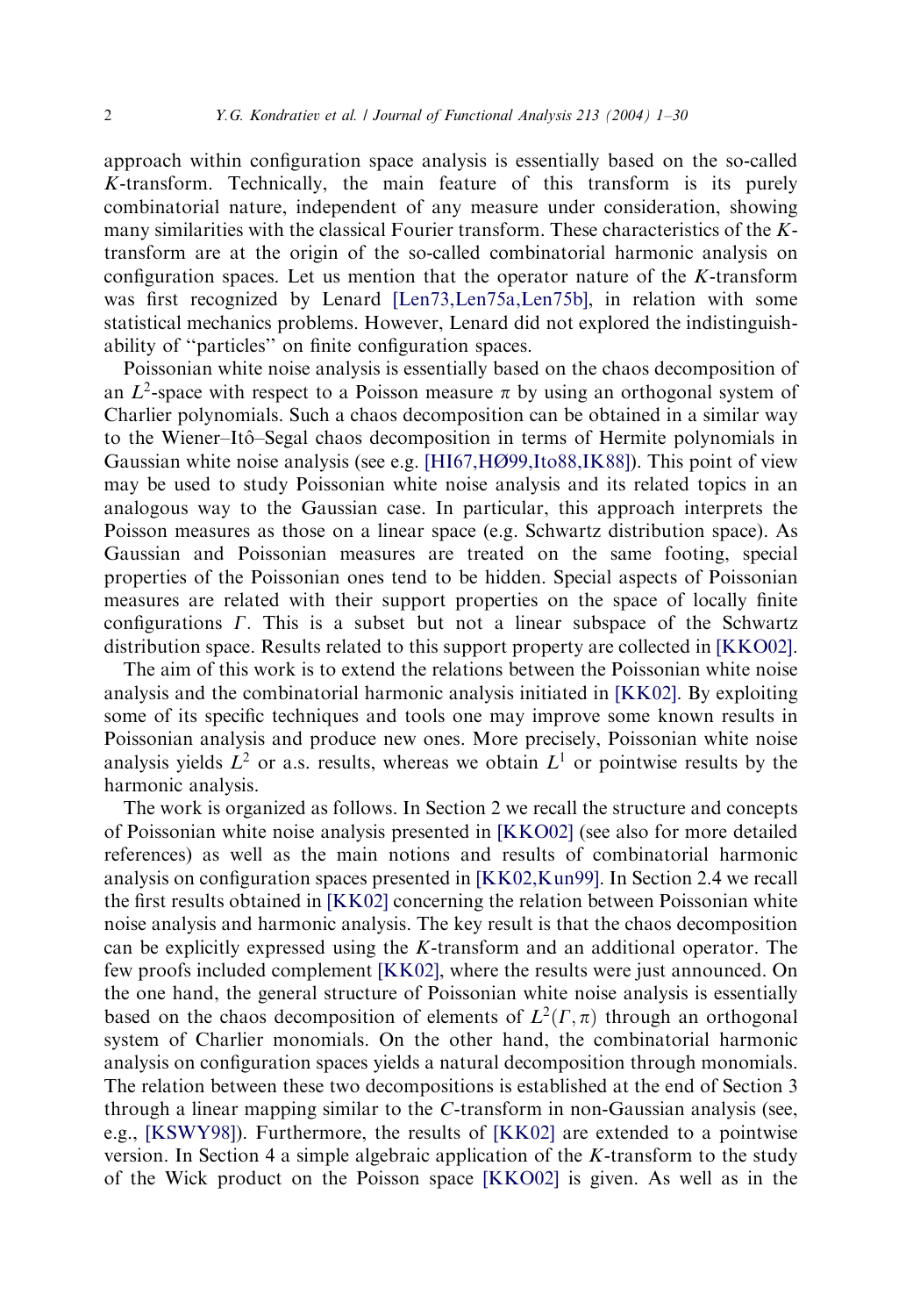approach within configuration space analysis is essentially based on the so-called K-transform. Technically, the main feature of this transform is its purely combinatorial nature, independent of any measure under consideration, showing many similarities with the classical Fourier transform. These characteristics of the Ktransform are at the origin of the so-called combinatorial harmonic analysis on configuration spaces. Let us mention that the operator nature of the  $K$ -transform was first recognized by Lenard [Len73, Len75a, Len75b], in relation with some statistical mechanics problems. However, Lenard did not explored the indistinguishability of ''particles'' on finite configuration spaces.

Poissonian white noise analysis is essentially based on the chaos decomposition of an  $L^2$ -space with respect to a Poisson measure  $\pi$  by using an orthogonal system of Charlier polynomials. Such a chaos decomposition can be obtained in a similar way to the Wiener–Itoˆ–Segal chaos decomposition in terms of Hermite polynomials in Gaussian white noise analysis (see e.g. [\[HI67,HØ99,Ito88,IK88\]\)](#page-28-0). This point of view may be used to study Poissonian white noise analysis and its related topics in an analogous way to the Gaussian case. In particular, this approach interprets the Poisson measures as those on a linear space (e.g. Schwartz distribution space). As Gaussian and Poissonian measures are treated on the same footing, special properties of the Poissonian ones tend to be hidden. Special aspects of Poissonian measures are related with their support properties on the space of locally finite configurations  $\Gamma$ . This is a subset but not a linear subspace of the Schwartz distribution space. Results related to this support property are collected in [\[KKO02\].](#page-28-0)

The aim of this work is to extend the relations between the Poissonian white noise analysis and the combinatorial harmonic analysis initiated in [\[KK02\].](#page-28-0) By exploiting some of its specific techniques and tools one may improve some known results in Poissonian analysis and produce new ones. More precisely, Poissonian white noise analysis yields  $L^2$  or a.s. results, whereas we obtain  $L^1$  or pointwise results by the harmonic analysis.

The work is organized as follows. In Section 2 we recall the structure and concepts of Poissonian white noise analysis presented in [\[KKO02\]](#page-28-0) (see also for more detailed references) as well as the main notions and results of combinatorial harmonic analysis on configuration spaces presented in [\[KK02,Kun99\].](#page-28-0) In Section 2.4 we recall the first results obtained in [\[KK02\]](#page-28-0) concerning the relation between Poissonian white noise analysis and harmonic analysis. The key result is that the chaos decomposition can be explicitly expressed using the K-transform and an additional operator. The few proofs included complement [\[KK02\]](#page-28-0), where the results were just announced. On the one hand, the general structure of Poissonian white noise analysis is essentially based on the chaos decomposition of elements of  $L^2(\Gamma,\pi)$  through an orthogonal system of Charlier monomials. On the other hand, the combinatorial harmonic analysis on configuration spaces yields a natural decomposition through monomials. The relation between these two decompositions is established at the end of Section 3 through a linear mapping similar to the C-transform in non-Gaussian analysis (see, e.g., [\[KSWY98\]\)](#page-28-0). Furthermore, the results of [\[KK02\]](#page-28-0) are extended to a pointwise version. In Section 4 a simple algebraic application of the K-transform to the study of the Wick product on the Poisson space [\[KKO02\]](#page-28-0) is given. As well as in the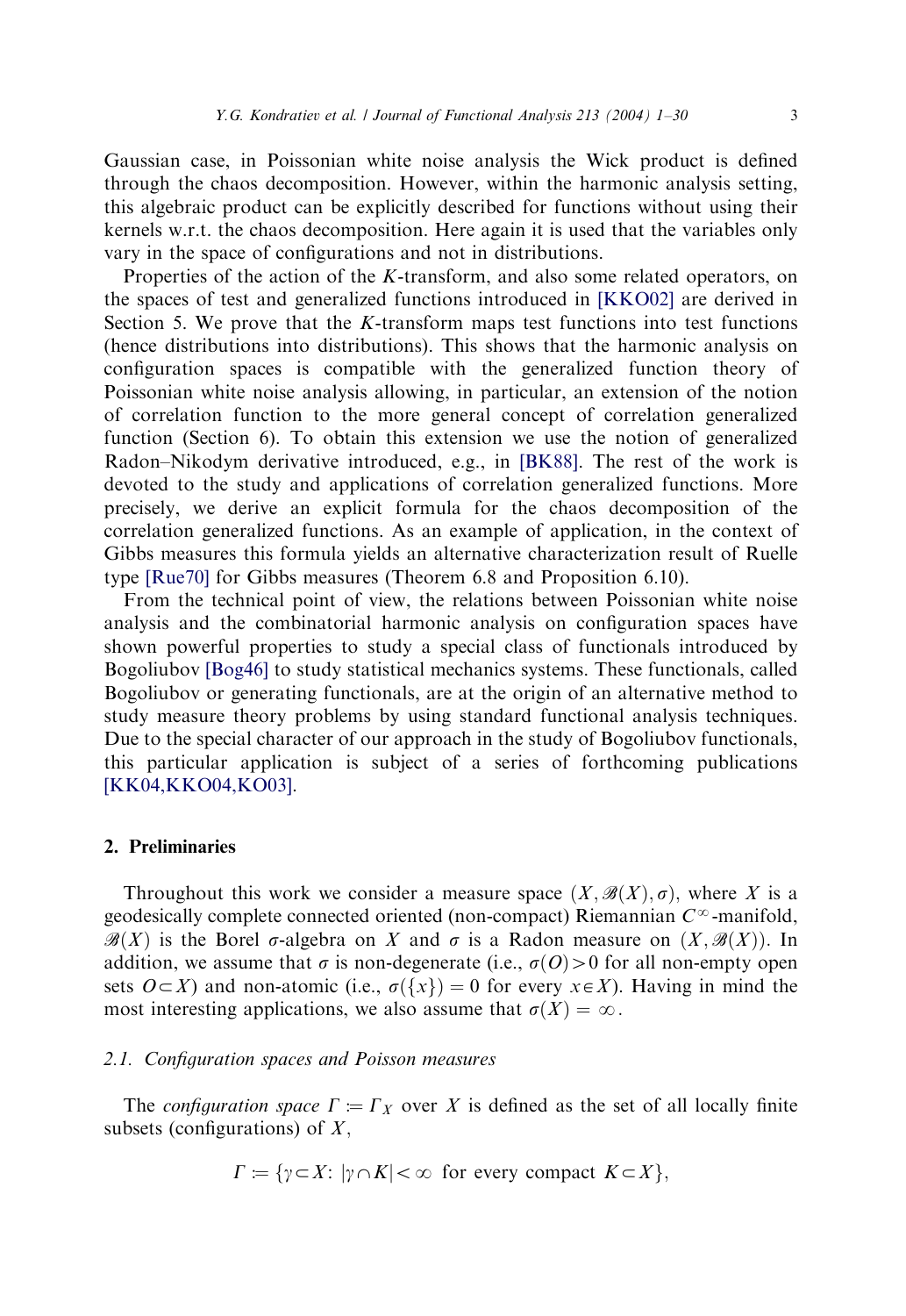Gaussian case, in Poissonian white noise analysis the Wick product is defined through the chaos decomposition. However, within the harmonic analysis setting, this algebraic product can be explicitly described for functions without using their kernels w.r.t. the chaos decomposition. Here again it is used that the variables only vary in the space of configurations and not in distributions.

Properties of the action of the K-transform, and also some related operators, on the spaces of test and generalized functions introduced in [\[KKO02\]](#page-28-0) are derived in Section 5. We prove that the K-transform maps test functions into test functions (hence distributions into distributions). This shows that the harmonic analysis on configuration spaces is compatible with the generalized function theory of Poissonian white noise analysis allowing, in particular, an extension of the notion of correlation function to the more general concept of correlation generalized function (Section 6). To obtain this extension we use the notion of generalized Radon–Nikodym derivative introduced, e.g., in [\[BK88\].](#page-28-0) The rest of the work is devoted to the study and applications of correlation generalized functions. More precisely, we derive an explicit formula for the chaos decomposition of the correlation generalized functions. As an example of application, in the context of Gibbs measures this formula yields an alternative characterization result of Ruelle type [\[Rue70\]](#page-29-0) for Gibbs measures (Theorem 6.8 and Proposition 6.10).

From the technical point of view, the relations between Poissonian white noise analysis and the combinatorial harmonic analysis on configuration spaces have shown powerful properties to study a special class of functionals introduced by Bogoliubov [\[Bog46\]](#page-28-0) to study statistical mechanics systems. These functionals, called Bogoliubov or generating functionals, are at the origin of an alternative method to study measure theory problems by using standard functional analysis techniques. Due to the special character of our approach in the study of Bogoliubov functionals, this particular application is subject of a series of forthcoming publications [\[KK04,KKO04,KO03\]](#page-28-0).

## 2. Preliminaries

Throughout this work we consider a measure space  $(X, \mathcal{B}(X), \sigma)$ , where X is a geodesically complete connected oriented (non-compact) Riemannian  $C^{\infty}$ -manifold,  $\mathcal{B}(X)$  is the Borel  $\sigma$ -algebra on X and  $\sigma$  is a Radon measure on  $(X, \mathcal{B}(X))$ . In addition, we assume that  $\sigma$  is non-degenerate (i.e.,  $\sigma(O) > 0$  for all non-empty open sets  $O\subset X$ ) and non-atomic (i.e.,  $\sigma({x})=0$  for every  $x\in X$ ). Having in mind the most interesting applications, we also assume that  $\sigma(X) = \infty$ .

#### 2.1. Configuration spaces and Poisson measures

The configuration space  $\Gamma := \Gamma_X$  over X is defined as the set of all locally finite subsets (configurations) of  $X$ ,

$$
\Gamma := \{ \gamma \subset X : |\gamma \cap K| < \infty \text{ for every compact } K \subset X \},
$$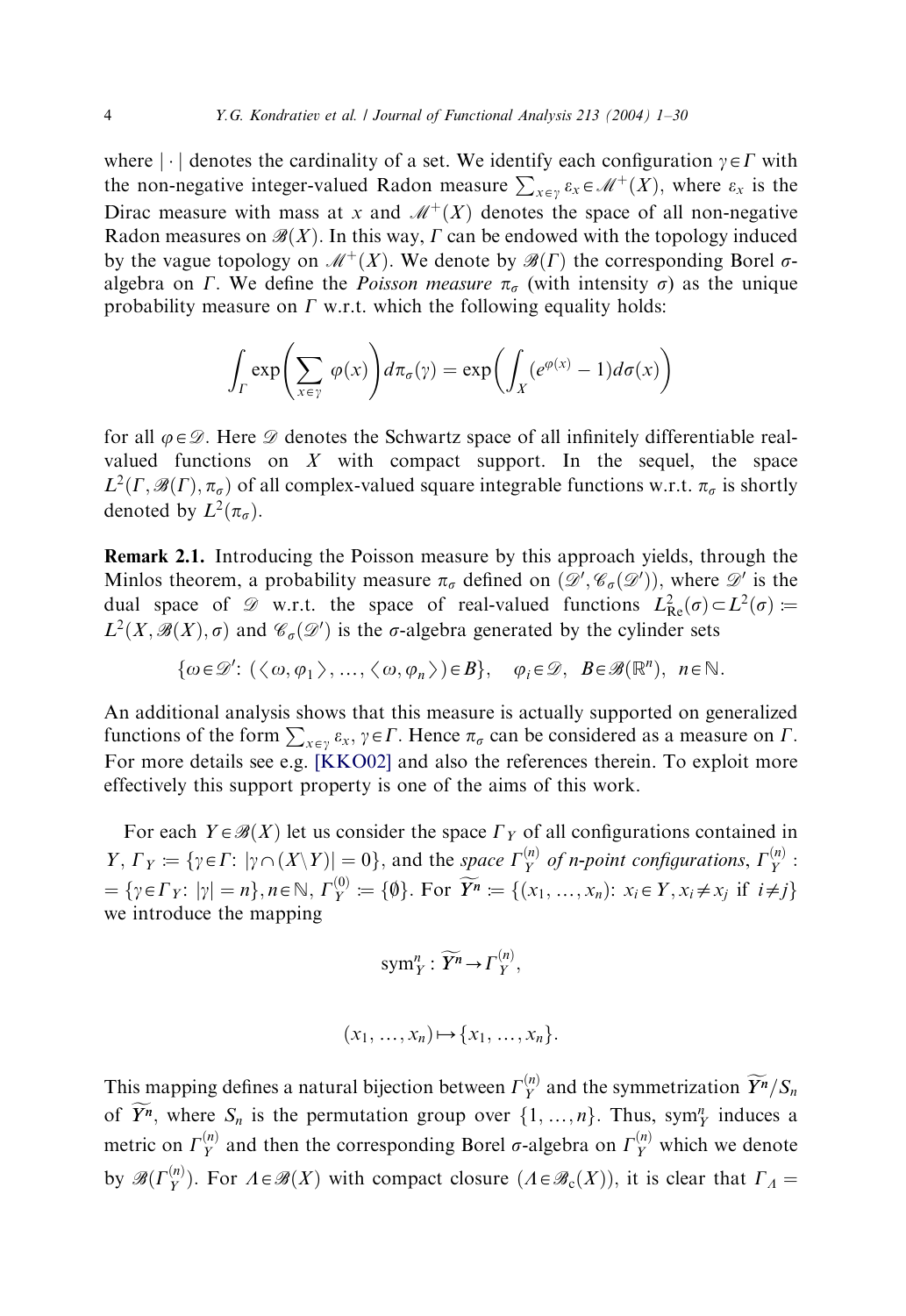where  $|\cdot|$  denotes the cardinality of a set. We identify each configuration  $\gamma \in \Gamma$  with the non-negative integer-valued Radon measure  $\sum_{x \in y} \varepsilon_x \in \mathcal{M}^+(X)$ , where  $\varepsilon_x$  is the Dirac measure with mass at x and  $\mathcal{M}^+(X)$  denotes the space of all non-negative Radon measures on  $\mathcal{B}(X)$ . In this way,  $\Gamma$  can be endowed with the topology induced by the vague topology on  $\mathcal{M}^+(X)$ . We denote by  $\mathcal{B}(\Gamma)$  the corresponding Borel  $\sigma$ algebra on  $\Gamma$ . We define the *Poisson measure*  $\pi_{\sigma}$  (with intensity  $\sigma$ ) as the unique probability measure on  $\Gamma$  w.r.t. which the following equality holds:

$$
\int_{\Gamma} \exp\left(\sum_{x \in \gamma} \varphi(x)\right) d\pi_{\sigma}(\gamma) = \exp\left(\int_{X} (e^{\varphi(x)} - 1) d\sigma(x)\right)
$$

for all  $\varphi \in \mathcal{D}$ . Here  $\mathcal D$  denotes the Schwartz space of all infinitely differentiable realvalued functions on  $X$  with compact support. In the sequel, the space  $L^2(\Gamma, \mathscr{B}(\Gamma), \pi_{\sigma})$  of all complex-valued square integrable functions w.r.t.  $\pi_{\sigma}$  is shortly denoted by  $L^2(\pi_{\sigma})$ .

Remark 2.1. Introducing the Poisson measure by this approach yields, through the Minlos theorem, a probability measure  $\pi_{\sigma}$  defined on  $(\mathscr{D}', \mathscr{C}_{\sigma}(\mathscr{D}'))$ , where  $\mathscr{D}'$  is the dual space of  $\mathscr{D}$  w.r.t. the space of real-valued functions  $L_{\text{Re}}^2(\sigma) \subset L^2(\sigma) :=$  $L^2(X, \mathcal{B}(X), \sigma)$  and  $\mathcal{C}_{\sigma}(\mathcal{D}')$  is the  $\sigma$ -algebra generated by the cylinder sets

$$
\{\omega \in \mathscr{D}' : (\langle \omega, \varphi_1 \rangle, \ldots, \langle \omega, \varphi_n \rangle) \in B\}, \varphi_i \in \mathscr{D}, \ B \in \mathscr{B}(\mathbb{R}^n), \ n \in \mathbb{N}.
$$

An additional analysis shows that this measure is actually supported on generalized functions of the form  $\sum_{x \in \gamma} \varepsilon_x$ ,  $\gamma \in \Gamma$ . Hence  $\pi_{\sigma}$  can be considered as a measure on  $\Gamma$ . For more details see e.g. [\[KKO02\]](#page-28-0) and also the references therein. To exploit more effectively this support property is one of the aims of this work.

For each  $Y \in \mathcal{B}(X)$  let us consider the space  $\Gamma_Y$  of all configurations contained in  $Y, \Gamma_Y := \{ \gamma \in \Gamma : |\gamma \cap (X \setminus Y)| = 0 \},$  and the space  $\Gamma_Y^{(n)}$  of n-point configurations,  $\Gamma_Y^{(n)}$ :  $=\{\gamma \in \Gamma_Y : |\gamma| = n\}, n \in \mathbb{N}, \Gamma_Y^{(0)} := \{\emptyset\}.$  For  $\widetilde{Y}^n := \{(x_1, \ldots, x_n): x_i \in Y, x_i \neq x_j \text{ if } i \neq j\}$ we introduce the mapping

$$
\mathrm{sym}^n_Y:\widetilde{Y}^n\to\Gamma_Y^{(n)},
$$

$$
(x_1, \ldots, x_n) \mapsto \{x_1, \ldots, x_n\}.
$$

This mapping defines a natural bijection between  $\Gamma_Y^{(n)}$  and the symmetrization  $\widetilde{Y}^n/S_n$ of  $Y^n$ , where  $S_n$  is the permutation group over  $\{1, ..., n\}$ . Thus, sym<sup>n</sup><sub>y</sub> induces a metric on  $\Gamma_Y^{(n)}$  and then the corresponding Borel  $\sigma$ -algebra on  $\Gamma_Y^{(n)}$  which we denote by  $\mathscr{B}(\Gamma_Y^{(n)})$ . For  $\Lambda \in \mathscr{B}(X)$  with compact closure  $(\Lambda \in \mathscr{B}_c(X))$ , it is clear that  $\Gamma_\Lambda =$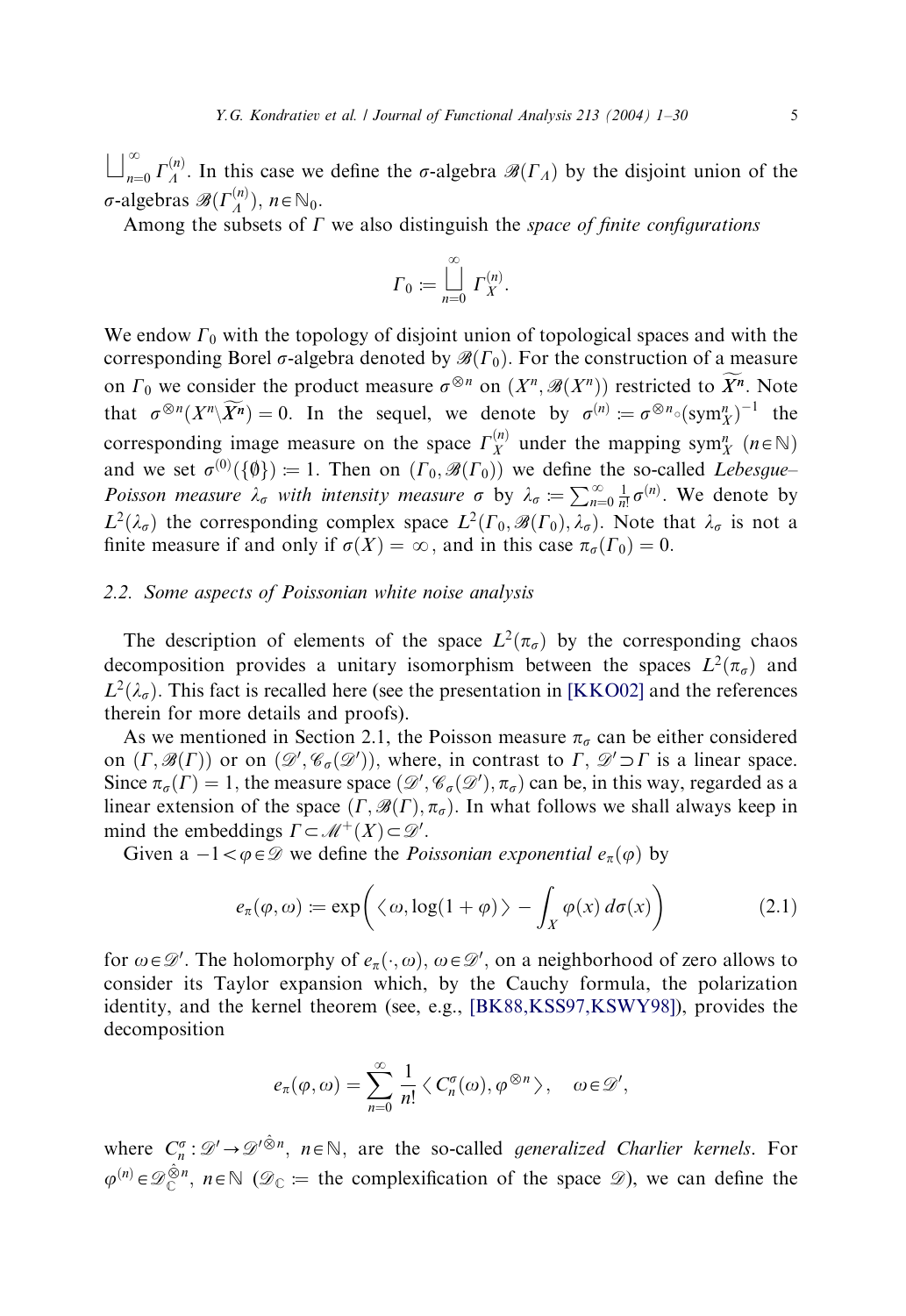$\bigsqcup_{n=0}^{\infty} \Gamma_A^{(n)}$ . In this case we define the  $\sigma$ -algebra  $\mathscr{B}(\Gamma_A)$  by the disjoint union of the  $\sigma$ -algebras  $\mathscr{B}(\Gamma_A^{(n)}), n \in \mathbb{N}_0$ .

Among the subsets of  $\Gamma$  we also distinguish the space of finite configurations

$$
\Gamma_0 := \bigsqcup_{n=0}^{\infty} \Gamma_X^{(n)}.
$$

We endow  $\Gamma_0$  with the topology of disjoint union of topological spaces and with the corresponding Borel  $\sigma$ -algebra denoted by  $\mathscr{B}(\Gamma_0)$ . For the construction of a measure on  $\Gamma_0$  we consider the product measure  $\sigma^{\otimes n}$  on  $(X^n, \mathscr{B}(X^n))$  restricted to  $\widetilde{X}^n$ . Note that  $\sigma^{\otimes n}(X^n \setminus \widetilde{X^n}) = 0$ . In the sequel, we denote by  $\sigma^{(n)} := \sigma^{\otimes n} \circ (\text{sym}^n_X)^{-1}$  the corresponding image measure on the space  $\Gamma_X^{(n)}$  under the mapping sym $\eta_X^n$  ( $n \in \mathbb{N}$ ) and we set  $\sigma^{(0)}(\{\emptyset\}) = 1$ . Then on  $(\Gamma_0, \mathscr{B}(\Gamma_0))$  we define the so-called *Lebesgue*– Poisson measure  $\lambda_{\sigma}$  with intensity measure  $\sigma$  by  $\lambda_{\sigma} = \sum_{n=0}^{\infty} \frac{1}{n!} \sigma^{(n)}$ . We denote by  $L^2(\lambda_{\sigma})$  the corresponding complex space  $L^2(\Gamma_0, \mathscr{B}(\Gamma_0), \lambda_{\sigma})$ . Note that  $\lambda_{\sigma}$  is not a finite measure if and only if  $\sigma(X) = \infty$ , and in this case  $\pi_{\sigma}(\Gamma_0) = 0$ .

#### 2.2. Some aspects of Poissonian white noise analysis

The description of elements of the space  $L^2(\pi_{\sigma})$  by the corresponding chaos decomposition provides a unitary isomorphism between the spaces  $L^2(\pi_{\sigma})$  and  $L^2(\lambda_{\sigma})$ . This fact is recalled here (see the presentation in [\[KKO02\]](#page-28-0) and the references therein for more details and proofs).

As we mentioned in Section 2.1, the Poisson measure  $\pi_{\sigma}$  can be either considered on  $(\Gamma, \mathscr{B}(\Gamma))$  or on  $(\mathscr{D}', \mathscr{C}_\sigma(\mathscr{D}'))$ , where, in contrast to  $\Gamma$ ,  $\mathscr{D}' \supset \Gamma$  is a linear space. Since  $\pi_{\sigma}(\Gamma) = 1$ , the measure space  $(\mathcal{D}', \mathcal{C}_{\sigma}(\mathcal{D}'), \pi_{\sigma})$  can be, in this way, regarded as a linear extension of the space  $(\Gamma, \mathcal{B}(\Gamma), \pi_{\sigma})$ . In what follows we shall always keep in mind the embeddings  $\Gamma \subset \mathcal{M}^+(X) \subset \mathcal{D}'$ .

Given a  $-1 < \varphi \in \mathcal{D}$  we define the *Poissonian exponential*  $e_{\pi}(\varphi)$  by

$$
e_{\pi}(\varphi,\omega) := \exp\bigg(\langle \omega, \log(1+\varphi) \rangle - \int_X \varphi(x) d\sigma(x)\bigg) \tag{2.1}
$$

for  $\omega \in \mathscr{D}'$ . The holomorphy of  $e_{\pi}(\cdot, \omega)$ ,  $\omega \in \mathscr{D}'$ , on a neighborhood of zero allows to consider its Taylor expansion which, by the Cauchy formula, the polarization identity, and the kernel theorem (see, e.g., [\[BK88,KSS97,KSWY98\]](#page-28-0)), provides the decomposition

$$
e_{\pi}(\varphi,\omega)=\sum_{n=0}^{\infty}\frac{1}{n!}\langle C_n^{\sigma}(\omega),\varphi^{\otimes n}\rangle,\quad \omega\!\in\!\mathscr{D}',
$$

where  $C_n^{\sigma}: \mathscr{D}' \to \mathscr{D}'^{\hat{\otimes}n}$ ,  $n \in \mathbb{N}$ , are the so-called *generalized Charlier kernels*. For  $\varphi^{(n)} \in \mathscr{D}_{\mathbb{C}}^{\hat{\otimes} n}$ ,  $n \in \mathbb{N}$  ( $\mathscr{D}_{\mathbb{C}} :=$  the complexification of the space  $\mathscr{D}$ ), we can define the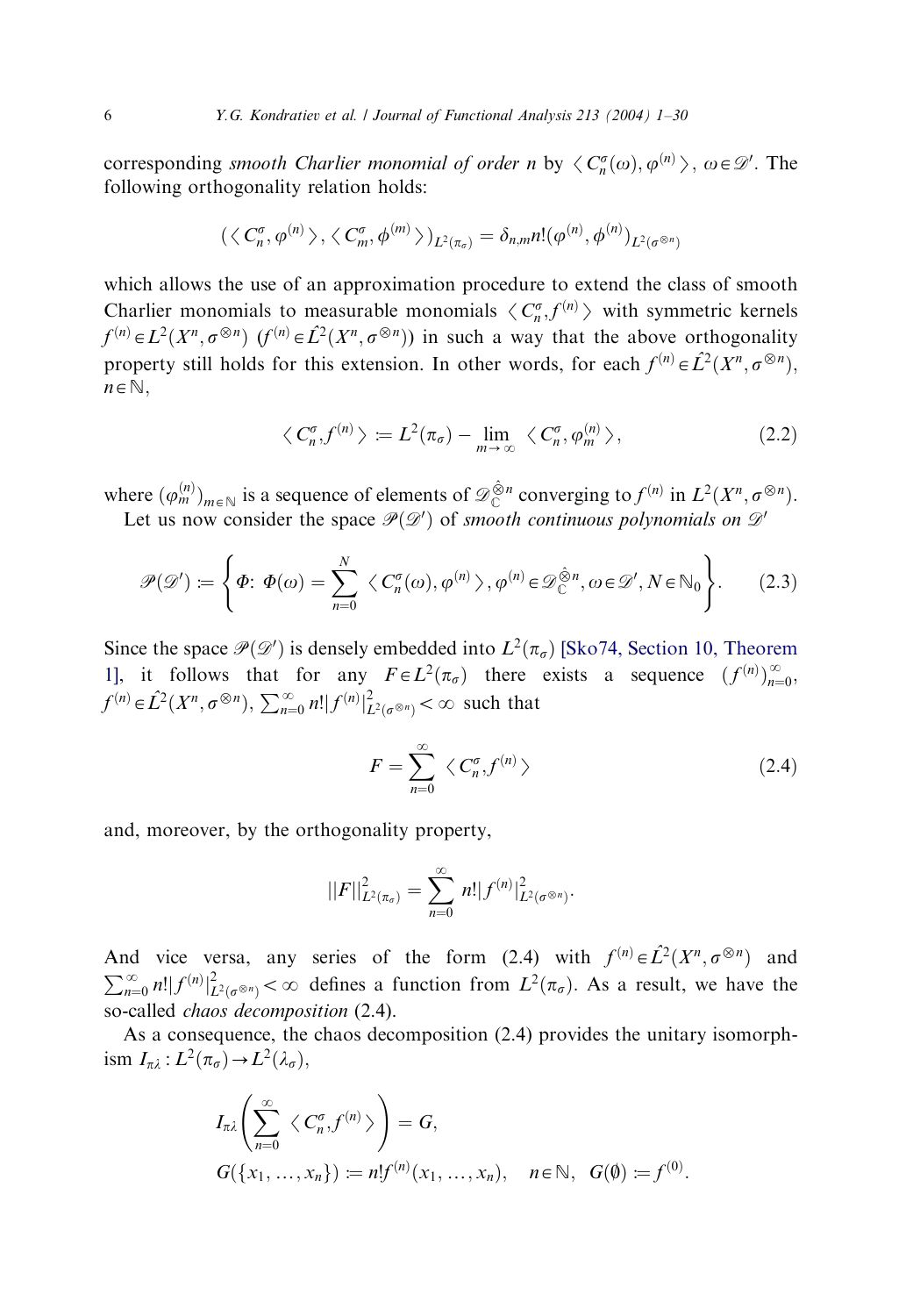corresponding *smooth Charlier monomial of order n* by  $\langle C_n^{\sigma}(\omega), \varphi^{(n)} \rangle$ ,  $\omega \in \mathcal{D}'$ . The following orthogonality relation holds: following orthogonality relation holds:

$$
(\langle C_n^{\sigma}, \varphi^{(n)} \rangle, \langle C_m^{\sigma}, \varphi^{(m)} \rangle)_{L^2(\pi_{\sigma})} = \delta_{n,m} n! (\varphi^{(n)}, \varphi^{(n)})_{L^2(\sigma^{\otimes n})}
$$

which allows the use of an approximation procedure to extend the class of smooth Charlier monomials to measurable monomials  $\langle C_n^{\sigma}, f^{(n)} \rangle$  with symmetric kernels<br> $\mathcal{L}(n)$  =  $\mathcal{L}(X_n = \mathbb{R}^n)$  ( $\mathcal{L}(n)$  =  $\mathcal{L}(X_n = \mathbb{R}^n)$ ) in such a way that the shawe onthese prolity  $f^{(n)} \in L^2(X^n, \sigma^{\otimes n})$   $(f^{(n)} \in \hat{L}^2(X^n, \sigma^{\otimes n})$  in such a way that the above orthogonality property still holds for this extension. In other words, for each  $f^{(n)} \in \hat{L}^2(X^n, \sigma^{\otimes n})$ ,  $n \in \mathbb{N}$ ,

$$
\langle C_n^{\sigma}, f^{(n)} \rangle := L^2(\pi_{\sigma}) - \lim_{m \to \infty} \langle C_n^{\sigma}, \varphi_m^{(n)} \rangle, \tag{2.2}
$$

where  $(\varphi_m^{(n)})_{m \in \mathbb{N}}$  is a sequence of elements of  $\mathscr{D}^{\hat{\otimes} n}_{\mathbb{C}}$  converging to  $f^{(n)}$  in  $L^2(X^n, \sigma^{\otimes n})$ . Let us now consider the space  $\mathcal{P}(\mathcal{D}')$  of smooth continuous polynomials on  $\mathcal{D}'$ 

$$
\mathscr{P}(\mathscr{D}') \coloneqq \left\{ \Phi \colon \Phi(\omega) = \sum_{n=0}^{N} \left\langle C_n^{\sigma}(\omega), \varphi^{(n)} \right\rangle, \varphi^{(n)} \in \mathscr{D}_{\mathbb{C}}^{\hat{\otimes}n}, \omega \in \mathscr{D}', N \in \mathbb{N}_0 \right\}.
$$
 (2.3)

Since the space  $\mathcal{P}(\mathcal{D}')$  is densely embedded into  $L^2(\pi_{\sigma})$  [\[Sko74, Section 10, Theorem](#page-29-0) [1\],](#page-29-0) it follows that for any  $F \in L^2(\pi_\sigma)$  there exists a sequence  $(f^{(n)})_{n=0}^\infty$ ,  $f^{(n)} \in \hat{L}^2(X^n, \sigma^{\otimes n}), \sum_{n=0}^{\infty} n! |f^{(n)}|_{L^2(\sigma^{\otimes n})}^2 < \infty$  such that

$$
F = \sum_{n=0}^{\infty} \langle C_n^{\sigma}, f^{(n)} \rangle \tag{2.4}
$$

:

and, moreover, by the orthogonality property,

$$
||F||_{L^{2}(\pi_{\sigma})}^{2} = \sum_{n=0}^{\infty} n! |f^{(n)}|_{L^{2}(\sigma^{\otimes n})}^{2}.
$$

And vice versa, any series of the form (2.4) with  $f^{(n)} \in \hat{L}^2(X^n, \sigma^{\otimes n})$  and  $\sum_{n=0}^{\infty} n! |f^{(n)}|^{2}_{L^{2}(\sigma^{\otimes n})} < \infty$  defines a function from  $L^{2}(\pi_{\sigma})$ . As a result, we have the so-called *chaos* decomposition (2.4).

As a consequence, the chaos decomposition (2.4) provides the unitary isomorphism  $I_{\pi\lambda}: L^2(\pi_{\sigma}) \to L^2(\lambda_{\sigma}),$ 

$$
I_{\pi\lambda}\left(\sum_{n=0}^{\infty}\langle C_n^{\sigma},f^{(n)}\rangle\right)=G,
$$
  

$$
G(\lbrace x_1,\ldots,x_n\rbrace):=n!f^{(n)}(x_1,\ldots,x_n),\quad n\in\mathbb{N},\ G(\emptyset):=f^{(0)}
$$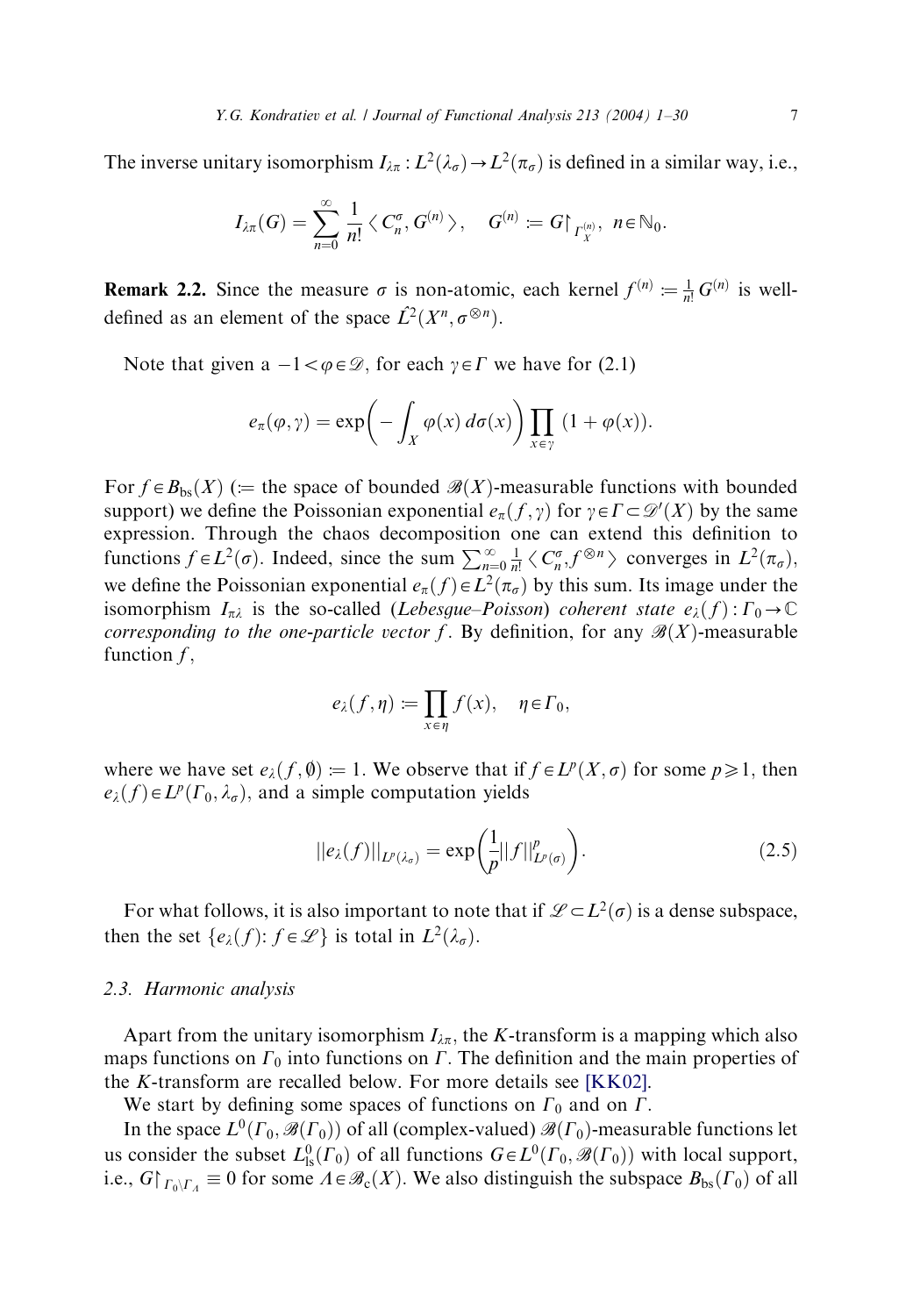The inverse unitary isomorphism  $I_{\lambda\pi}: L^2(\lambda_\sigma) \to L^2(\pi_\sigma)$  is defined in a similar way, i.e.,

$$
I_{\lambda\pi}(G)=\sum_{n=0}^\infty\frac{1}{n!}\big\langle\,C^\sigma_n,\,G^{(n)}\,\big\rangle,\quad G^{(n)}\coloneqq G\big\vert_{\varGamma^{(n)}_X},\,\,n\!\in\!\mathbb{N}_0.
$$

**Remark 2.2.** Since the measure  $\sigma$  is non-atomic, each kernel  $f^{(n)} := \frac{1}{n!} G^{(n)}$  is welldefined as an element of the space  $\hat{L}^2(X^n, \sigma^{\otimes n})$ .

Note that given a  $-1 < \varphi \in \mathcal{D}$ , for each  $\gamma \in \Gamma$  we have for (2.1)

$$
e_{\pi}(\varphi,\gamma) = \exp\biggl(-\int_X \varphi(x) d\sigma(x)\biggr) \prod_{x \in \gamma} (1 + \varphi(x)).
$$

For  $f \in B_{bs}(X)$  ( $:=$  the space of bounded  $\mathscr{B}(X)$ -measurable functions with bounded support) we define the Poissonian exponential  $e_{\pi}(f, \gamma)$  for  $\gamma \in \Gamma \subset \mathcal{D}'(X)$  by the same expression. Through the chaos decomposition one can extend this definition to functions  $f \in L^2(\sigma)$ . Indeed, since the sum  $\sum_{n=0}^{\infty} \frac{1}{n!} \langle C_n^{\sigma}, f^{\otimes n} \rangle$  converges in  $L^2(\pi_{\sigma})$ , we define the Poissonian exponential  $e_{\pi}(f) \in L^{2}(\pi_{\sigma})$  by this sum. Its image under the isomorphism  $I_{\pi\lambda}$  is the so-called (Lebesgue–Poisson) coherent state  $e_{\lambda}(f): \Gamma_0 \to \mathbb{C}$ corresponding to the one-particle vector f. By definition, for any  $\mathcal{B}(X)$ -measurable function  $f$ ,

$$
e_{\lambda}(f,\eta):=\prod_{x\in\eta}f(x),\quad \eta\in\Gamma_0,
$$

where we have set  $e_{\lambda}(f, \emptyset) = 1$ . We observe that if  $f \in L^{p}(X, \sigma)$  for some  $p \ge 1$ , then  $e_{\lambda}(f) \in L^{p}(\Gamma_0, \lambda_{\sigma})$ , and a simple computation yields

$$
||e_{\lambda}(f)||_{L^{p}(\lambda_{\sigma})} = \exp\left(\frac{1}{p}||f||_{L^{p}(\sigma)}^{p}\right).
$$
\n(2.5)

For what follows, it is also important to note that if  $\mathcal{L} \subset L^2(\sigma)$  is a dense subspace, then the set  $\{e_{\lambda}(f): f \in \mathcal{L}\}\)$  is total in  $L^{2}(\lambda_{\sigma})$ .

#### 2.3. Harmonic analysis

Apart from the unitary isomorphism  $I_{\lambda\pi}$ , the K-transform is a mapping which also maps functions on  $\Gamma_0$  into functions on  $\Gamma$ . The definition and the main properties of the K-transform are recalled below. For more details see [\[KK02\]](#page-28-0).

We start by defining some spaces of functions on  $\Gamma_0$  and on  $\Gamma$ .

In the space  $L^0(\Gamma_0, \mathscr{B}(\Gamma_0))$  of all (complex-valued)  $\mathscr{B}(\Gamma_0)$ -measurable functions let us consider the subset  $L^0_s(\Gamma_0)$  of all functions  $G \in L^0(\Gamma_0, \mathscr{B}(\Gamma_0))$  with local support, i.e.,  $G|_{\Gamma_0\setminus\Gamma_\Lambda}\equiv 0$  for some  $\Lambda\in\mathscr{B}_c(X)$ . We also distinguish the subspace  $B_{bs}(\Gamma_0)$  of all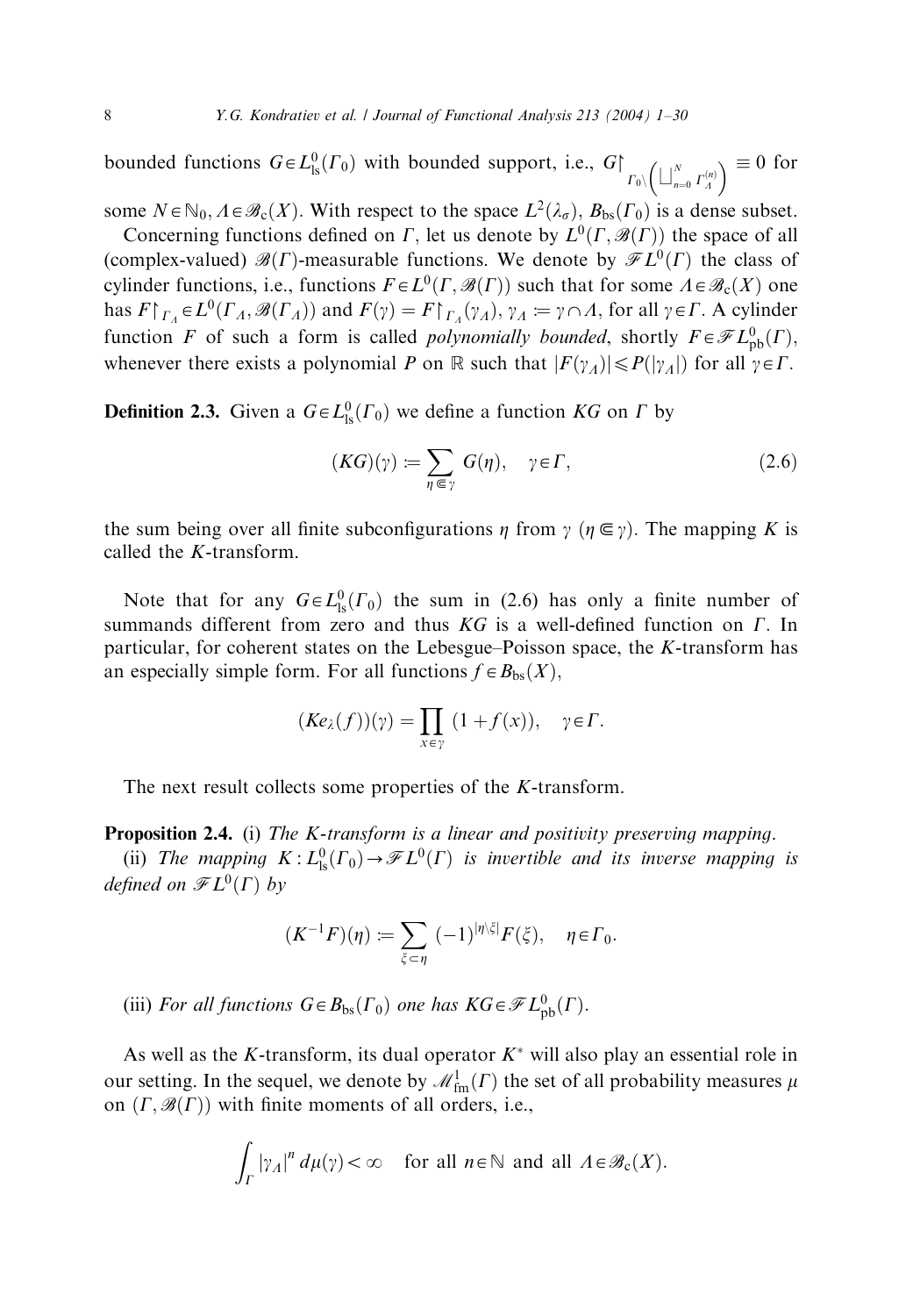bounded functions  $G \in L^0_{\text{ls}}(\Gamma_0)$  with bounded support, i.e.,  $G \upharpoonright_{\Gamma_0 \setminus \left(\bigsqcup_{n=0}^N \Gamma_A^{(n)}\right)}$  $(1)^N$   $(0)$   $\geq 0$  for

some  $N \in \mathbb{N}_0$ ,  $A \in \mathcal{B}_c(X)$ . With respect to the space  $L^2(\lambda_{\sigma})$ ,  $B_{bs}(\Gamma_0)$  is a dense subset. Concerning functions defined on  $\Gamma$ , let us denote by  $L^0(\Gamma, \mathcal{B}(\Gamma))$  the space of all

(complex-valued)  $\mathcal{B}(\Gamma)$ -measurable functions. We denote by  $\mathcal{F}L^0(\Gamma)$  the class of cylinder functions, i.e., functions  $F \in L^0(\Gamma, \mathcal{B}(\Gamma))$  such that for some  $\Lambda \in \mathcal{B}_c(X)$  one has  $F|_{\Gamma_A} \in L^0(\Gamma_A, \mathscr{B}(\Gamma_A))$  and  $F(\gamma) = F|_{\Gamma_A}(\gamma_A), \gamma_A := \gamma \cap A$ , for all  $\gamma \in \Gamma$ . A cylinder function F of such a form is called *polynomially bounded*, shortly  $F \in \mathscr{F}L^0_{\text{pb}}(\Gamma)$ , whenever there exists a polynomial P on R such that  $|F(\gamma_A)| \leq P(|\gamma_A|)$  for all  $\gamma \in \Gamma$ .

**Definition 2.3.** Given a  $G \in L^0<sub>ls</sub>(\Gamma_0)$  we define a function KG on  $\Gamma$  by

$$
(KG)(\gamma) := \sum_{\eta \in \gamma} G(\eta), \quad \gamma \in \Gamma, \tag{2.6}
$$

the sum being over all finite subconfigurations  $\eta$  from  $\gamma$  ( $\eta \in \gamma$ ). The mapping K is called the K-transform.

Note that for any  $G \in L^0_{\text{ls}}(\Gamma_0)$  the sum in (2.6) has only a finite number of summands different from zero and thus  $KG$  is a well-defined function on  $\Gamma$ . In particular, for coherent states on the Lebesgue–Poisson space, the K-transform has an especially simple form. For all functions  $f \in B_{bs}(X)$ ,

$$
(Ke_{\lambda}(f))(\gamma) = \prod_{x \in \gamma} (1 + f(x)), \quad \gamma \in \Gamma.
$$

The next result collects some properties of the K-transform.

Proposition 2.4. (i) The K-transform is a linear and positivity preserving mapping.

(ii) The mapping  $K: L^0_{\rm ls}(\Gamma_0) \to \mathscr{F}L^0(\Gamma)$  is invertible and its inverse mapping is defined on  $\mathscr{F}L^0(\Gamma)$  by

$$
(K^{-1}F)(\eta) := \sum_{\xi \subset \eta} (-1)^{|\eta \setminus \xi|} F(\xi), \quad \eta \in \Gamma_0.
$$

(iii) For all functions  $G \in B_{bs}(\Gamma_0)$  one has  $KG \in \mathscr{F}L^0_{\text{pb}}(\Gamma)$ .

As well as the K-transform, its dual operator  $K^*$  will also play an essential role in our setting. In the sequel, we denote by  $\mathcal{M}_{\text{fm}}^1(\Gamma)$  the set of all probability measures  $\mu$ on  $(\Gamma, \mathscr{B}(\Gamma))$  with finite moments of all orders, i.e.,

$$
\int_{\Gamma} |\gamma_A|^n \, d\mu(\gamma) < \infty \quad \text{for all } n \in \mathbb{N} \text{ and all } A \in \mathcal{B}_c(X).
$$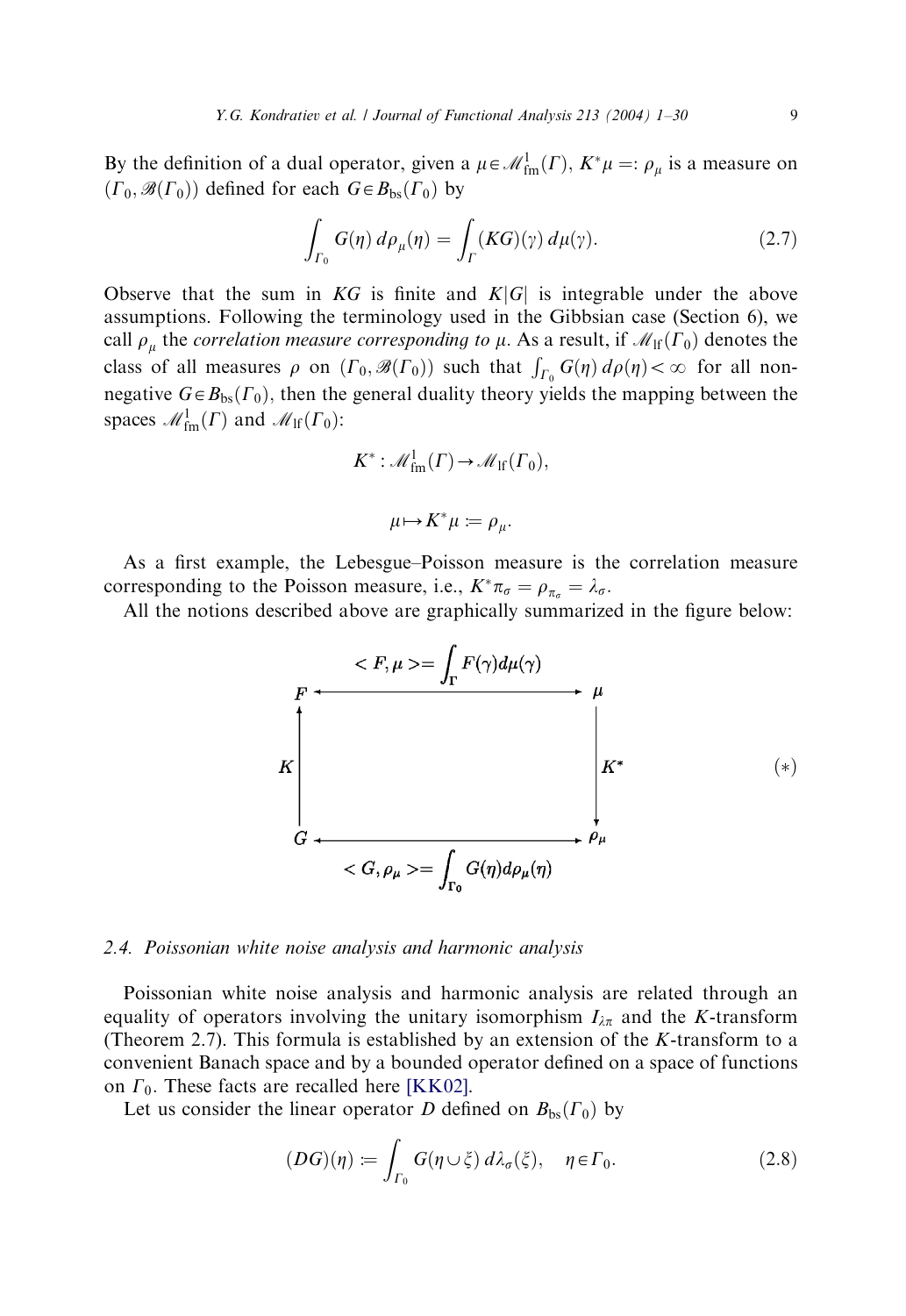By the definition of a dual operator, given a  $\mu \in \mathcal{M}^1_{\text{fm}}(\Gamma)$ ,  $K^*\mu =: \rho_\mu$  is a measure on  $(\Gamma_0, \mathcal{B}(\Gamma_0))$  defined for each  $G \in B_{bs}(\Gamma_0)$  by

$$
\int_{\Gamma_0} G(\eta) d\rho_\mu(\eta) = \int_{\Gamma} (KG)(\gamma) d\mu(\gamma).
$$
\n(2.7)

Observe that the sum in KG is finite and  $K|G|$  is integrable under the above assumptions. Following the terminology used in the Gibbsian case (Section 6), we call  $\rho_{\mu}$  the correlation measure corresponding to  $\mu$ . As a result, if  $\mathcal{M}_{\text{lf}}(\Gamma_0)$  denotes the class of all measures  $\rho$  on  $(\Gamma_0, \mathcal{B}(\Gamma_0))$  such that  $\int_{\Gamma_0} G(\eta) d\rho(\eta) < \infty$  for all nonnegative  $G \in B_{bs}(\Gamma_0)$ , then the general duality theory yields the mapping between the spaces  $\mathcal{M}^1_{\text{fm}}(\Gamma)$  and  $\mathcal{M}_{\text{lf}}(\Gamma_0)$ :

$$
K^*: \mathcal{M}^1_{\text{fm}}(\Gamma) \to \mathcal{M}_{\text{lf}}(\Gamma_0),
$$

$$
\mu \mapsto K^* \mu := \rho_\mu.
$$

As a first example, the Lebesgue–Poisson measure is the correlation measure corresponding to the Poisson measure, i.e.,  $K^*\pi_{\sigma} = \rho_{\pi_{\sigma}} = \lambda_{\sigma}$ .

All the notions described above are graphically summarized in the figure below:

$$
F
$$
\n
$$
K
$$
\n
$$
G
$$
\n
$$
G
$$
\n
$$
G
$$
\n
$$
G
$$
\n
$$
G
$$
\n
$$
G
$$
\n
$$
G
$$
\n
$$
G
$$
\n
$$
G
$$
\n
$$
G
$$
\n
$$
G
$$
\n
$$
G
$$
\n
$$
G
$$
\n
$$
G
$$
\n
$$
G
$$
\n
$$
G
$$
\n
$$
G
$$
\n
$$
G
$$
\n
$$
G
$$
\n
$$
G
$$
\n
$$
G
$$
\n
$$
G
$$
\n
$$
G
$$
\n
$$
G
$$
\n
$$
G
$$
\n
$$
G
$$
\n
$$
G
$$
\n
$$
G
$$
\n
$$
G
$$
\n
$$
G
$$
\n
$$
G
$$
\n
$$
G
$$
\n
$$
G
$$
\n
$$
G
$$
\n
$$
G
$$
\n
$$
G
$$
\n
$$
G
$$
\n
$$
G
$$
\n
$$
G
$$
\n
$$
G
$$
\n
$$
G
$$
\n
$$
G
$$
\n
$$
G
$$
\n
$$
G
$$
\n
$$
G
$$
\n
$$
G
$$
\n
$$
G
$$
\n
$$
G
$$
\n
$$
G
$$
\n
$$
G
$$
\n
$$
G
$$
\n
$$
G
$$
\n
$$
G
$$
\n
$$
G
$$
\n
$$
G
$$
\n
$$
G
$$
\n
$$
G
$$
\n
$$
G
$$
\n
$$
G
$$
\n
$$
G
$$
\n
$$
G
$$
\n
$$
G
$$
\n
$$
G
$$
\n
$$
G
$$
\n
$$
G
$$
\n
$$
G
$$
\n
$$
G
$$
\n

#### 2.4. Poissonian white noise analysis and harmonic analysis

Poissonian white noise analysis and harmonic analysis are related through an equality of operators involving the unitary isomorphism  $I_{\lambda\pi}$  and the K-transform (Theorem 2.7). This formula is established by an extension of the  $K$ -transform to a convenient Banach space and by a bounded operator defined on a space of functions on  $\Gamma_0$ . These facts are recalled here [\[KK02\].](#page-28-0)

Let us consider the linear operator D defined on  $B_{bs}(\Gamma_0)$  by

$$
(DG)(\eta) := \int_{\Gamma_0} G(\eta \cup \xi) d\lambda_{\sigma}(\xi), \quad \eta \in \Gamma_0.
$$
 (2.8)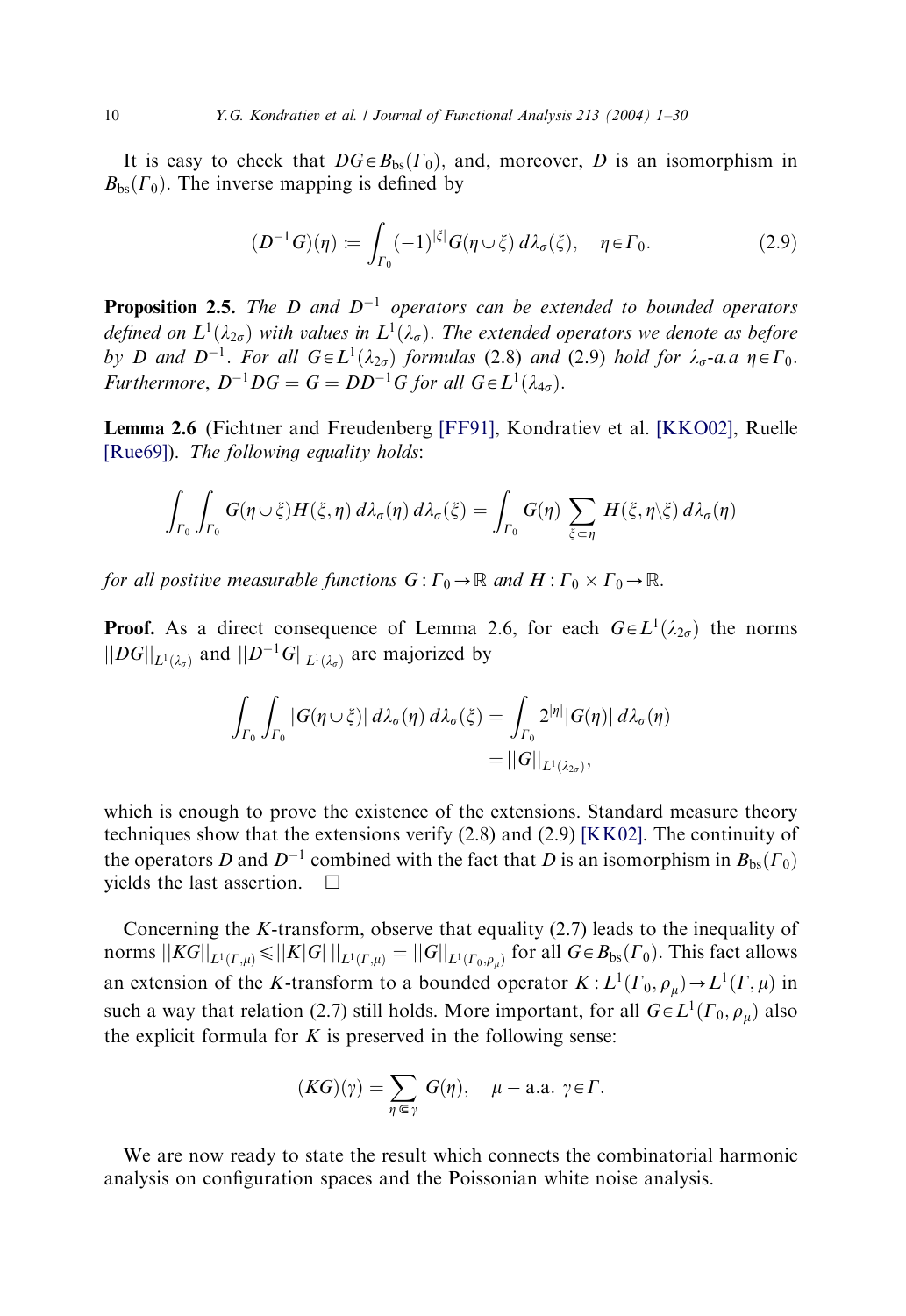It is easy to check that  $DG \in B_{bs}(F_0)$ , and, moreover, D is an isomorphism in  $B_{bs}(\Gamma_0)$ . The inverse mapping is defined by

$$
(D^{-1}G)(\eta) \coloneqq \int_{\Gamma_0} (-1)^{|\xi|} G(\eta \cup \xi) d\lambda_{\sigma}(\xi), \quad \eta \in \Gamma_0. \tag{2.9}
$$

**Proposition 2.5.** The D and  $D^{-1}$  operators can be extended to bounded operators defined on  $L^1(\lambda_{2\sigma})$  with values in  $L^1(\lambda_{\sigma})$ . The extended operators we denote as before by D and  $D^{-1}$ . For all  $G \in L^1(\lambda_{2\sigma})$  formulas (2.8) and (2.9) hold for  $\lambda_{\sigma}$ -a.a  $\eta \in \Gamma_0$ . Furthermore,  $D^{-1}DG = G = DD^{-1}G$  for all  $G \in L^1(\lambda_{4\sigma}).$ 

Lemma 2.6 (Fichtner and Freudenberg [\[FF91\],](#page-28-0) Kondratiev et al. [\[KKO02\],](#page-28-0) Ruelle [\[Rue69\]\)](#page-29-0). The following equality holds:

$$
\int_{\Gamma_0} \int_{\Gamma_0} G(\eta \cup \xi) H(\xi, \eta) d\lambda_{\sigma}(\eta) d\lambda_{\sigma}(\xi) = \int_{\Gamma_0} G(\eta) \sum_{\xi \subset \eta} H(\xi, \eta \setminus \xi) d\lambda_{\sigma}(\eta)
$$

for all positive measurable functions  $G: \Gamma_0 \to \mathbb{R}$  and  $H: \Gamma_0 \times \Gamma_0 \to \mathbb{R}$ .

**Proof.** As a direct consequence of Lemma 2.6, for each  $G \in L^1(\lambda_{2\sigma})$  the norms  $||DG||_{L^1(\lambda_{\sigma})}$  and  $||D^{-1}G||_{L^1(\lambda_{\sigma})}$  are majorized by

$$
\int_{\Gamma_0} \int_{\Gamma_0} |G(\eta \cup \xi)| d\lambda_{\sigma}(\eta) d\lambda_{\sigma}(\xi) = \int_{\Gamma_0} 2^{|\eta|} |G(\eta)| d\lambda_{\sigma}(\eta)
$$
  
=  $||G||_{L^1(\lambda_{2\sigma})}$ ,

which is enough to prove the existence of the extensions. Standard measure theory techniques show that the extensions verify (2.8) and (2.9) [\[KK02\]](#page-28-0). The continuity of the operators D and  $D^{-1}$  combined with the fact that D is an isomorphism in  $B_{bs}(\Gamma_0)$ yields the last assertion.  $\square$ 

Concerning the K-transform, observe that equality  $(2.7)$  leads to the inequality of norms  $||KG||_{L^1(\Gamma,\mu)} \le ||K|G||_{L^1(\Gamma,\mu)} = ||G||_{L^1(\Gamma_0,\rho_\mu)}$  for all  $G \in B_{bs}(\Gamma_0)$ . This fact allows an extension of the K-transform to a bounded operator  $K : L^1(\Gamma_0, \rho_\mu) \to L^1(\Gamma, \mu)$  in such a way that relation (2.7) still holds. More important, for all  $G \in L^1(\Gamma_0, \rho_u)$  also the explicit formula for  $K$  is preserved in the following sense:

$$
(KG)(\gamma) = \sum_{\eta \in \gamma} G(\eta), \quad \mu - \text{a.a. } \gamma \in \Gamma.
$$

We are now ready to state the result which connects the combinatorial harmonic analysis on configuration spaces and the Poissonian white noise analysis.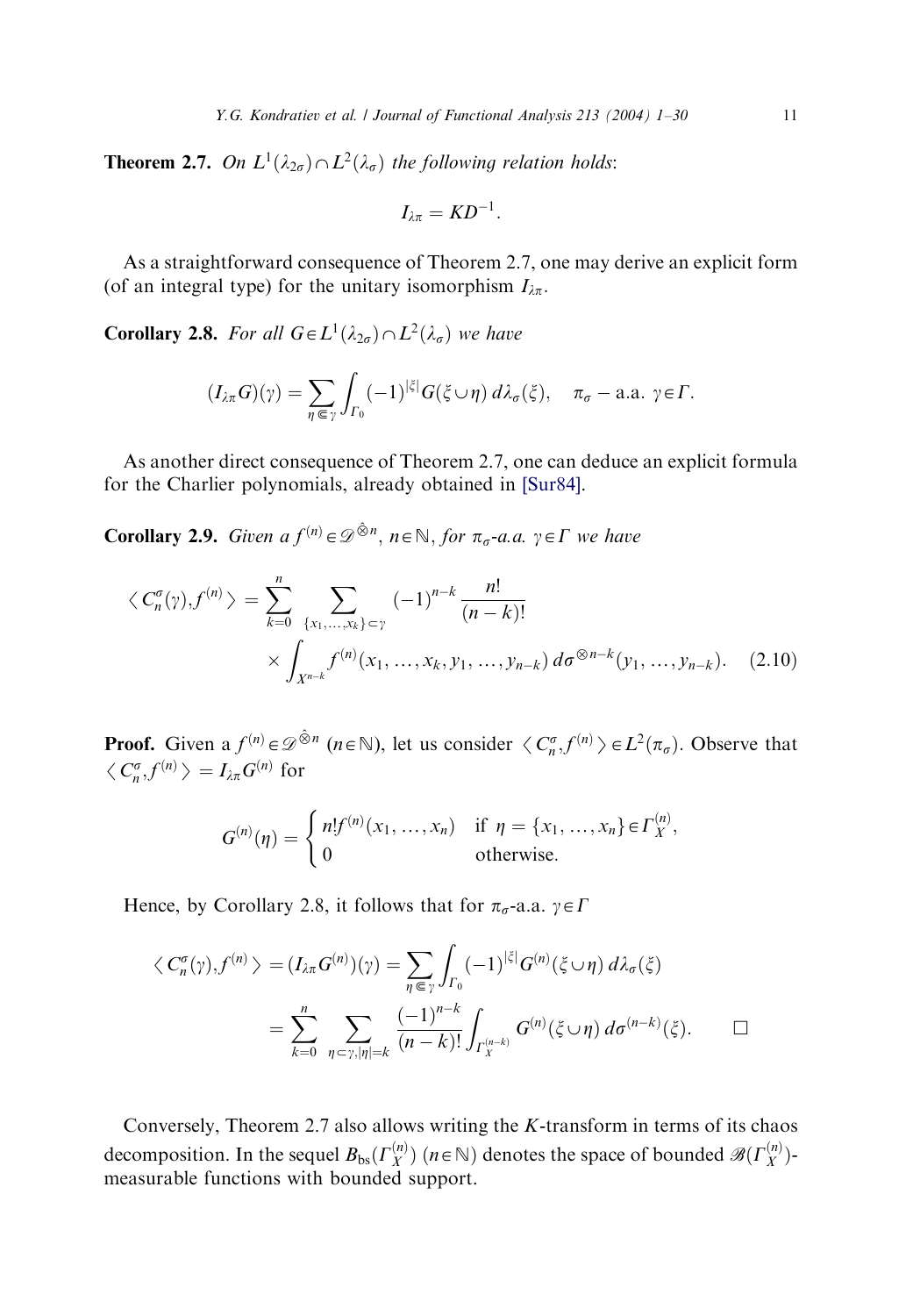**Theorem 2.7.** On  $L^1(\lambda_{2\sigma}) \cap L^2(\lambda_{\sigma})$  the following relation holds:

$$
I_{\lambda\pi}=KD^{-1}.
$$

As a straightforward consequence of Theorem 2.7, one may derive an explicit form (of an integral type) for the unitary isomorphism  $I_{\lambda\pi}$ .

**Corollary 2.8.** For all  $G \in L^1(\lambda_{2\sigma}) \cap L^2(\lambda_{\sigma})$  we have

$$
(I_{\lambda\pi}G)(\gamma)=\sum_{\eta\in\gamma}\int_{\Gamma_0}(-1)^{|\xi|}G(\xi\cup\eta)\,d\lambda_{\sigma}(\xi),\quad \pi_{\sigma}-\text{a.a. }\gamma\in\Gamma.
$$

As another direct consequence of Theorem 2.7, one can deduce an explicit formula for the Charlier polynomials, already obtained in [\[Sur84\]](#page-29-0).

**Corollary 2.9.** Given  $af^{(n)} \in \mathcal{D}^{\hat{\otimes}n}$ ,  $n \in \mathbb{N}$ , for  $\pi_{\sigma}$ -a.a.  $\gamma \in \Gamma$  we have

$$
\langle C_n^{\sigma}(\gamma), f^{(n)} \rangle = \sum_{k=0}^n \sum_{\{x_1, \dots, x_k\} \subset \gamma} (-1)^{n-k} \frac{n!}{(n-k)!}
$$
  
 
$$
\times \int_{X^{n-k}} f^{(n)}(x_1, \dots, x_k, y_1, \dots, y_{n-k}) d\sigma^{\otimes n-k}(y_1, \dots, y_{n-k}). \quad (2.10)
$$

**Proof.** Given a  $f^{(n)} \in \mathcal{D}^{\otimes n}$  ( $n \in \mathbb{N}$ ), let us consider  $\langle C_n^{\sigma}, f^{(n)} \rangle \in L^2(\pi_{\sigma})$ . Observe that  $\langle C_n^{\sigma}, f^{(n)} \rangle = I_{\lambda \pi} G^{(n)}$  for

$$
G^{(n)}(\eta) = \begin{cases} n!f^{(n)}(x_1, ..., x_n) & \text{if } \eta = \{x_1, ..., x_n\} \in \Gamma_X^{(n)}, \\ 0 & \text{otherwise.} \end{cases}
$$

Hence, by Corollary 2.8, it follows that for  $\pi_{\sigma}$ -a.a.  $\gamma \in \Gamma$ 

$$
\langle C_n^{\sigma}(\gamma), f^{(n)} \rangle = (I_{\lambda \pi} G^{(n)})(\gamma) = \sum_{\eta \in \gamma} \int_{\Gamma_0} (-1)^{|\xi|} G^{(n)}(\xi \cup \eta) d\lambda_{\sigma}(\xi)
$$
  
= 
$$
\sum_{k=0}^n \sum_{\eta \subset \gamma, |\eta| = k} \frac{(-1)^{n-k}}{(n-k)!} \int_{\Gamma_X^{(n-k)}} G^{(n)}(\xi \cup \eta) d\sigma^{(n-k)}(\xi).
$$

Conversely, Theorem 2.7 also allows writing the  $K$ -transform in terms of its chaos decomposition. In the sequel  $B_{bs}(\Gamma_X^{(n)})$   $(n \in \mathbb{N})$  denotes the space of bounded  $\mathscr{B}(\Gamma_X^{(n)})$ measurable functions with bounded support.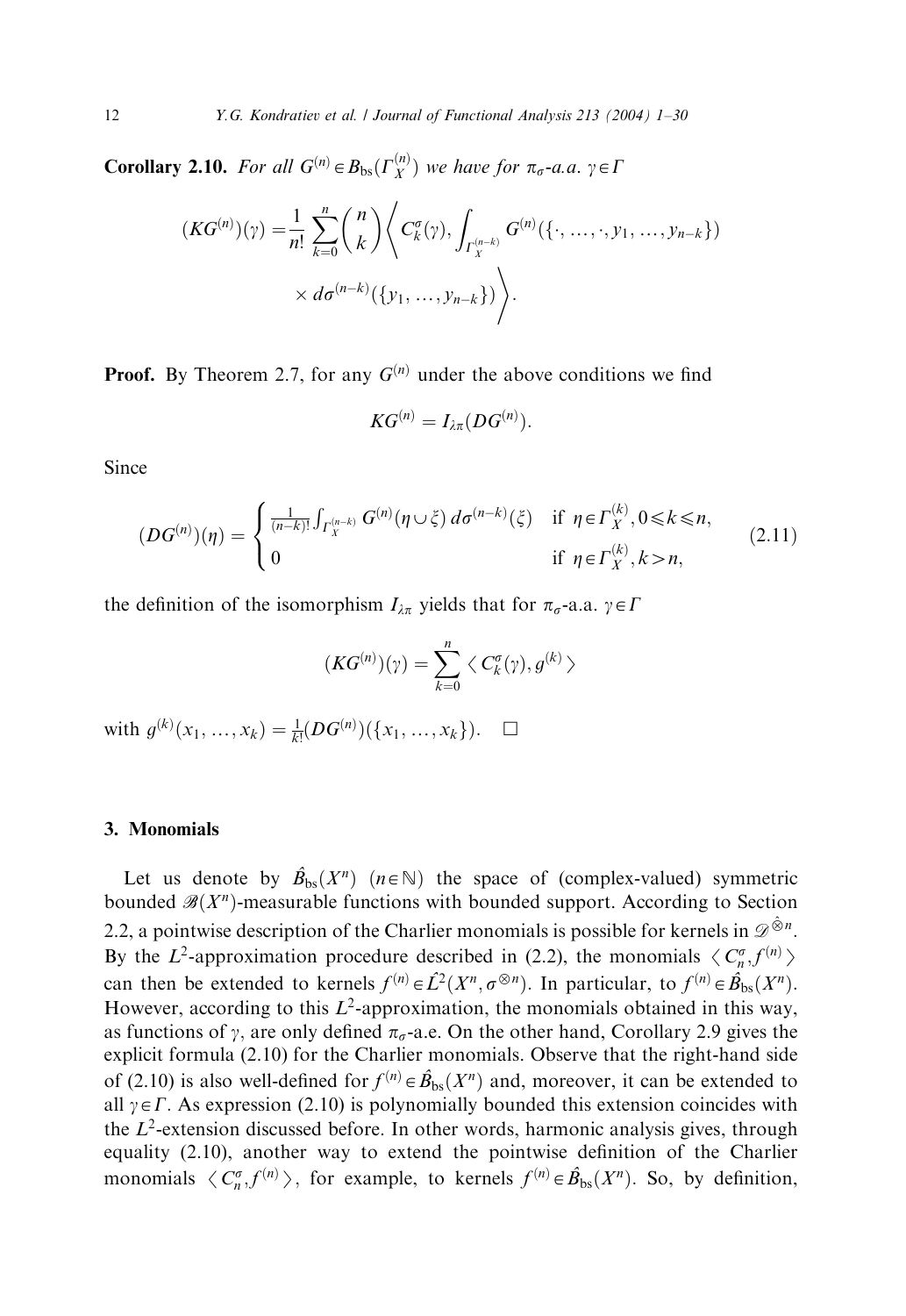**Corollary 2.10.** For all  $G^{(n)} \in B_{bs}(\Gamma_X^{(n)})$  we have for  $\pi_{\sigma}$ -a.a.  $\gamma \in \Gamma$ 

$$
(KG^{(n)}(\gamma)) = \frac{1}{n!} \sum_{k=0}^{n} {n \choose k} \left\langle C_k^{\sigma}(\gamma), \int_{\Gamma_X^{(n-k)}} G^{(n)}(\{\cdot, \ldots, \cdot, y_1, \ldots, y_{n-k}\}) \times d\sigma^{(n-k)}(\{y_1, \ldots, y_{n-k}\}) \right\rangle.
$$

**Proof.** By Theorem 2.7, for any  $G^{(n)}$  under the above conditions we find

$$
KG^{(n)}=I_{\lambda\pi}(DG^{(n)}).
$$

Since

$$
(DG^{(n)})(\eta) = \begin{cases} \frac{1}{(n-k)!} \int_{\Gamma_X^{(n-k)}} G^{(n)}(\eta \cup \xi) d\sigma^{(n-k)}(\xi) & \text{if } \eta \in \Gamma_X^{(k)}, 0 \le k \le n, \\ 0 & \text{if } \eta \in \Gamma_X^{(k)}, k > n, \end{cases}
$$
(2.11)

the definition of the isomorphism  $I_{\lambda\pi}$  yields that for  $\pi_{\sigma}$ -a.a.  $\gamma \in \Gamma$ 

$$
(KG^{(n)})(\gamma) = \sum_{k=0}^{n} \langle C_k^{\sigma}(\gamma), g^{(k)} \rangle
$$
  
with  $g^{(k)}(x_1, ..., x_k) = \frac{1}{k!} (DG^{(n)}) (\{x_1, ..., x_k\})$ .  $\square$ 

#### 3. Monomials

Let us denote by  $\hat{B}_{bs}(X^n)$   $(n \in \mathbb{N})$  the space of (complex-valued) symmetric bounded  $\mathscr{B}(X^n)$ -measurable functions with bounded support. According to Section 2.2, a pointwise description of the Charlier monomials is possible for kernels in  $\mathscr{D}^{\hat{\otimes}n}$ . By the  $L^2$ -approximation procedure described in (2.2), the monomials  $\langle C_n^{\sigma}, f^{(n)} \rangle$ can then be extended to kernels  $f^{(n)} \in \hat{L}^2(X^n, \sigma^{\otimes n})$ . In particular, to  $f^{(n)} \in \hat{B}_{bs}(X^n)$ . However, according to this  $L^2$ -approximation, the monomials obtained in this way, as functions of y, are only defined  $\pi_{\sigma}$ -a.e. On the other hand, Corollary 2.9 gives the explicit formula (2.10) for the Charlier monomials. Observe that the right-hand side of (2.10) is also well-defined for  $f^{(n)} \in \hat{B}_{bs}(X^n)$  and, moreover, it can be extended to all  $\gamma \in \Gamma$ . As expression (2.10) is polynomially bounded this extension coincides with the  $L^2$ -extension discussed before. In other words, harmonic analysis gives, through equality (2.10), another way to extend the pointwise definition of the Charlier monomials  $\langle C_n^{\sigma}, f^{(n)} \rangle$ , for example, to kernels  $f^{(n)} \in \hat{B}_{bs}(X^n)$ . So, by definition,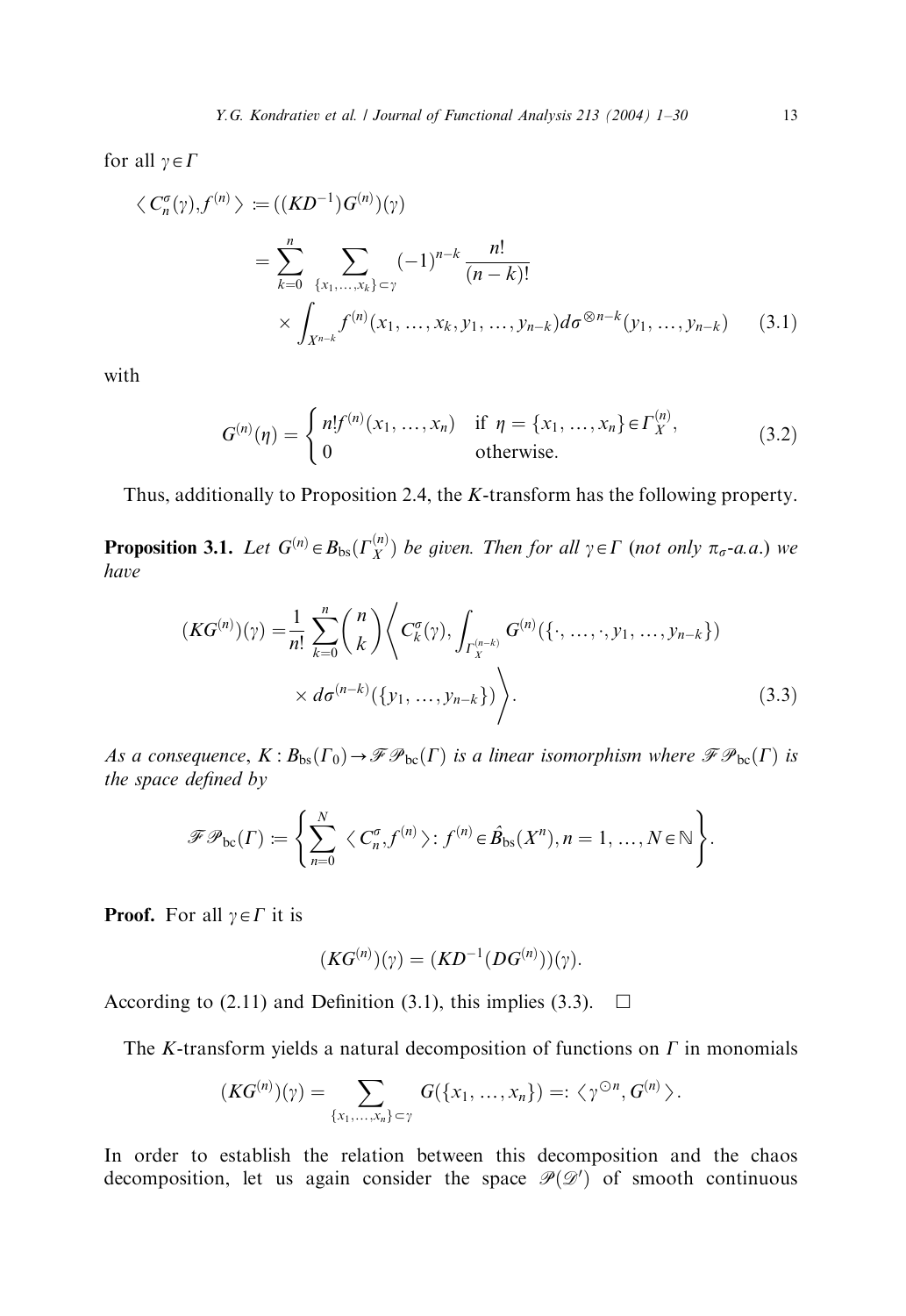for all  $\gamma \in \Gamma$ 

$$
\langle C_n^{\sigma}(\gamma), f^{(n)} \rangle := ((KD^{-1})G^{(n)})(\gamma)
$$
  
= 
$$
\sum_{k=0}^n \sum_{\{x_1, ..., x_k\} \subset \gamma} (-1)^{n-k} \frac{n!}{(n-k)!}
$$
  

$$
\times \int_{X^{n-k}} f^{(n)}(x_1, ..., x_k, y_1, ..., y_{n-k}) d\sigma^{\otimes n-k}(y_1, ..., y_{n-k}) \qquad (3.1)
$$

with

$$
G^{(n)}(\eta) = \begin{cases} n!f^{(n)}(x_1, ..., x_n) & \text{if } \eta = \{x_1, ..., x_n\} \in \Gamma_X^{(n)}, \\ 0 & \text{otherwise.} \end{cases}
$$
(3.2)

Thus, additionally to Proposition 2.4, the K-transform has the following property.

**Proposition 3.1.** Let  $G^{(n)} \in B_{bs}(\Gamma_X^{(n)})$  be given. Then for all  $\gamma \in \Gamma$  (not only  $\pi_{\sigma}$ -a.a.) we have

$$
(KG^{(n)})(\gamma) = \frac{1}{n!} \sum_{k=0}^{n} {n \choose k} \left\langle C_k^{\sigma}(\gamma), \int_{\Gamma_X^{(n-k)}} G^{(n)}(\{\cdot, \dots, \cdot, y_1, \dots, y_{n-k}\}) \times d\sigma^{(n-k)}(\{y_1, \dots, y_{n-k}\}) \right\rangle.
$$
 (3.3)

As a consequence,  $K : B_{bs}(\Gamma_0) \to \mathscr{F} \mathscr{P}_{bc}(\Gamma)$  is a linear isomorphism where  $\mathscr{F} \mathscr{P}_{bc}(\Gamma)$  is the space defined by

$$
\mathscr{F}\mathscr{P}_{\rm bc}(\Gamma) := \left\{ \sum_{n=0}^N \langle C_n^{\sigma}, f^{(n)} \rangle : f^{(n)} \in \hat{\mathcal{B}}_{\rm bs}(X^n), n = 1, ..., N \in \mathbb{N} \right\}.
$$

**Proof.** For all  $\gamma \in \Gamma$  it is

$$
(KG(n))(\gamma) = (KD-1(DG(n)))(\gamma).
$$

According to (2.11) and Definition (3.1), this implies (3.3).  $\Box$ 

The K-transform yields a natural decomposition of functions on  $\Gamma$  in monomials

$$
(KG^{(n)})(\gamma)=\sum_{\{x_1,\ldots,x_n\}\subset \gamma} G(\{x_1,\ldots,x_n\})=:\langle \gamma^{\odot n},G^{(n)}\rangle.
$$

In order to establish the relation between this decomposition and the chaos decomposition, let us again consider the space  $\mathcal{P}(\mathcal{D}')$  of smooth continuous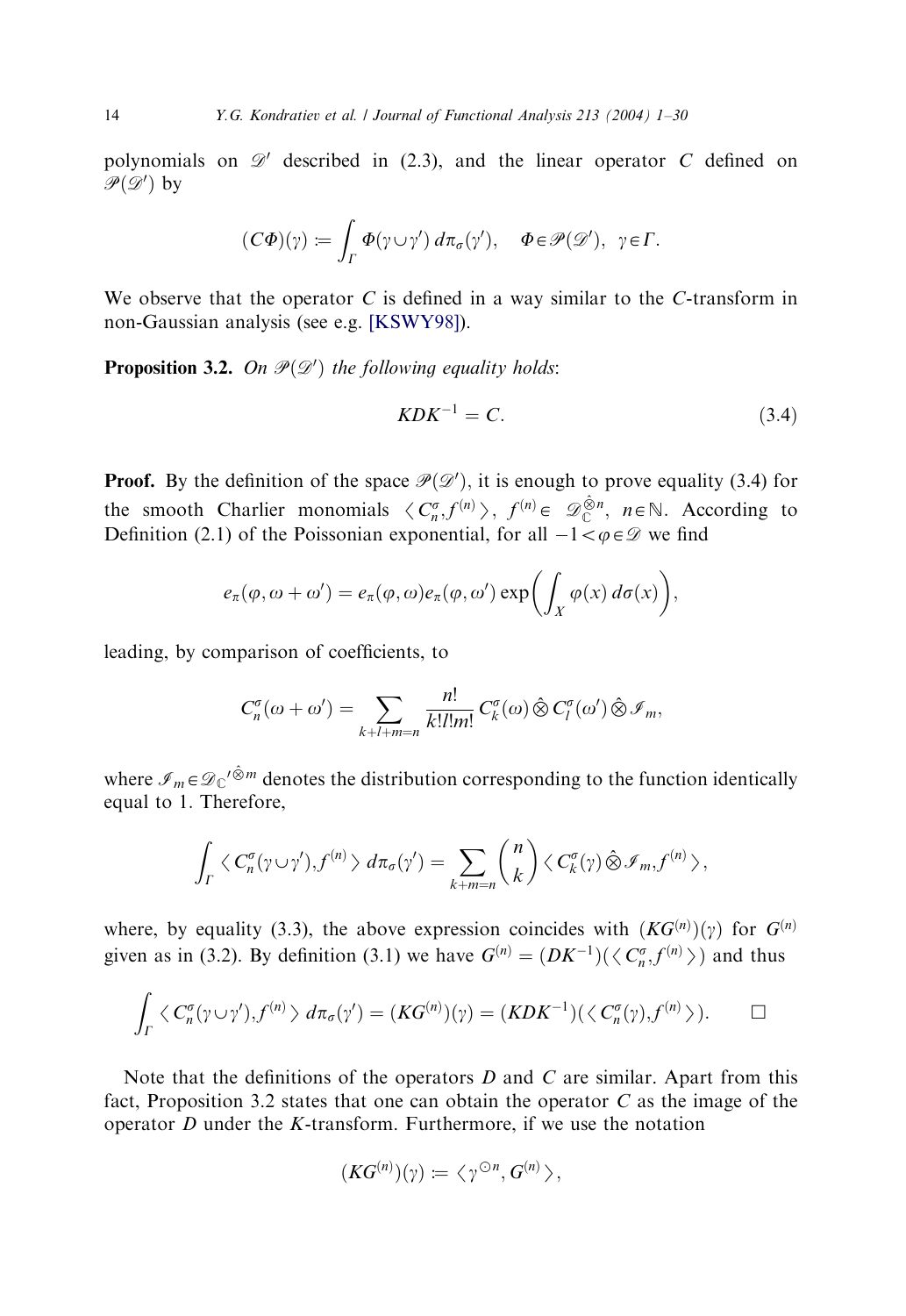polynomials on  $\mathscr{D}'$  described in (2.3), and the linear operator C defined on  $\mathscr{P}(\mathscr{D}')$  by

$$
(C\Phi)(\gamma) := \int_{\Gamma} \Phi(\gamma \cup \gamma') d\pi_{\sigma}(\gamma'), \quad \Phi \in \mathcal{P}(\mathcal{D}'), \quad \gamma \in \Gamma.
$$

We observe that the operator  $C$  is defined in a way similar to the C-transform in non-Gaussian analysis (see e.g. [\[KSWY98\]](#page-28-0)).

**Proposition 3.2.** On  $\mathcal{P}(\mathcal{D}')$  the following equality holds:

$$
KDK^{-1} = C.\tag{3.4}
$$

**Proof.** By the definition of the space  $\mathcal{P}(\mathcal{D}')$ , it is enough to prove equality (3.4) for the smooth Charlier monomials  $\langle C_n^{\sigma}, f^{(n)} \rangle$ ,  $f^{(n)} \in \mathscr{D}_{\mathbb{C}}^{\hat{\otimes}n}$ ,  $n \in \mathbb{N}$ . According to Definition (2.1) of the Poissonian exponential for all  $1 \leq \sigma \in \mathscr{D}$  we find Definition (2.1) of the Poissonian exponential, for all  $-1 < \varphi \in \mathcal{D}$  we find

$$
e_{\pi}(\varphi,\omega+\omega')=e_{\pi}(\varphi,\omega)e_{\pi}(\varphi,\omega')\exp\biggl(\int_X\varphi(x)\,d\sigma(x)\biggr),
$$

leading, by comparison of coefficients, to

$$
C_n^{\sigma}(\omega+\omega')=\sum_{k+l+m=n}\frac{n!}{k!l!m!}\,C_k^{\sigma}(\omega)\,\hat{\otimes}\,C_l^{\sigma}(\omega')\,\hat{\otimes}\,\mathscr{I}_m,
$$

where  $\mathcal{I}_m \in \mathcal{D}_C'^{\hat{\otimes} m}$  denotes the distribution corresponding to the function identically equal to 1: Therefore,

$$
\int_{\Gamma} \langle C_n^{\sigma} (\gamma \cup \gamma'), f^{(n)} \rangle d\pi_{\sigma}(\gamma') = \sum_{k+m=n} {n \choose k} \langle C_k^{\sigma} (\gamma) \hat{\otimes} \mathcal{I}_m, f^{(n)} \rangle,
$$

where, by equality (3.3), the above expression coincides with  $(KG^{(n)})(\gamma)$  for  $G^{(n)}$ given as in (3.2). By definition (3.1) we have  $G^{(n)} = (DK^{-1})(\langle C_n^{\sigma}, f^{(n)} \rangle)$  and thus

$$
\int_{\Gamma} \langle C_n^{\sigma} (\gamma \cup \gamma'), f^{(n)} \rangle d\pi_{\sigma}(\gamma') = (KG^{(n)})(\gamma) = (KDK^{-1})(\langle C_n^{\sigma}(\gamma), f^{(n)} \rangle).
$$

Note that the definitions of the operators  $D$  and  $C$  are similar. Apart from this fact, Proposition 3.2 states that one can obtain the operator  $C$  as the image of the operator  $D$  under the  $K$ -transform. Furthermore, if we use the notation

$$
(KG^{(n)})(\gamma) \coloneqq \langle \gamma^{\odot n}, G^{(n)} \rangle,
$$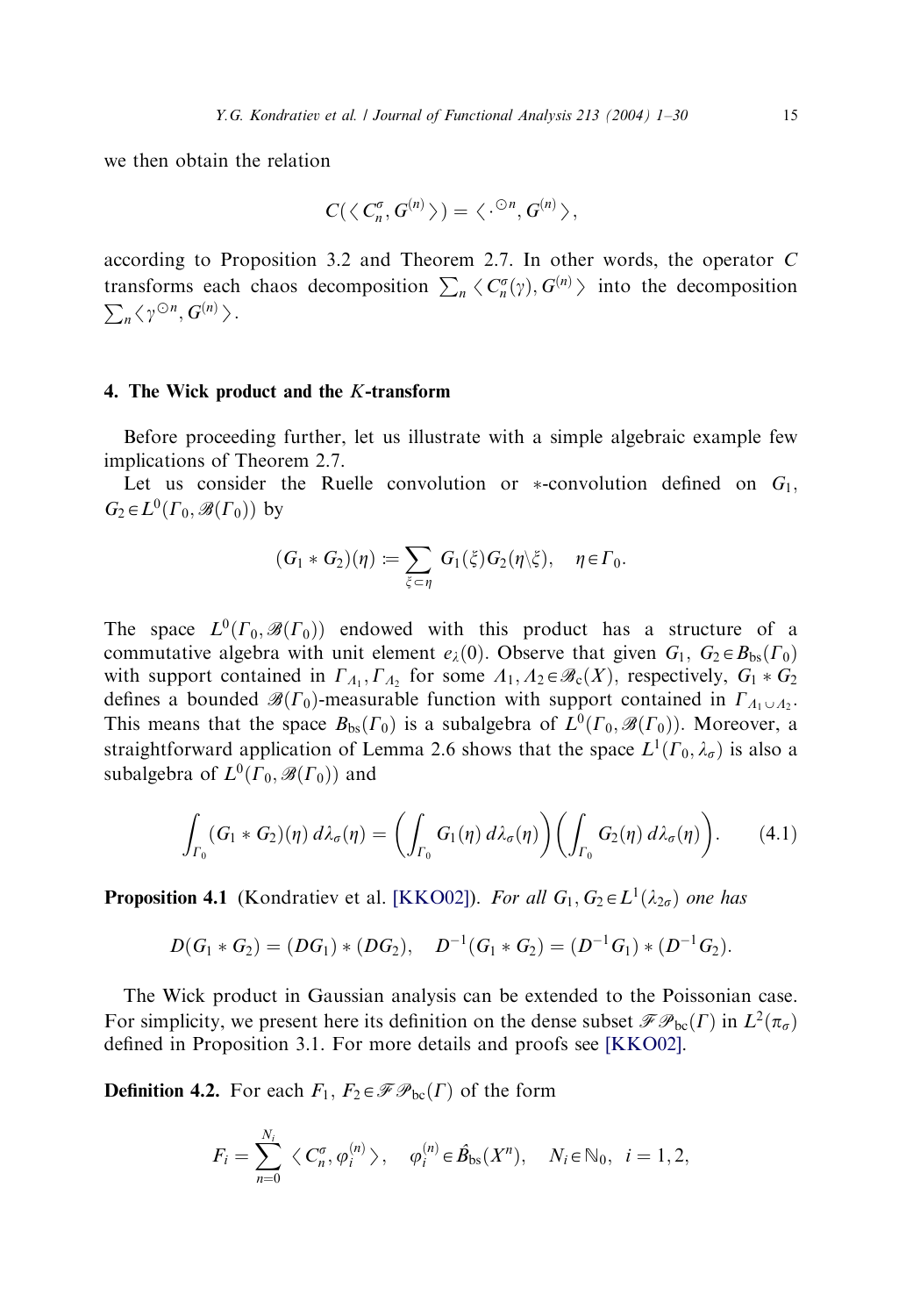we then obtain the relation

$$
C(\langle C_n^{\sigma}, G^{(n)} \rangle) = \langle \cdot^{\odot n}, G^{(n)} \rangle,
$$

according to Proposition 3.2 and Theorem 2.7. In other words, the operator C transforms each chaos decomposition  $\sum_n \langle C_n^{\sigma}(\gamma), G^{(n)} \rangle$  into the decomposition  $\sum_{n} \langle \gamma^{\odot n}, G^{(n)} \rangle.$ 

## 4. The Wick product and the K-transform

Before proceeding further, let us illustrate with a simple algebraic example few implications of Theorem 2.7.

Let us consider the Ruelle convolution or  $*$ -convolution defined on  $G_1$ ,  $G_2 \in L^0(\Gamma_0, \mathscr{B}(\Gamma_0))$  by

$$
(G_1 * G_2)(\eta) := \sum_{\xi \subset \eta} G_1(\xi) G_2(\eta \setminus \xi), \quad \eta \in \Gamma_0.
$$

The space  $L^0(\Gamma_0, \mathscr{B}(\Gamma_0))$  endowed with this product has a structure of a commutative algebra with unit element  $e_{\lambda}(0)$ . Observe that given  $G_1, G_2 \in B_{bs}(\Gamma_0)$ with support contained in  $\Gamma_{A_1}, \Gamma_{A_2}$  for some  $A_1, A_2 \in \mathcal{B}_c(X)$ , respectively,  $G_1 * G_2$ defines a bounded  $\mathscr{B}(\Gamma_0)$ -measurable function with support contained in  $\Gamma_{A_1 \cup A_2}$ . This means that the space  $B_{bs}(\Gamma_0)$  is a subalgebra of  $L^0(\Gamma_0, \mathscr{B}(\Gamma_0))$ . Moreover, a straightforward application of Lemma 2.6 shows that the space  $L^1(\Gamma_0, \lambda_\sigma)$  is also a subalgebra of  $L^0(\Gamma_0, \mathscr{B}(\Gamma_0))$  and

$$
\int_{\Gamma_0} (G_1 * G_2)(\eta) d\lambda_{\sigma}(\eta) = \left( \int_{\Gamma_0} G_1(\eta) d\lambda_{\sigma}(\eta) \right) \left( \int_{\Gamma_0} G_2(\eta) d\lambda_{\sigma}(\eta) \right). \tag{4.1}
$$

**Proposition 4.1** (Kondratiev et al. [\[KKO02\]\)](#page-28-0). For all  $G_1, G_2 \in L^1(\lambda_{2\sigma})$  one has

$$
D(G_1 * G_2) = (DG_1) * (DG_2), \quad D^{-1}(G_1 * G_2) = (D^{-1}G_1) * (D^{-1}G_2).
$$

The Wick product in Gaussian analysis can be extended to the Poissonian case. For simplicity, we present here its definition on the dense subset  $\mathscr{F}\mathscr{P}_{bc}(\Gamma)$  in  $L^2(\pi_{\sigma})$ defined in Proposition 3.1. For more details and proofs see [\[KKO02\]](#page-28-0).

**Definition 4.2.** For each  $F_1, F_2 \in \mathcal{FP}_{bc}(\Gamma)$  of the form

$$
F_i=\sum_{n=0}^{N_i}\langle C_n^{\sigma},\varphi_i^{(n)}\rangle,\quad \varphi_i^{(n)}\in\hat{B}_{\text{bs}}(X^n),\quad N_i\in\mathbb{N}_0,\ i=1,2,
$$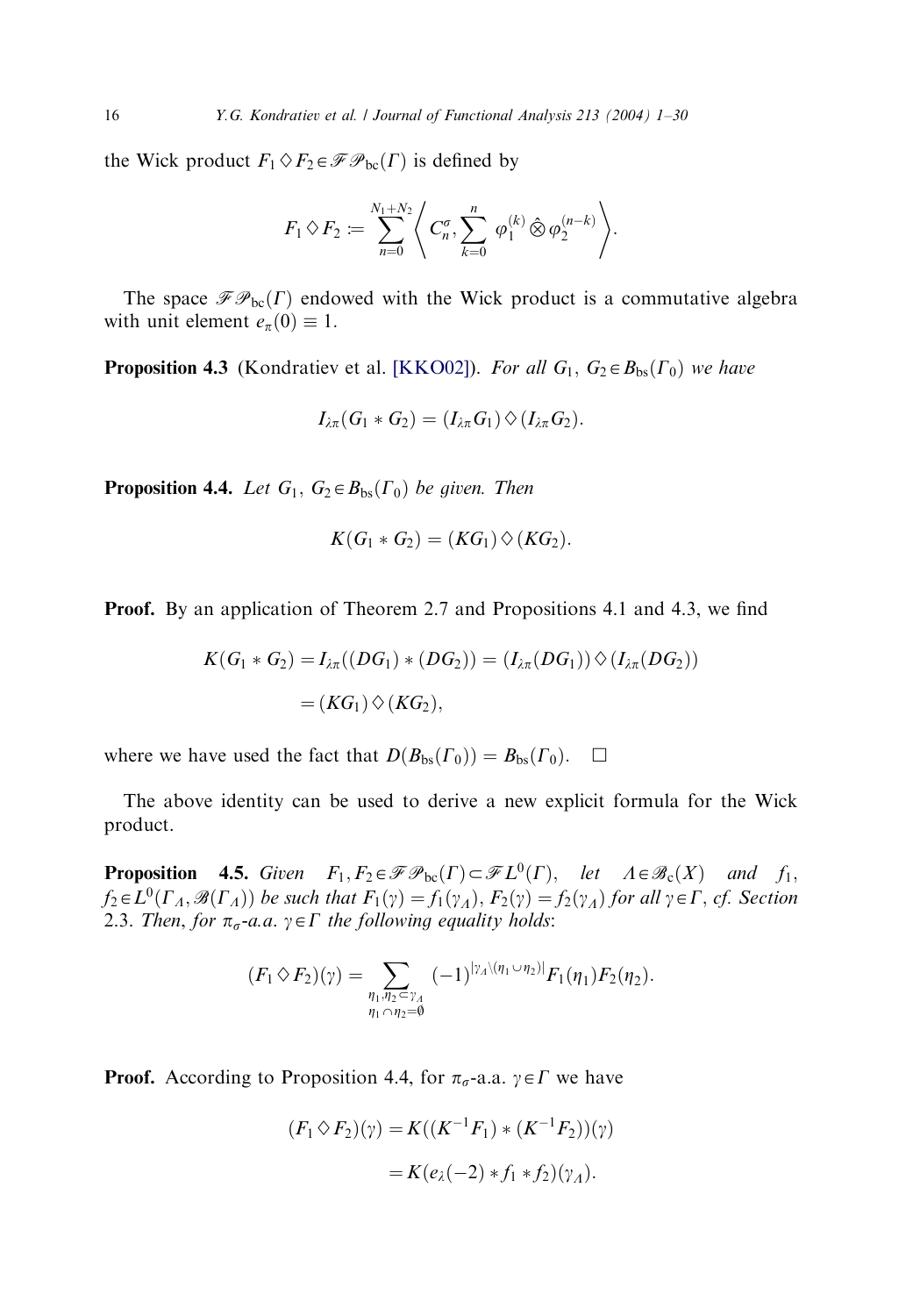the Wick product  $F_1 \Diamond F_2 \in \mathscr{F}P_{bc}(\Gamma)$  is defined by

$$
F_1 \diamond F_2 \coloneqq \sum_{n=0}^{N_1+N_2} \left\langle C_n^{\sigma}, \sum_{k=0}^n \varphi_1^{(k)} \hat{\otimes} \varphi_2^{(n-k)} \right\rangle.
$$

The space  $\mathcal{F}\mathcal{P}_{bc}(\Gamma)$  endowed with the Wick product is a commutative algebra with unit element  $e_{\pi}(0) \equiv 1$ .

**Proposition 4.3** (Kondratiev et al. [\[KKO02\]\)](#page-28-0). For all  $G_1, G_2 \in B_{bs}(\Gamma_0)$  we have

$$
I_{\lambda\pi}(G_1 * G_2) = (I_{\lambda\pi} G_1) \Diamond (I_{\lambda\pi} G_2).
$$

**Proposition 4.4.** Let  $G_1$ ,  $G_2 \in B_{bs}(\Gamma_0)$  be given. Then

$$
K(G_1 * G_2) = (KG_1) \diamond (KG_2).
$$

**Proof.** By an application of Theorem 2.7 and Propositions 4.1 and 4.3, we find

$$
K(G_1 * G_2) = I_{\lambda\pi}((DG_1) * (DG_2)) = (I_{\lambda\pi}(DG_1)) \Diamond (I_{\lambda\pi}(DG_2))
$$
  
=  $(KG_1) \Diamond (KG_2),$ 

where we have used the fact that  $D(B_{bs}(\Gamma_0)) = B_{bs}(\Gamma_0)$ .  $\Box$ 

The above identity can be used to derive a new explicit formula for the Wick product.

**Proposition 4.5.** Given  $F_1, F_2 \in \mathscr{F}P_{bc}(\Gamma) \subset \mathscr{F}L^0(\Gamma)$ , let  $A \in \mathscr{B}_c(X)$  and  $f_1$ ,  $f_2 \in L^0(\Gamma_A, \mathcal{B}(\Gamma_A))$  be such that  $F_1(\gamma) = f_1(\gamma_A), F_2(\gamma) = f_2(\gamma_A)$  for all  $\gamma \in \Gamma$ , cf. Section 2.3. Then, for  $\pi_{\sigma}$ -a.a.  $\gamma \in \Gamma$  the following equality holds:

$$
(F_1 \diamond F_2)(\gamma) = \sum_{\substack{\eta_1, \eta_2 = \gamma_A \\ \eta_1 \cap \eta_2 = \emptyset}} (-1)^{|\gamma_A \setminus (\eta_1 \cup \eta_2)|} F_1(\eta_1) F_2(\eta_2).
$$

**Proof.** According to Proposition 4.4, for  $\pi_{\sigma}$ -a.a.  $\gamma \in \Gamma$  we have

$$
(F_1 \Diamond F_2)(\gamma) = K((K^{-1}F_1) * (K^{-1}F_2))(\gamma)
$$
  
=  $K(e_\lambda(-2) * f_1 * f_2)(\gamma_\lambda).$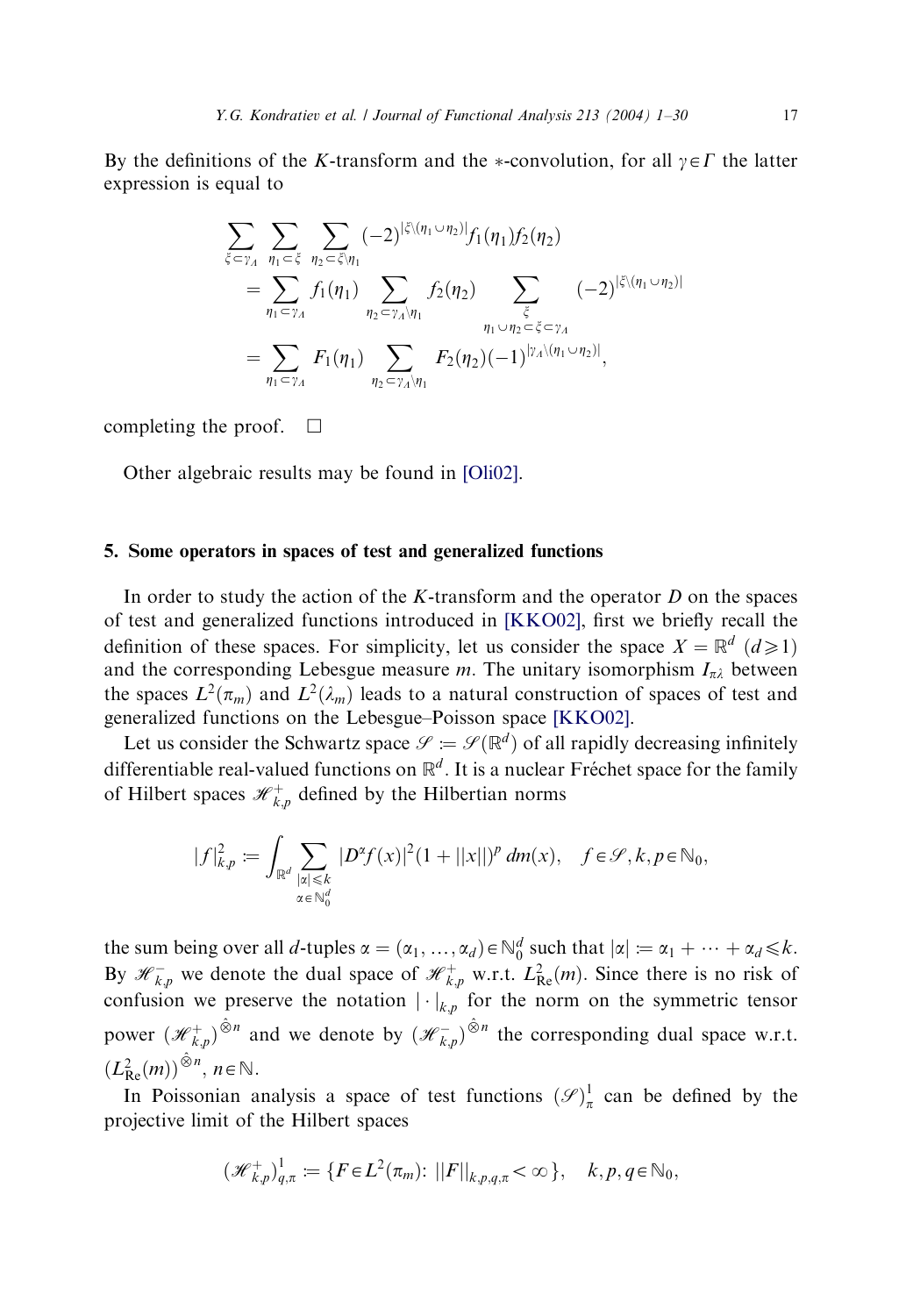By the definitions of the K-transform and the \*-convolution, for all  $y \in \Gamma$  the latter expression is equal to

$$
\sum_{\xi \subset \gamma_A} \sum_{\eta_1 \subset \xi} \sum_{\eta_2 \subset \xi \setminus \eta_1} (-2)^{|\xi \setminus (\eta_1 \cup \eta_2)|} f_1(\eta_1) f_2(\eta_2)
$$
\n
$$
= \sum_{\eta_1 \subset \gamma_A} f_1(\eta_1) \sum_{\eta_2 \subset \gamma_A \setminus \eta_1} f_2(\eta_2) \sum_{\xi \subset \eta_A} (-2)^{|\xi \setminus (\eta_1 \cup \eta_2)|}
$$
\n
$$
= \sum_{\eta_1 \subset \gamma_A} F_1(\eta_1) \sum_{\eta_2 \subset \gamma_A \setminus \eta_1} F_2(\eta_2) (-1)^{|\gamma_A \setminus (\eta_1 \cup \eta_2)|},
$$

completing the proof.  $\Box$ 

Other algebraic results may be found in [\[Oli02\].](#page-29-0)

## 5. Some operators in spaces of test and generalized functions

In order to study the action of the  $K$ -transform and the operator  $D$  on the spaces of test and generalized functions introduced in [\[KKO02\]](#page-28-0), first we briefly recall the definition of these spaces. For simplicity, let us consider the space  $X = \mathbb{R}^d$   $(d \ge 1)$ and the corresponding Lebesgue measure m. The unitary isomorphism  $I_{\pi\lambda}$  between the spaces  $L^2(\pi_m)$  and  $L^2(\lambda_m)$  leads to a natural construction of spaces of test and generalized functions on the Lebesgue–Poisson space [\[KKO02\]](#page-28-0).

Let us consider the Schwartz space  $\mathscr{S} := \mathscr{S}(\mathbb{R}^d)$  of all rapidly decreasing infinitely differentiable real-valued functions on  $\mathbb{R}^d$ . It is a nuclear Fréchet space for the family of Hilbert spaces  $\mathcal{H}^+_{k,p}$  defined by the Hilbertian norms

$$
|f|_{k,p}^2 := \int_{\mathbb{R}^d} \sum_{\substack{|x| \leq k \\ x \in \mathbb{N}_0^d}} |D^{\alpha} f(x)|^2 (1+||x||)^p dm(x), \quad f \in \mathcal{S}, k, p \in \mathbb{N}_0,
$$

the sum being over all d-tuples  $\alpha = (\alpha_1, ..., \alpha_d) \in \mathbb{N}_0^d$  such that  $|\alpha| := \alpha_1 + \cdots + \alpha_d \le k$ . By  $\mathcal{H}_{k,p}^-$  we denote the dual space of  $\mathcal{H}_{k,p}^+$  w.r.t.  $L_{\text{Re}}^2(m)$ . Since there is no risk of confusion we preserve the notation  $|\cdot|_{k,p}$  for the norm on the symmetric tensor power  $(\mathcal{H}_{k,p}^+)^{\hat{\otimes}n}$  and we denote by  $(\mathcal{H}_{k,p}^-)^{\hat{\otimes}n}$  the corresponding dual space w.r.t.  $(L_{\text{Re}}^2(m))^{\hat{\otimes}n}, n \in \mathbb{N}.$ 

In Poissonian analysis a space of test functions  $(\mathscr{S})^1_\pi$  can be defined by the projective limit of the Hilbert spaces

$$
(\mathcal{H}_{k,p}^+)^1_{q,\pi} := \{ F \in L^2(\pi_m) : ||F||_{k,p,q,\pi} < \infty \}, \quad k,p,q \in \mathbb{N}_0,
$$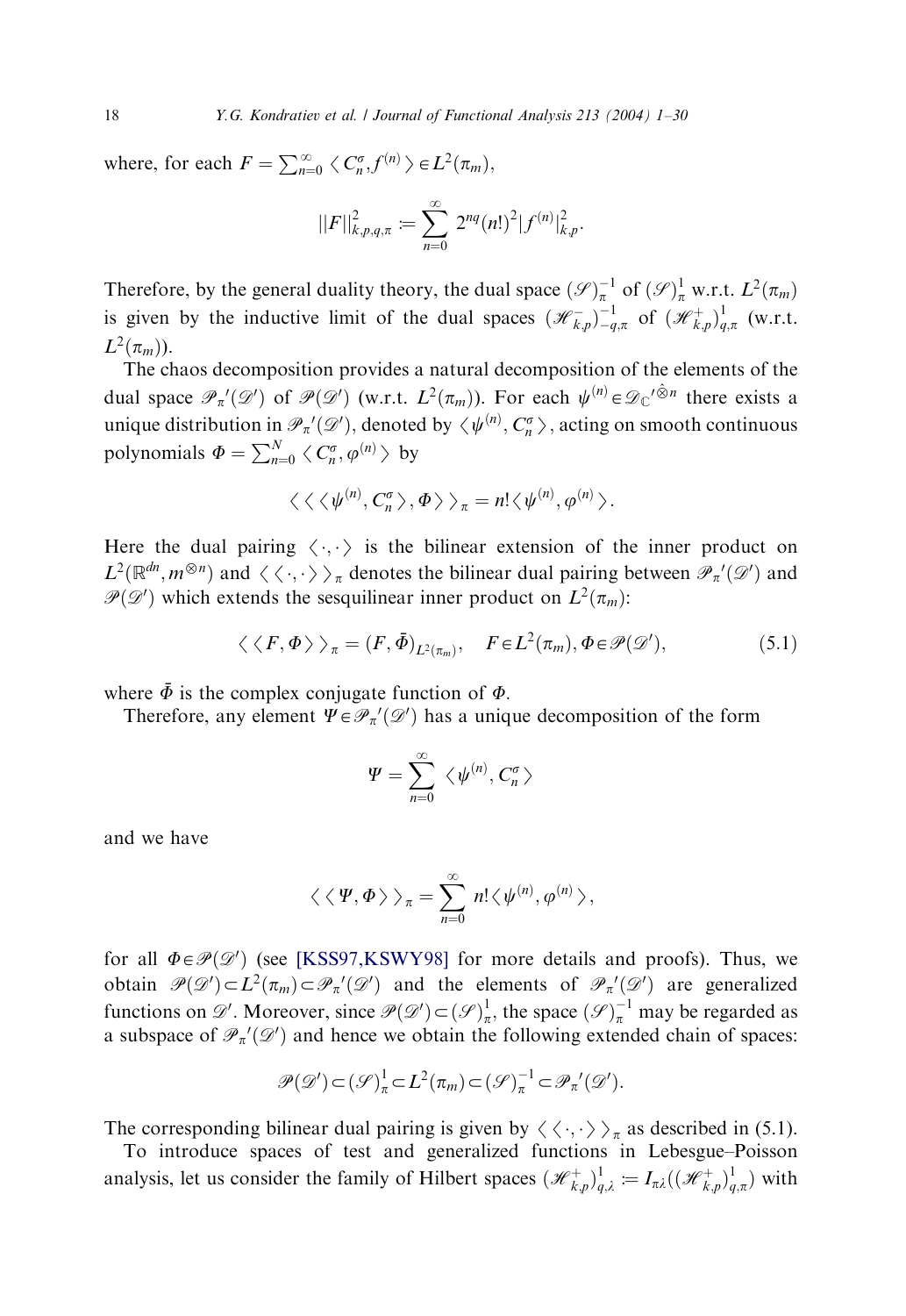where, for each  $F = \sum_{n=0}^{\infty} \langle C_n^{\sigma}, f^{(n)} \rangle \in L^2(\pi_m)$ ,

$$
||F||_{k,p,q,\pi}^{2} := \sum_{n=0}^{\infty} 2^{nq} (n!)^{2} |f^{(n)}|_{k,p}^{2}.
$$

Therefore, by the general duality theory, the dual space  $(\mathscr{S})_{\pi}^{-1}$  of  $(\mathscr{S})_{\pi}^{1}$  w.r.t.  $L^{2}(\pi_{m})$ is given by the inductive limit of the dual spaces  $(\mathscr{H}_{k,p}^{-})_{-q,\pi}^{-1}$  of  $(\mathscr{H}_{k,p}^{+})_{q,\pi}^{1}$  (w.r.t.  $L^2(\pi_m)$ ).

The chaos decomposition provides a natural decomposition of the elements of the dual space  $\mathscr{P}_n'(\mathscr{D}')$  of  $\mathscr{P}(\mathscr{D}')$  (w.r.t.  $L^2(\pi_m)$ ). For each  $\psi^{(n)} \in \mathscr{D}_{\mathbb{C}}'^{\hat{\otimes}n}$  there exists a unique distribution in  $\mathcal{P}_n'(\mathcal{D}')$ , denoted by  $\langle \psi^{(n)}, C_n^{\sigma} \rangle$ , acting on smooth continuous polynomials  $\Phi = \sum_{n=0}^{N} \langle C_n^{\sigma}, \varphi^{(n)} \rangle$  by

$$
\langle \langle \langle \psi^{(n)}, C_n^{\sigma} \rangle, \Phi \rangle \rangle_{\pi} = n! \langle \psi^{(n)}, \varphi^{(n)} \rangle.
$$

Here the dual pairing  $\langle \cdot, \cdot \rangle$  is the bilinear extension of the inner product on  $L^2(\mathbb{R}^{dn}, m^{\otimes n})$  and  $\langle \langle \cdot, \cdot \rangle \rangle_{\pi}$  denotes the bilinear dual pairing between  $\mathcal{P}_{\pi}'(\mathcal{D}')$  and  $\mathcal{P}(\mathcal{D}')$  which extends the sessapilinear inner product on  $L^2(\pi)$ .  $\mathscr{P}(\mathscr{D}')$  which extends the sesquilinear inner product on  $L^2(\pi_m)$ :

$$
\langle \langle F, \Phi \rangle \rangle_{\pi} = (F, \bar{\Phi})_{L^2(\pi_m)}, \quad F \in L^2(\pi_m), \Phi \in \mathcal{P}(\mathcal{D}'), \tag{5.1}
$$

where  $\bar{\Phi}$  is the complex conjugate function of  $\Phi$ .

Therefore, any element  $\Psi \in \mathcal{P}_{\pi}'(\mathcal{D}')$  has a unique decomposition of the form

$$
\varPsi=\sum_{n=0}^\infty\ \big\langle\,\psi^{(n)},C_n^\sigma\,\big\rangle
$$

and we have

$$
\langle \langle \Psi, \Phi \rangle \rangle_{\pi} = \sum_{n=0}^{\infty} n! \langle \psi^{(n)}, \varphi^{(n)} \rangle,
$$

for all  $\Phi \in \mathcal{P}(\mathcal{D}')$  (see [\[KSS97,KSWY98\]](#page-28-0) for more details and proofs). Thus, we obtain  $\mathcal{P}(\mathcal{D}') \subset L^2(\pi_m) \subset \mathcal{P}_\pi'(\mathcal{D}')$  and the elements of  $\mathcal{P}_\pi'(\mathcal{D}')$  are generalized functions on  $\mathscr{D}'$ . Moreover, since  $\mathscr{P}(\mathscr{D}') \subset (\mathscr{S})^1_\pi$ , the space  $(\mathscr{S})^{-1}_\pi$  may be regarded as a subspace of  $\mathcal{P}_{\pi}(\mathcal{D}')$  and hence we obtain the following extended chain of spaces:

$$
\mathscr{P}(\mathscr{D}') \subset (\mathscr{S})^1_\pi \subset L^2(\pi_m) \subset (\mathscr{S})^{-1}_\pi \subset \mathscr{P}_\pi'(\mathscr{D}').
$$

The corresponding bilinear dual pairing is given by  $\langle \langle \cdot, \cdot \rangle \rangle_{\pi}$  as described in (5.1).

To introduce spaces of test and generalized functions in Lebesgue–Poisson analysis, let us consider the family of Hilbert spaces  $(\mathcal{H}^+_{k,p})^1_{q,\lambda} := I_{\pi\lambda}((\mathcal{H}^+_{k,p})^1_{q,\pi})$  with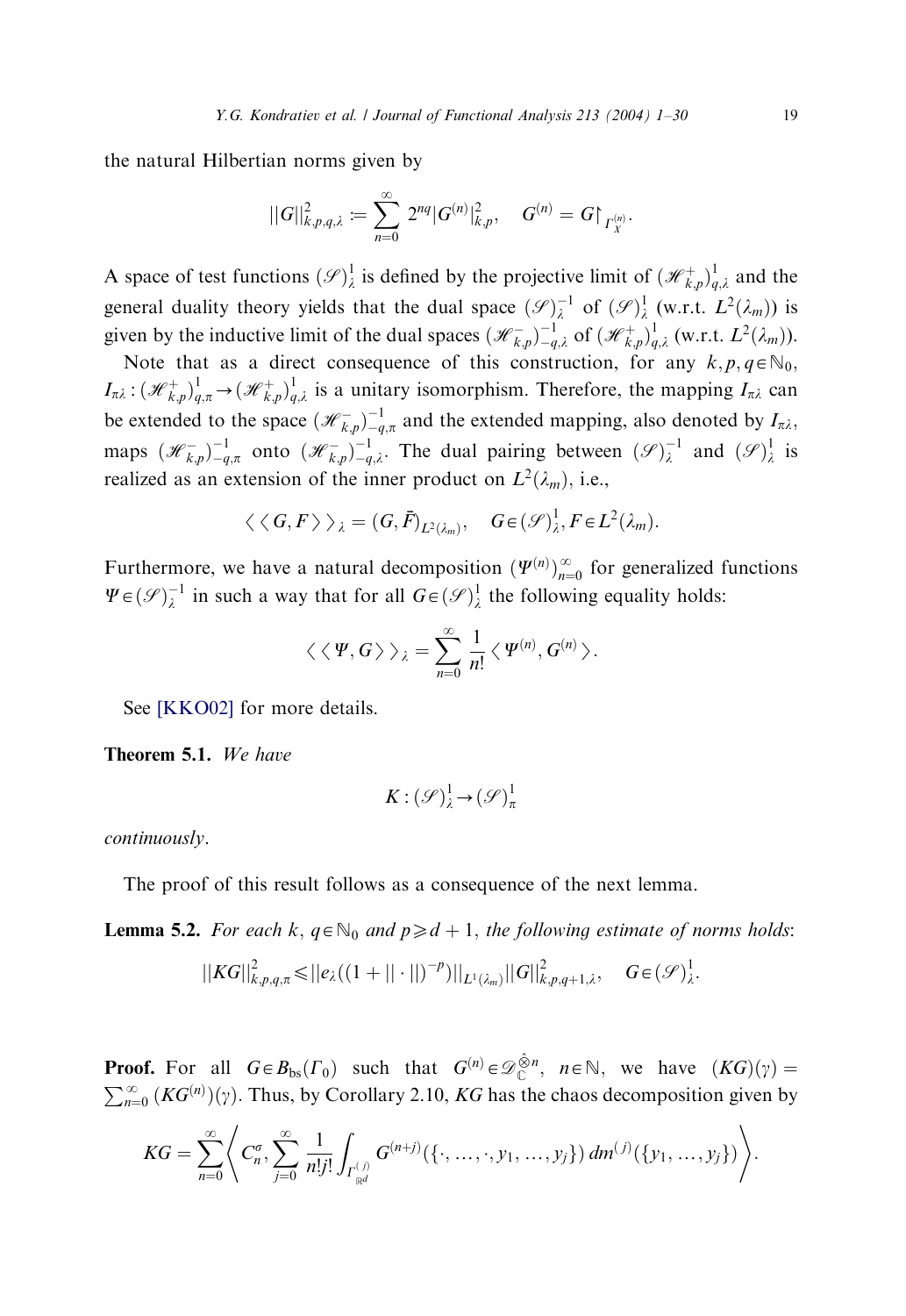the natural Hilbertian norms given by

$$
||G||_{k,p,q,\lambda}^2 := \sum_{n=0}^{\infty} 2^{nq} |G^{(n)}|_{k,p}^2, \quad G^{(n)} = G|_{\Gamma_X^{(n)}}.
$$

A space of test functions  $(\mathscr{S})^1_\lambda$  is defined by the projective limit of  $(\mathscr{H}^+_{k,p})^1_{q,\lambda}$  and the general duality theory yields that the dual space  $(\mathscr{S})_{\lambda}^{-1}$  of  $(\mathscr{S})_{\lambda}^{1}$  (w.r.t.  $L^{2}(\lambda_{m})$ ) is given by the inductive limit of the dual spaces  $(\mathcal{H}_{k,p}^{-})_{-q,\lambda}^{-1}$  of  $(\mathcal{H}_{k,p}^{+})_{q,\lambda}^{1}$  (w.r.t.  $L^{2}(\lambda_{m})$ ).

Note that as a direct consequence of this construction, for any  $k, p, q \in \mathbb{N}_0$ ,  $I_{\pi\lambda}$ :  $(\mathcal{H}_{k,p}^+)_{{q,\pi}}^1 \to (\mathcal{H}_{k,p}^+)_{{q,\lambda}}^1$  is a unitary isomorphism. Therefore, the mapping  $I_{\pi\lambda}$  can be extended to the space  $(\mathcal{H}_{k,p}^{-})_{-q,\pi}^{-1}$  and the extended mapping, also denoted by  $I_{\pi\lambda}$ , maps  $(\mathcal{H}_{k,p}^-)^{-1}_{-q,\pi}$  onto  $(\mathcal{H}_{k,p}^-)^{-1}_{-q,\lambda}$ . The dual pairing between  $(\mathcal{S})^{-1}_{\lambda}$  and  $(\mathcal{S})^1_{\lambda}$  is realized as an extension of the inner product on  $L^2(\lambda_m)$ , i.e.,

$$
\langle \langle G, F \rangle \rangle_{\lambda} = (G, \bar{F})_{L^2(\lambda_m)}, \quad G \in (\mathcal{S})^1_{\lambda}, F \in L^2(\lambda_m).
$$

Furthermore, we have a natural decomposition  $(\Psi^{(n)})_{n=0}^{\infty}$  for generalized functions  $\Psi \in (\mathscr{S})_{\lambda}^{-1}$  in such a way that for all  $G \in (\mathscr{S})_{\lambda}^{1}$  the following equality holds:

$$
\langle \langle \Psi, G \rangle \rangle_{\lambda} = \sum_{n=0}^{\infty} \frac{1}{n!} \langle \Psi^{(n)}, G^{(n)} \rangle.
$$

See [\[KKO02\]](#page-28-0) for more details.

Theorem 5.1. We have

$$
K: (\mathcal{S})^1_\lambda \to (\mathcal{S})^1_\pi
$$

continuously.

The proof of this result follows as a consequence of the next lemma.

**Lemma 5.2.** For each k,  $q \in \mathbb{N}_0$  and  $p \geq d + 1$ , the following estimate of norms holds:

$$
||KG||_{k,p,q,\pi}^{2} \leq ||e_{\lambda}((1+||\cdot||)^{-p})||_{L^{1}(\lambda_{m})}||G||_{k,p,q+1,\lambda}^{2}, \quad G \in (\mathcal{S})_{\lambda}^{1}.
$$

**Proof.** For all  $G \in B_{bs}(\Gamma_0)$  such that  $G^{(n)} \in \mathcal{D}_{\mathbb{C}}^{\hat{\otimes}n}$ ,  $n \in \mathbb{N}$ , we have  $(KG)(\gamma) =$  $\sum_{n=0}^{\infty} (KG^{(n)})(\gamma)$ . Thus, by Corollary 2.10, KG has the chaos decomposition given by

$$
KG = \sum_{n=0}^{\infty} \left\langle C_n^{\sigma}, \sum_{j=0}^{\infty} \frac{1}{n!j!} \int_{\Gamma_{\mathbb{R}^d}^{(j)}} G^{(n+j)}(\{\cdot, \ldots, \cdot, y_1, \ldots, y_j\}) dm^{(j)}(\{y_1, \ldots, y_j\}) \right\rangle.
$$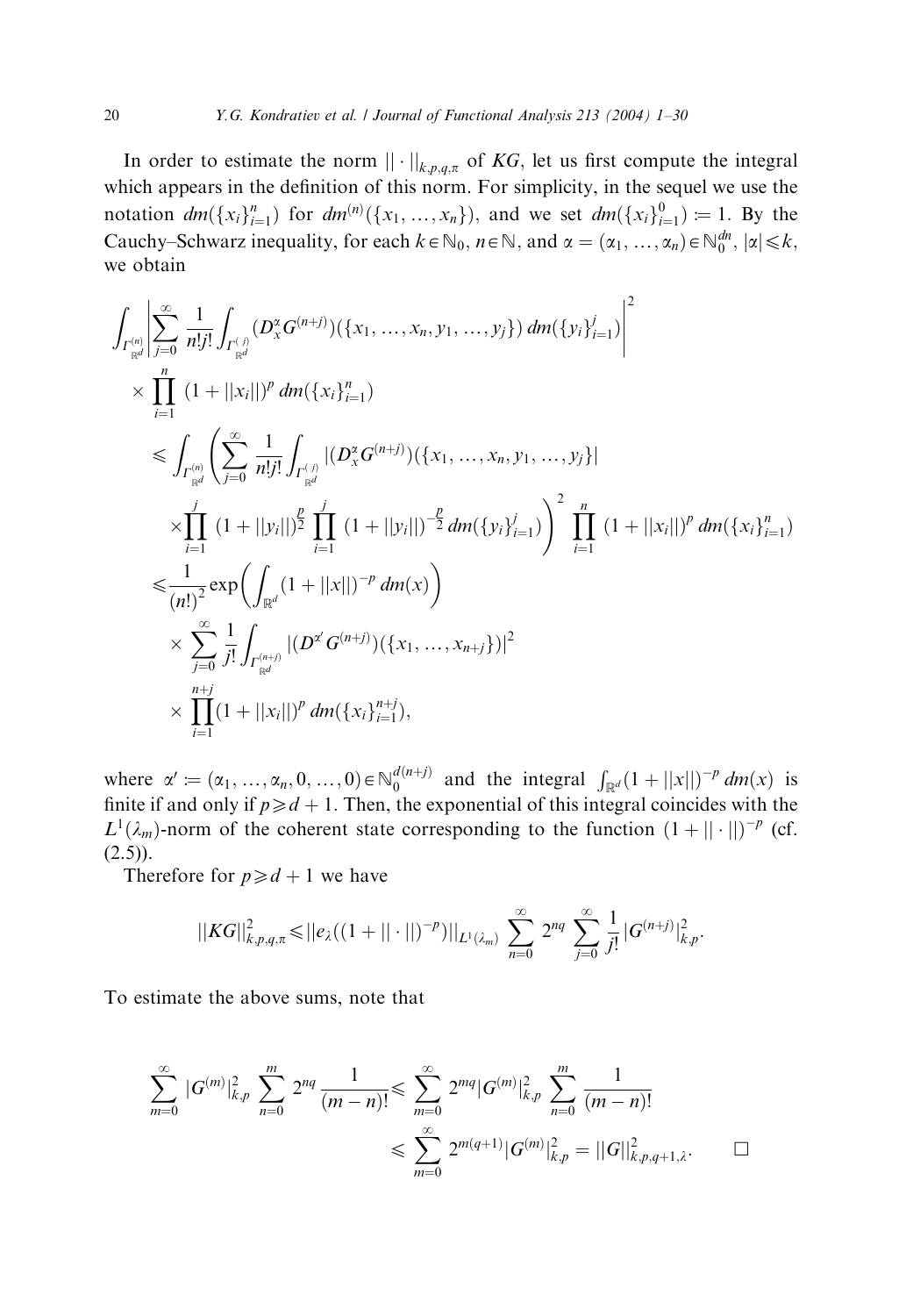In order to estimate the norm  $\|\cdot\|_{k,p,q,\pi}$  of KG, let us first compute the integral which appears in the definition of this norm. For simplicity, in the sequel we use the notation  $dm({x_i}_{i=1}^n)$  for  $dm^{(n)}({x_1},...,x_n)$ , and we set  $dm({x_i}_{i=1}^0) = 1$ . By the Cauchy–Schwarz inequality, for each  $k \in \mathbb{N}_0$ ,  $n \in \mathbb{N}$ , and  $\alpha = (\alpha_1, \dots, \alpha_n) \in \mathbb{N}_0^{dn}$ ,  $|\alpha| \leq k$ , we obtain

$$
\int_{\Gamma_{\mathbb{R}^d}^{(n)}} \left| \sum_{j=0}^{\infty} \frac{1}{n!j!} \int_{\Gamma_{\mathbb{R}^d}^{(j)}} (D_x^{\alpha} G^{(n+j)}) (\{x_1, \ldots, x_n, y_1, \ldots, y_j\}) dm (\{y_i\}_{i=1}^j) \right|^2
$$
\n
$$
\times \prod_{i=1}^n (1+||x_i||)^p dm (\{x_i\}_{i=1}^n)
$$
\n
$$
\leq \int_{\Gamma_{\mathbb{R}^d}^{(n)}} \left( \sum_{j=0}^{\infty} \frac{1}{n!j!} \int_{\Gamma_{\mathbb{R}^d}^{(j)}} |(D_x^{\alpha} G^{(n+j)}) (\{x_1, \ldots, x_n, y_1, \ldots, y_j\})|
$$
\n
$$
\times \prod_{i=1}^j (1+||y_i||)^{\frac{p}{2}} \prod_{i=1}^j (1+||y_i||)^{-\frac{p}{2}} dm (\{y_i\}_{i=1}^j) \right)^2 \prod_{i=1}^n (1+||x_i||)^p dm (\{x_i\}_{i=1}^n)
$$
\n
$$
\leq \frac{1}{(n!)^2} \exp \left( \int_{\mathbb{R}^d} (1+||x||)^{-p} dm(x) \right)
$$
\n
$$
\times \sum_{j=0}^{\infty} \frac{1}{j!} \int_{\Gamma_{\mathbb{R}^d}^{(n+j)}} |(D^{\alpha'} G^{(n+j)}) (\{x_1, \ldots, x_{n+j}\})|^2
$$
\n
$$
\times \prod_{i=1}^{n+j} (1+||x_i||)^p dm (\{x_i\}_{i=1}^{n+j}),
$$

where  $\alpha' := (\alpha_1, \dots, \alpha_n, 0, \dots, 0) \in \mathbb{N}_0^{d(n+j)}$  and the integral  $\int_{\mathbb{R}^d} (1 + ||x||)^{-p} dm(x)$  is finite if and only if  $p \ge d + 1$ . Then, the exponential of this integral coincides with the  $L^1(\lambda_m)$ -norm of the coherent state corresponding to the function  $(1 + ||\cdot||)^{-p}$  (cf.  $(2.5)$ .

Therefore for  $p\geq d+1$  we have

$$
||KG||_{k,p,q,\pi}^{2} \leq ||e_{\lambda}((1+||\cdot||)^{-p})||_{L^{1}(\lambda_{m})} \sum_{n=0}^{\infty} 2^{nq} \sum_{j=0}^{\infty} \frac{1}{j!} |G^{(n+j)}|_{k,p}^{2}.
$$

To estimate the above sums, note that

$$
\sum_{m=0}^{\infty} |G^{(m)}|_{k,p}^2 \sum_{n=0}^m 2^{nq} \frac{1}{(m-n)!} \leq \sum_{m=0}^{\infty} 2^{mq} |G^{(m)}|_{k,p}^2 \sum_{n=0}^m \frac{1}{(m-n)!}
$$
  

$$
\leq \sum_{m=0}^{\infty} 2^{m(q+1)} |G^{(m)}|_{k,p}^2 = ||G||_{k,p,q+1,\lambda}^2.
$$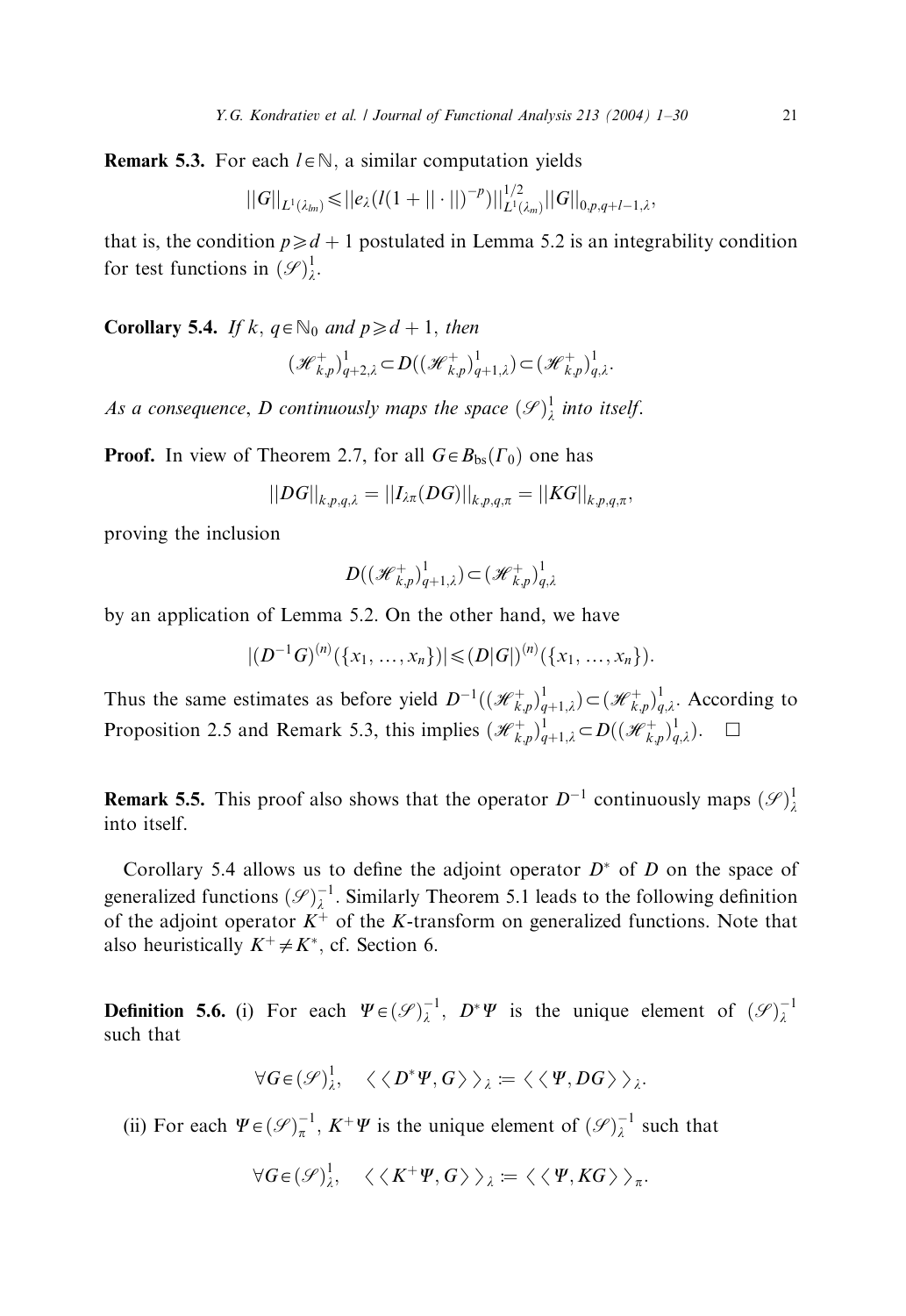**Remark 5.3.** For each  $l \in \mathbb{N}$ , a similar computation yields

$$
||G||_{L^{1}(\lambda_{lm})} \leq ||e_{\lambda}(l(1+||\cdot||)^{-p})||_{L^{1}(\lambda_{m})}^{1/2}||G||_{0,p,q+l-1,\lambda},
$$

that is, the condition  $p\geq d+1$  postulated in Lemma 5.2 is an integrability condition for test functions in  $(\mathscr{S})^1_{\lambda}$ .

**Corollary 5.4.** If k,  $q \in \mathbb{N}_0$  and  $p \geq d+1$ , then

$$
(\mathcal{H}_{k,p}^+)^1_{q+2,\lambda} \subset D((\mathcal{H}_{k,p}^+)^1_{q+1,\lambda}) \subset (\mathcal{H}_{k,p}^+)^1_{q,\lambda}.
$$

As a consequence, D continuously maps the space  $(\mathscr{S})^1_\lambda$  into itself.

**Proof.** In view of Theorem 2.7, for all  $G \in B_{bs}(\Gamma_0)$  one has

$$
||DG||_{k,p,q,\lambda}=||I_{\lambda\pi}(DG)||_{k,p,q,\pi}=||KG||_{k,p,q,\pi},
$$

proving the inclusion

$$
D((\mathcal{H}_{k,p}^+)_{{q+1},\lambda}^1)\subset(\mathcal{H}_{k,p}^+)_{{q,\lambda}}^1
$$

by an application of Lemma 5.2. On the other hand, we have

$$
|(D^{-1}G)^{(n)}(\{x_1,\ldots,x_n\})|\leq (D|G|)^{(n)}(\{x_1,\ldots,x_n\}).
$$

Thus the same estimates as before yield  $D^{-1}((\mathcal{H}_{k,p}^+)^1_{q+1,\lambda}) \subset (\mathcal{H}_{k,p}^+)^1_{q,\lambda}$ . According to Proposition 2.5 and Remark 5.3, this implies  $(\mathcal{H}_{k,p}^+)^1_{q+1,\lambda} \subset D((\mathcal{H}_{k,p}^+)^1_{q,\lambda})$ .  $\square$ 

**Remark 5.5.** This proof also shows that the operator  $D^{-1}$  continuously maps  $(\mathscr{S})^1_{\lambda}$ into itself.

Corollary 5.4 allows us to define the adjoint operator  $D^*$  of D on the space of generalized functions  $(\mathscr{S})_{\lambda}^{-1}$ . Similarly Theorem 5.1 leads to the following definition of the adjoint operator  $K^+$  of the K-transform on generalized functions. Note that also heuristically  $K^+ \neq K^*$ , cf. Section 6.

**Definition 5.6.** (i) For each  $\Psi \in (\mathcal{S})_{\lambda}^{-1}$ ,  $D^* \Psi$  is the unique element of  $(\mathcal{S})_{\lambda}^{-1}$ such that

$$
\forall G \in (\mathscr{S})^1_\lambda, \quad \langle \langle D^* \Psi, G \rangle \rangle_\lambda := \langle \langle \Psi, DG \rangle \rangle_\lambda.
$$

(ii) For each  $\Psi \in (\mathcal{S})_{\pi}^{-1}$ ,  $K^+ \Psi$  is the unique element of  $(\mathcal{S})_{\lambda}^{-1}$  such that

$$
\forall G \in (\mathscr{S})^1_\lambda, \quad \langle \langle K^+ \Psi, G \rangle \rangle_\lambda := \langle \langle \Psi, KG \rangle \rangle_\pi.
$$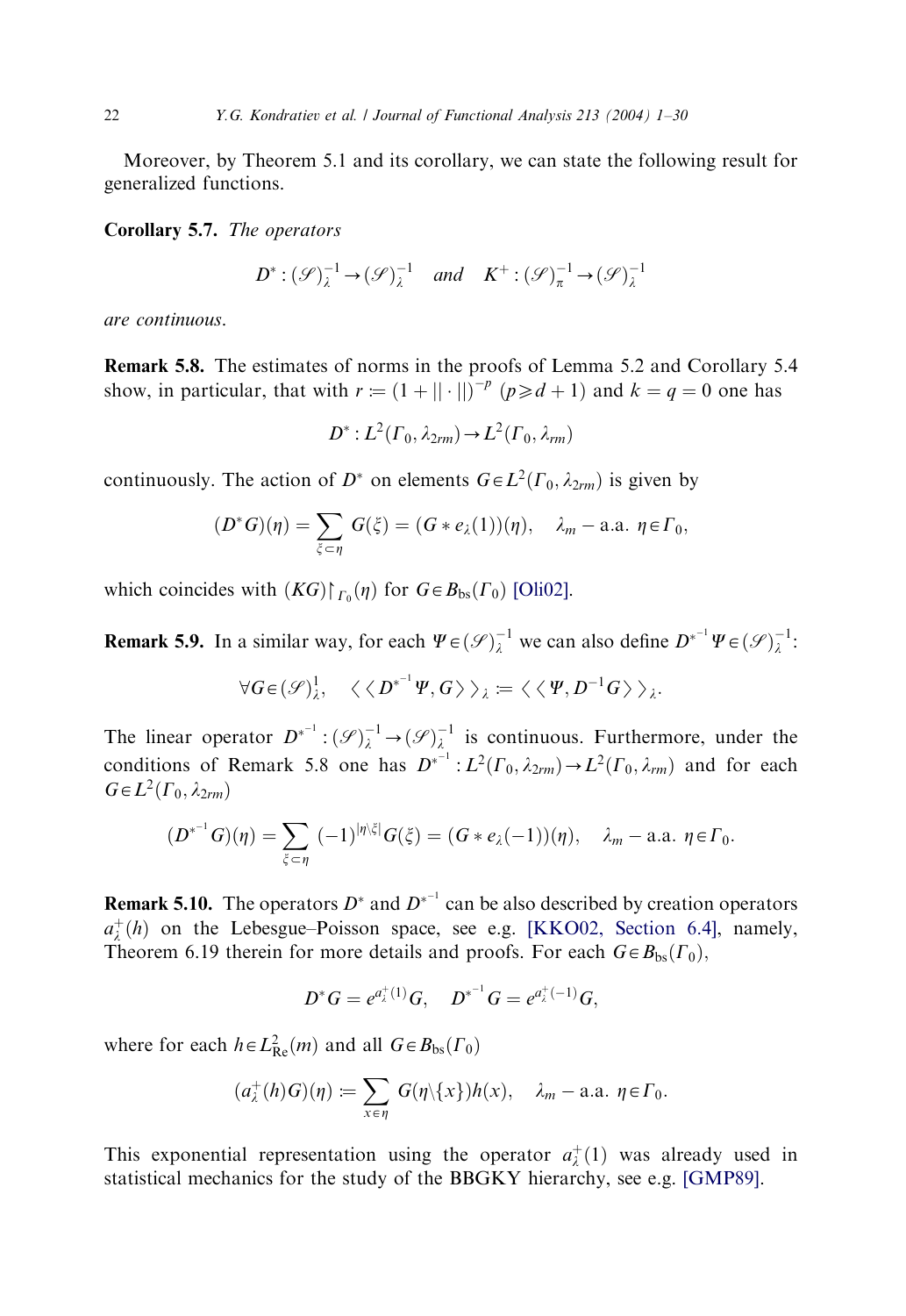Moreover, by Theorem 5.1 and its corollary, we can state the following result for generalized functions.

Corollary 5.7. The operators

$$
D^* : (\mathcal{S})_\lambda^{-1} \to (\mathcal{S})_\lambda^{-1} \quad \text{and} \quad K^+ : (\mathcal{S})_\pi^{-1} \to (\mathcal{S})_\lambda^{-1}
$$

are continuous.

Remark 5.8. The estimates of norms in the proofs of Lemma 5.2 and Corollary 5.4 show, in particular, that with  $r = (1 + || \cdot ||)^{-p}$   $(p \ge d + 1)$  and  $k = q = 0$  one has

$$
D^*: L^2(\Gamma_0, \lambda_{2rm}) \to L^2(\Gamma_0, \lambda_{rm})
$$

continuously. The action of  $D^*$  on elements  $G \in L^2(\Gamma_0, \lambda_{2rm})$  is given by

$$
(D^*G)(\eta)=\sum_{\xi\subset\eta}G(\xi)=(G*e_\lambda(1))(\eta),\quad \lambda_m-\text{a.a. }\eta\in\Gamma_0,
$$

which coincides with  $(KG) \upharpoonright_{\Gamma_0} (\eta)$  for  $G \in B_{bs}(\Gamma_0)$  [\[Oli02\].](#page-29-0)

**Remark 5.9.** In a similar way, for each  $\Psi \in (\mathcal{S})_\lambda^{-1}$  we can also define  $D^{*^{-1}} \Psi \in (\mathcal{S})_\lambda^{-1}$ :

$$
\forall G \in (\mathscr{S})^1_\lambda, \quad \langle \langle D^{*^{-1}} \Psi, G \rangle \rangle_\lambda \coloneqq \langle \langle \Psi, D^{-1} G \rangle \rangle_\lambda.
$$

The linear operator  $D^{*-1}$ :  $(\mathscr{S})_{\lambda}^{-1} \to (\mathscr{S})_{\lambda}^{-1}$  is continuous. Furthermore, under the conditions of Remark 5.8 one has  $D^{*^{-1}}$ :  $L^2(\Gamma_0, \lambda_{2rm}) \rightarrow L^2(\Gamma_0, \lambda_{rm})$  and for each  $G \in L^2(\Gamma_0, \lambda_{2rm})$ 

$$
(D^{*^{-1}}G)(\eta) = \sum_{\xi \subset \eta} (-1)^{|\eta\rangle \xi|} G(\xi) = (G * e_{\lambda}(-1))(\eta), \quad \lambda_m - \text{a.a. } \eta \in \Gamma_0.
$$

**Remark 5.10.** The operators  $D^*$  and  $D^{*-1}$  can be also described by creation operators  $a_{\lambda}^{+}(h)$  on the Lebesgue–Poisson space, see e.g. [\[KKO02, Section 6.4\]](#page-28-0), namely, Theorem 6.19 therein for more details and proofs. For each  $G \in B_{bs}(\Gamma_0)$ ,

$$
D^*G = e^{a_{\lambda}^+(1)}G, \quad D^{*-1}G = e^{a_{\lambda}^+(-1)}G,
$$

where for each  $h \in L^2_{\text{Re}}(m)$  and all  $G \in B_{\text{bs}}(\Gamma_0)$ 

$$
(a_\lambda^+(h)G)(\eta) := \sum_{x \in \eta} G(\eta \setminus \{x\})h(x), \quad \lambda_m - \text{a.a. } \eta \in \Gamma_0.
$$

This exponential representation using the operator  $a_{\lambda}^{+}(1)$  was already used in statistical mechanics for the study of the BBGKY hierarchy, see e.g. [\[GMP89\].](#page-28-0)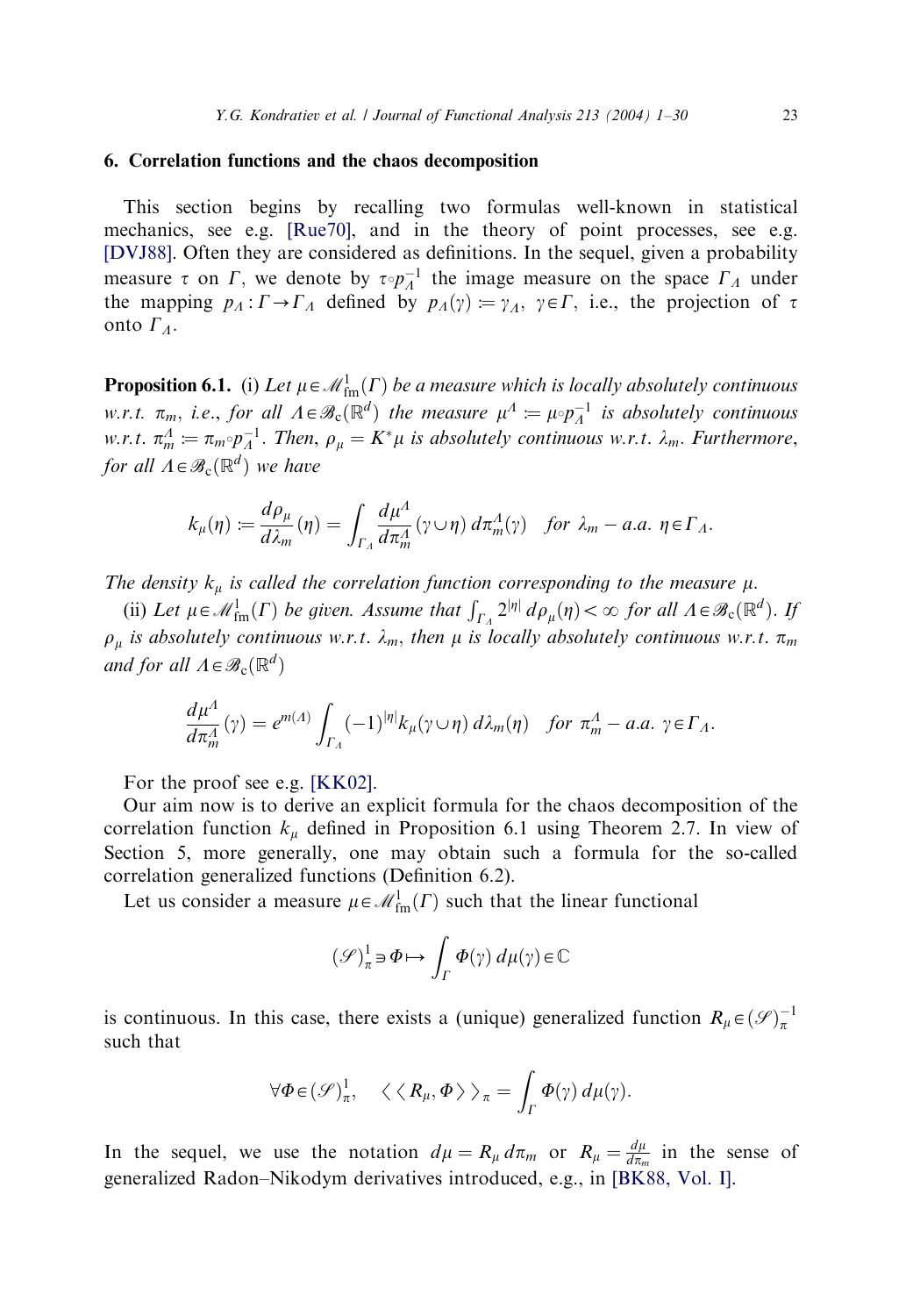## 6. Correlation functions and the chaos decomposition

This section begins by recalling two formulas well-known in statistical mechanics, see e.g. [\[Rue70\]](#page-29-0), and in the theory of point processes, see e.g. [\[DVJ88\].](#page-28-0) Often they are considered as definitions. In the sequel, given a probability measure  $\tau$  on  $\Gamma$ , we denote by  $\tau \circ p_A^{-1}$  the image measure on the space  $\Gamma_A$  under the mapping  $p_A : \Gamma \to \Gamma_A$  defined by  $p_A(\gamma) = \gamma_A$ ,  $\gamma \in \Gamma$ , i.e., the projection of  $\tau$ onto  $\Gamma_{\Lambda}$ .

**Proposition 6.1.** (i) Let  $\mu \in \mathcal{M}_{\text{fm}}^1(\Gamma)$  be a measure which is locally absolutely continuous w.r.t.  $\pi_m$ , i.e., for all  $\Lambda \in \mathcal{B}_c(\mathbb{R}^d)$  the measure  $\mu^A := \mu \circ p_A^{-1}$  is absolutely continuous w.r.t.  $\pi_m^A \coloneqq \pi_m \circ p_A^{-1}$ . Then,  $\rho_\mu = K^* \mu$  is absolutely continuous w.r.t.  $\lambda_m$ . Furthermore, for all  $\Lambda \in \mathscr{B}_c(\mathbb{R}^d)$  we have

$$
k_{\mu}(\eta) := \frac{d\rho_{\mu}}{d\lambda_m}(\eta) = \int_{\Gamma_A} \frac{d\mu^A}{d\pi_m^A}(\gamma \cup \eta) d\pi_m^A(\gamma) \quad \text{for } \lambda_m - a.a. \ \eta \in \Gamma_A.
$$

The density  $k_{\mu}$  is called the correlation function corresponding to the measure  $\mu$ .

(ii) Let  $\mu \in \mathcal{M}^1_{\text{fm}}(\Gamma)$  be given. Assume that  $\int_{\Gamma_A} 2^{|\eta|} d\rho_{\mu}(\eta) < \infty$  for all  $\Lambda \in \mathcal{B}_c(\mathbb{R}^d)$ . If  $\rho_{\mu}$  is absolutely continuous w.r.t.  $\lambda_m$ , then  $\mu$  is locally absolutely continuous w.r.t.  $\pi_m$ and for all  $\Lambda \in \mathcal{B}_c(\mathbb{R}^d)$ 

$$
\frac{d\mu^{\Lambda}}{d\pi_m^{\Lambda}}(\gamma) = e^{m(\Lambda)} \int_{\Gamma_{\Lambda}} (-1)^{|\eta|} k_{\mu}(\gamma \cup \eta) d\lambda_m(\eta) \quad \text{for } \pi_m^{\Lambda} - a.a. \ \gamma \in \Gamma_{\Lambda}.
$$

For the proof see e.g. [\[KK02\]](#page-28-0).

Our aim now is to derive an explicit formula for the chaos decomposition of the correlation function  $k_{\mu}$  defined in Proposition 6.1 using Theorem 2.7. In view of Section 5, more generally, one may obtain such a formula for the so-called correlation generalized functions (Definition 6.2).

Let us consider a measure  $\mu \in \mathcal{M}^1_{\text{fm}}(\Gamma)$  such that the linear functional

$$
(\mathcal{S})^1_{\pi} \ni \Phi \mapsto \int_{\Gamma} \Phi(\gamma) \, d\mu(\gamma) \in \mathbb{C}
$$

is continuous. In this case, there exists a (unique) generalized function  $R_\mu \in (\mathcal{S})_\pi^{-1}$ such that

$$
\forall \Phi \in (\mathscr{S})^1_{\pi}, \quad \langle \langle R_{\mu}, \Phi \rangle \rangle_{\pi} = \int_{\Gamma} \Phi(\gamma) d\mu(\gamma).
$$

In the sequel, we use the notation  $d\mu = R_{\mu} d\pi_{m}$  or  $R_{\mu} = \frac{d\mu}{d\pi_{m}}$  in the sense of generalized Radon–Nikodym derivatives introduced, e.g., in [\[BK88, Vol. I\]](#page-28-0).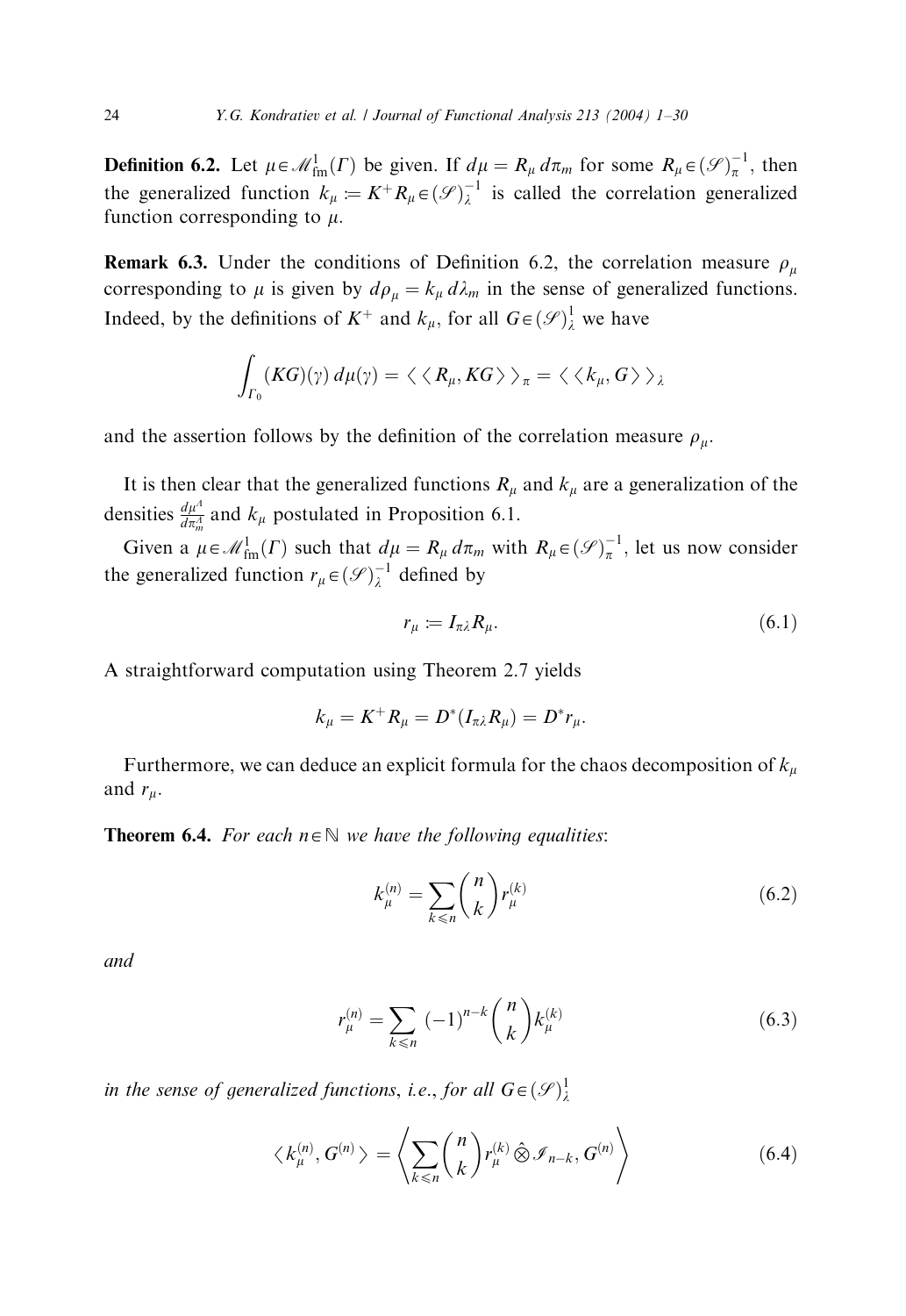**Definition 6.2.** Let  $\mu \in \mathcal{M}_{\text{fm}}^1(\Gamma)$  be given. If  $d\mu = R_\mu d\pi_m$  for some  $R_\mu \in (\mathcal{S})_\pi^{-1}$ , then the generalized function  $k_{\mu} := K^{+} R_{\mu} \in (\mathscr{S})_{\lambda}^{-1}$  is called the correlation generalized function corresponding to  $\mu$ .

**Remark 6.3.** Under the conditions of Definition 6.2, the correlation measure  $\rho_{\mu}$ corresponding to  $\mu$  is given by  $d\rho_{\mu} = k_{\mu} d\lambda_{m}$  in the sense of generalized functions. Indeed, by the definitions of  $K^+$  and  $k_{\mu}$ , for all  $G \in (\mathcal{S})^1_{\lambda}$  we have

$$
\int_{\Gamma_0} (KG)(\gamma) \, d\mu(\gamma) = \langle \langle R_\mu, KG \rangle \rangle_{\pi} = \langle \langle k_\mu, G \rangle \rangle_{\lambda}
$$

and the assertion follows by the definition of the correlation measure  $\rho_{\mu}$ .

It is then clear that the generalized functions  $R_{\mu}$  and  $k_{\mu}$  are a generalization of the densities  $\frac{d\mu^4}{d\pi_m^4}$  and  $k_\mu$  postulated in Proposition 6.1.

Given a  $\mu \in \mathcal{M}^1_{\text{fm}}(\Gamma)$  such that  $d\mu = R_\mu d\pi_m$  with  $R_\mu \in (\mathcal{S})^{-1}_\pi$ , let us now consider the generalized function  $r_{\mu} \in (\mathcal{S})_{\lambda}^{-1}$  defined by

$$
r_{\mu} := I_{\pi\lambda} R_{\mu}.\tag{6.1}
$$

A straightforward computation using Theorem 2.7 yields

$$
k_{\mu}=K^+R_{\mu}=D^*(I_{\pi\lambda}R_{\mu})=D^*r_{\mu}.
$$

Furthermore, we can deduce an explicit formula for the chaos decomposition of  $k_{\mu}$ and  $r_\mu$ .

**Theorem 6.4.** For each  $n \in \mathbb{N}$  we have the following equalities:

$$
k_{\mu}^{(n)} = \sum_{k \le n} {n \choose k} r_{\mu}^{(k)}
$$
 (6.2)

and

$$
r_{\mu}^{(n)} = \sum_{k \le n} (-1)^{n-k} {n \choose k} k_{\mu}^{(k)}
$$
 (6.3)

in the sense of generalized functions, i.e., for all  $G \in (\mathscr{S})^1_\lambda$ 

$$
\langle k_{\mu}^{(n)}, G^{(n)} \rangle = \left\langle \sum_{k \leq n} \binom{n}{k} r_{\mu}^{(k)} \hat{\otimes} \mathcal{I}_{n-k}, G^{(n)} \right\rangle \tag{6.4}
$$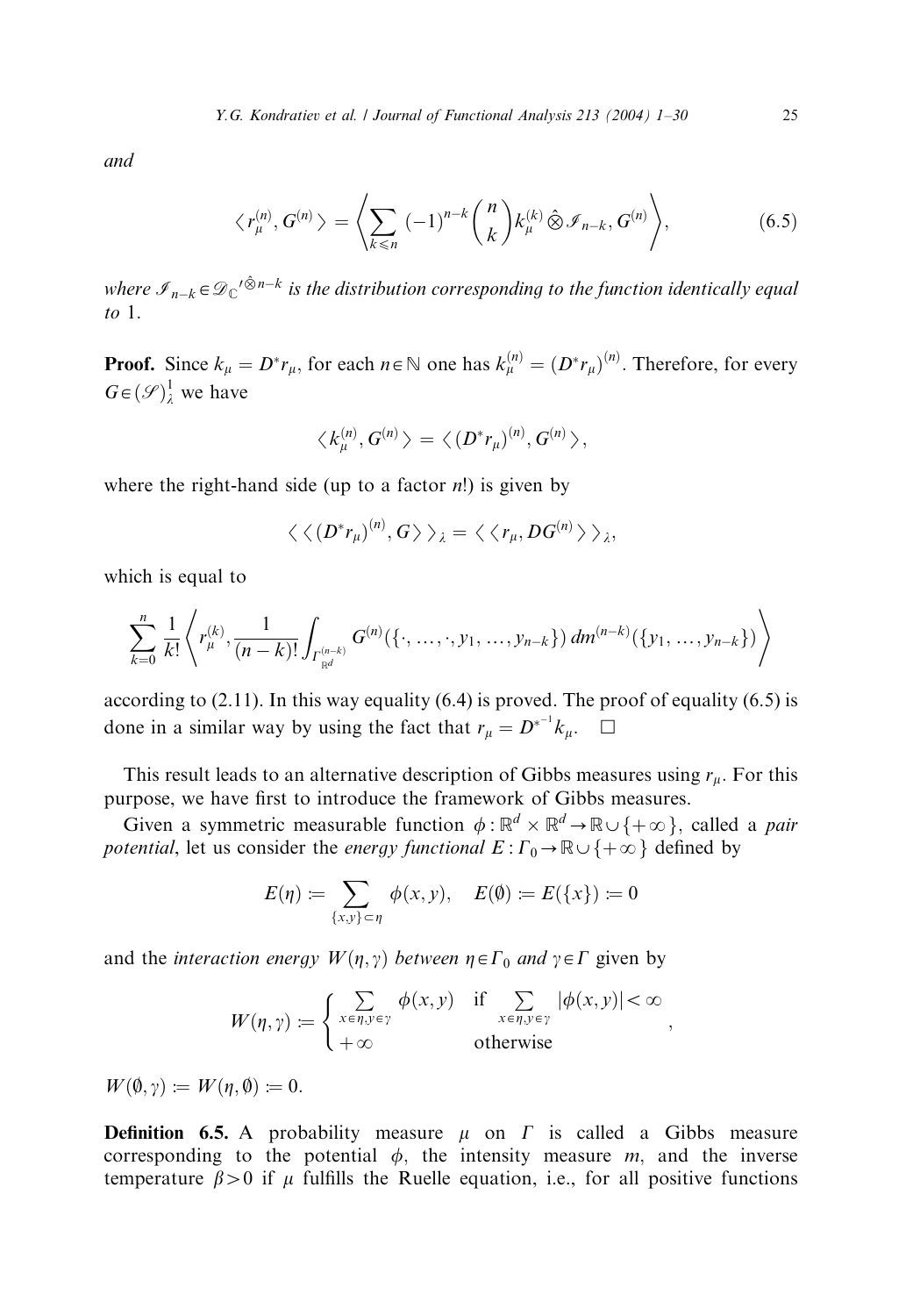and

$$
\langle r_{\mu}^{(n)}, G^{(n)} \rangle = \left\langle \sum_{k \leq n} (-1)^{n-k} {n \choose k} k_{\mu}^{(k)} \hat{\otimes} \mathcal{I}_{n-k}, G^{(n)} \right\rangle, \tag{6.5}
$$

where  $\mathscr{I}_{n-k} \in {\mathscr{D}_\mathbb{C}}'^{\hat{\otimes} n-k}$  is the distribution corresponding to the function identically equal to  $1$ .

**Proof.** Since  $k_{\mu} = D^* r_{\mu}$ , for each  $n \in \mathbb{N}$  one has  $k_{\mu}^{(n)} = (D^* r_{\mu})^{(n)}$ . Therefore, for every  $G \in (\mathcal{S})^1_\lambda$  we have

$$
\langle k_{\mu}^{(n)}, G^{(n)} \rangle = \langle (D^* r_{\mu})^{(n)}, G^{(n)} \rangle,
$$

where the right-hand side (up to a factor  $n!$ ) is given by

$$
\langle \langle (D^*r_\mu)^{(n)}, G \rangle \rangle_{\lambda} = \langle \langle r_\mu, DG^{(n)} \rangle \rangle_{\lambda},
$$

which is equal to

$$
\sum_{k=0}^{n} \frac{1}{k!} \left\langle r_{\mu}^{(k)}, \frac{1}{(n-k)!} \int_{\Gamma_{\mathbb{R}^d}^{(n-k)}} G^{(n)}(\{\cdot, \ldots, \cdot, y_1, \ldots, y_{n-k}\}) dm^{(n-k)}(\{y_1, \ldots, y_{n-k}\}) \right\rangle
$$

according to  $(2.11)$ . In this way equality  $(6.4)$  is proved. The proof of equality  $(6.5)$  is done in a similar way by using the fact that  $r_{\mu} = D^{*^{-1}} k_{\mu}$ .  $\Box$ 

This result leads to an alternative description of Gibbs measures using  $r_{\mu}$ . For this purpose, we have first to introduce the framework of Gibbs measures.

Given a symmetric measurable function  $\phi : \mathbb{R}^d \times \mathbb{R}^d \to \mathbb{R} \cup \{+\infty\}$ , called a *pair* potential, let us consider the energy functional  $E: \Gamma_0 \to \mathbb{R} \cup \{+\infty\}$  defined by

$$
E(\eta) := \sum_{\{x,y\} \subset \eta} \phi(x,y), \quad E(\emptyset) := E(\{x\}) := 0
$$

and the *interaction energy*  $W(\eta, \gamma)$  *between*  $\eta \in \Gamma_0$  *and*  $\gamma \in \Gamma$  given by

$$
W(\eta, \gamma) := \begin{cases} \sum_{x \in \eta, y \in \gamma} \phi(x, y) & \text{if } \sum_{x \in \eta, y \in \gamma} |\phi(x, y)| < \infty \\ +\infty & \text{otherwise} \end{cases}
$$

 $W(\emptyset, \gamma) := W(\eta, \emptyset) := 0.$ 

**Definition 6.5.** A probability measure  $\mu$  on  $\Gamma$  is called a Gibbs measure corresponding to the potential  $\phi$ , the intensity measure m, and the inverse temperature  $\beta > 0$  if  $\mu$  fulfills the Ruelle equation, i.e., for all positive functions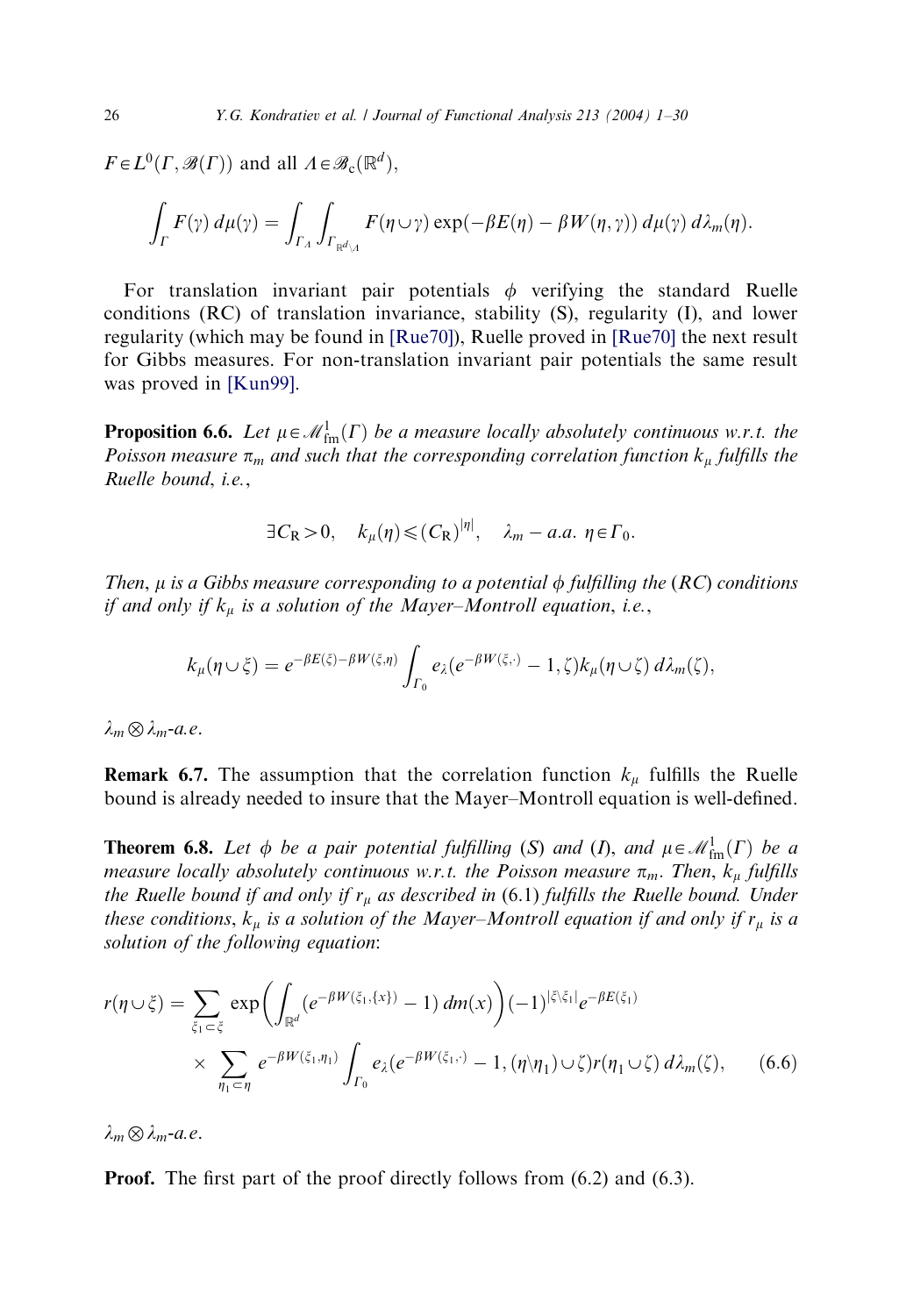$F \in L^0(\Gamma, \mathcal{B}(\Gamma))$  and all  $\Lambda \in \mathcal{B}_c(\mathbb{R}^d)$ ,

$$
\int_{\Gamma} F(\gamma) d\mu(\gamma) = \int_{\Gamma_A} \int_{\Gamma_{\mathbb{R}^d \setminus A}} F(\eta \cup \gamma) \exp(-\beta E(\eta) - \beta W(\eta, \gamma)) d\mu(\gamma) d\lambda_m(\eta).
$$

For translation invariant pair potentials  $\phi$  verifying the standard Ruelle conditions (RC) of translation invariance, stability (S), regularity (I), and lower regularity (which may be found in [\[Rue70\]](#page-29-0)), Ruelle proved in [\[Rue70\]](#page-29-0) the next result for Gibbs measures. For non-translation invariant pair potentials the same result was proved in [\[Kun99\]](#page-28-0).

**Proposition 6.6.** Let  $\mu \in \mathcal{M}_{\text{fm}}^1(\Gamma)$  be a measure locally absolutely continuous w.r.t. the Poisson measure  $\pi_m$  and such that the corresponding correlation function  $k_\mu$  fulfills the Ruelle bound, i.e.,

$$
\exists C_{\mathsf{R}} > 0, \quad k_{\mu}(\eta) \leqslant (C_{\mathsf{R}})^{|\eta|}, \quad \lambda_m - a.a. \ \eta \in \Gamma_0.
$$

Then,  $\mu$  is a Gibbs measure corresponding to a potential  $\phi$  fulfilling the (RC) conditions if and only if  $k_{\mu}$  is a solution of the Mayer–Montroll equation, i.e.,

$$
k_{\mu}(\eta \cup \xi) = e^{-\beta E(\xi) - \beta W(\xi, \eta)} \int_{\Gamma_0} e_{\lambda}(e^{-\beta W(\xi, \cdot)} - 1, \zeta) k_{\mu}(\eta \cup \zeta) d\lambda_m(\zeta),
$$

 $\lambda_m \otimes \lambda_{m}$ -a.e.

**Remark 6.7.** The assumption that the correlation function  $k_{\mu}$  fulfills the Ruelle bound is already needed to insure that the Mayer–Montroll equation is well-defined.

**Theorem 6.8.** Let  $\phi$  be a pair potential fulfilling (S) and (I), and  $\mu \in \mathcal{M}_{\text{fm}}^1(\Gamma)$  be a measure locally absolutely continuous w.r.t. the Poisson measure  $\pi_m$ . Then,  $k_\mu$  fulfills the Ruelle bound if and only if  $r_{\mu}$  as described in (6.1) fulfills the Ruelle bound. Under these conditions,  $k_{\mu}$  is a solution of the Mayer–Montroll equation if and only if  $r_{\mu}$  is a solution of the following equation:

$$
r(\eta \cup \xi) = \sum_{\xi_1 \subset \xi} \exp \left( \int_{\mathbb{R}^d} (e^{-\beta W(\xi_1, \{x\})} - 1) dm(x) \right) (-1)^{|\xi| \xi_1|} e^{-\beta E(\xi_1)}
$$
  
 
$$
\times \sum_{\eta_1 \subset \eta} e^{-\beta W(\xi_1, \eta_1)} \int_{\Gamma_0} e_{\lambda} (e^{-\beta W(\xi_1, \cdot)} - 1, (\eta \setminus \eta_1) \cup \zeta) r(\eta_1 \cup \zeta) d\lambda_m(\zeta), \qquad (6.6)
$$

 $\lambda_m \otimes \lambda_m$ -a.e.

**Proof.** The first part of the proof directly follows from  $(6.2)$  and  $(6.3)$ .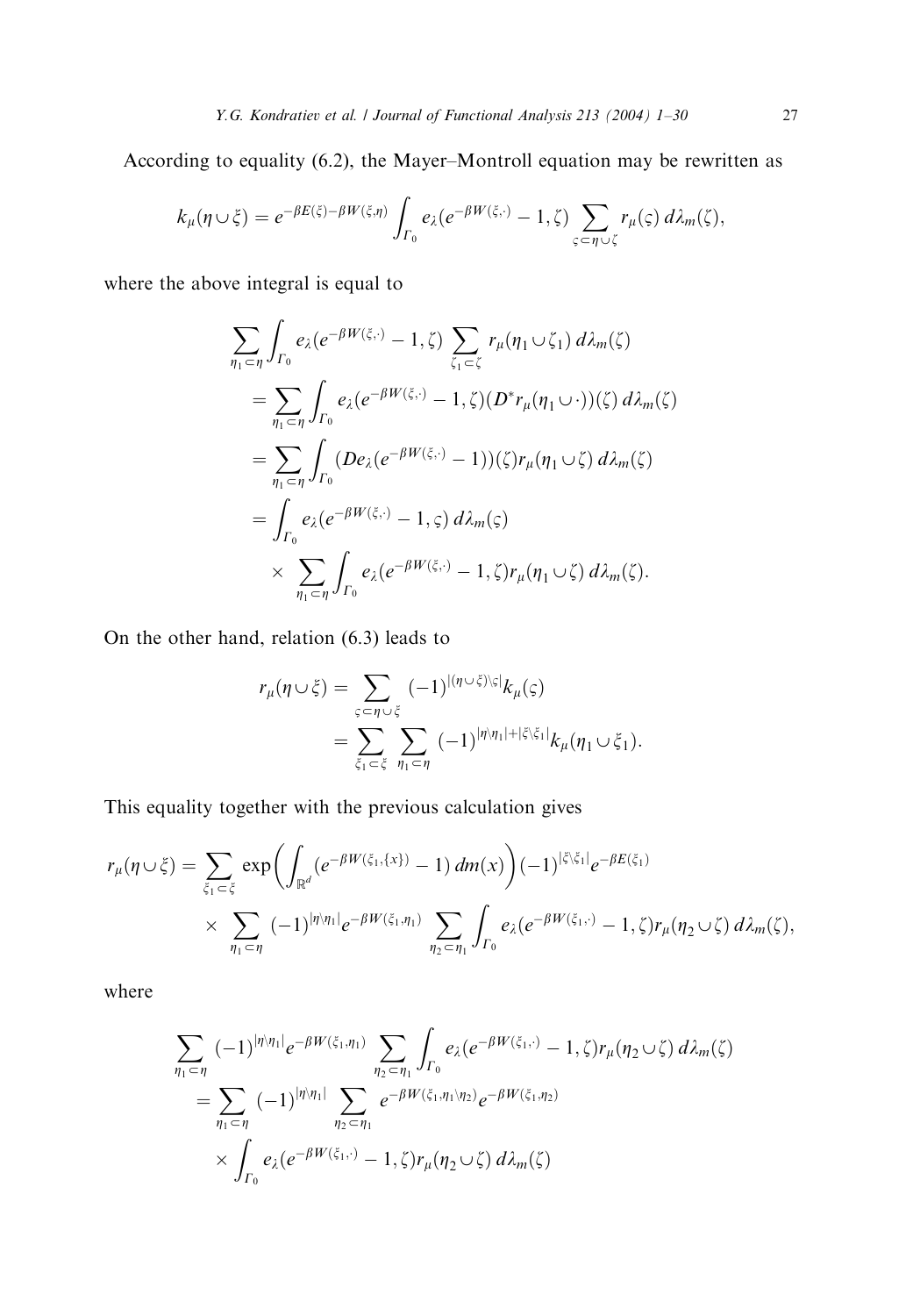According to equality (6.2), the Mayer–Montroll equation may be rewritten as

$$
k_{\mu}(\eta \cup \xi) = e^{-\beta E(\xi) - \beta W(\xi, \eta)} \int_{\Gamma_0} e_{\lambda}(e^{-\beta W(\xi, \cdot)} - 1, \zeta) \sum_{\varsigma \subset \eta \cup \zeta} r_{\mu}(\varsigma) d\lambda_m(\zeta),
$$

where the above integral is equal to

$$
\sum_{\eta_1 \subset \eta} \int_{\Gamma_0} e_{\lambda} (e^{-\beta W(\xi, \cdot)} - 1, \zeta) \sum_{\zeta_1 \subset \zeta} r_{\mu} (\eta_1 \cup \zeta_1) d\lambda_m(\zeta)
$$
  
\n
$$
= \sum_{\eta_1 \subset \eta} \int_{\Gamma_0} e_{\lambda} (e^{-\beta W(\xi, \cdot)} - 1, \zeta) (D^* r_{\mu} (\eta_1 \cup \cdot))(\zeta) d\lambda_m(\zeta)
$$
  
\n
$$
= \sum_{\eta_1 \subset \eta} \int_{\Gamma_0} (De_{\lambda} (e^{-\beta W(\xi, \cdot)} - 1))(\zeta) r_{\mu} (\eta_1 \cup \zeta) d\lambda_m(\zeta)
$$
  
\n
$$
= \int_{\Gamma_0} e_{\lambda} (e^{-\beta W(\xi, \cdot)} - 1, \zeta) d\lambda_m(\zeta)
$$
  
\n
$$
\times \sum_{\eta_1 \subset \eta} \int_{\Gamma_0} e_{\lambda} (e^{-\beta W(\xi, \cdot)} - 1, \zeta) r_{\mu} (\eta_1 \cup \zeta) d\lambda_m(\zeta).
$$

On the other hand, relation (6.3) leads to

$$
r_{\mu}(\eta \cup \xi) = \sum_{\zeta \subset \eta \cup \xi} (-1)^{|\eta \cup \xi\rangle\langle \zeta|} k_{\mu}(\zeta)
$$
  
= 
$$
\sum_{\xi_1 \subset \xi} \sum_{\eta_1 \subset \eta} (-1)^{|\eta\rangle\eta_1| + |\xi\rangle\langle \xi_1|} k_{\mu}(\eta_1 \cup \xi_1).
$$

This equality together with the previous calculation gives

$$
r_{\mu}(\eta \cup \xi) = \sum_{\xi_1 \subset \xi} \exp \biggl( \int_{\mathbb{R}^d} (e^{-\beta W(\xi_1, \{x\})} - 1) dm(x) \biggr) (-1)^{|\xi \setminus \xi_1|} e^{-\beta E(\xi_1)}
$$
  
 
$$
\times \sum_{\eta_1 \subset \eta} (-1)^{|\eta \setminus \eta_1|} e^{-\beta W(\xi_1, \eta_1)} \sum_{\eta_2 \subset \eta_1} \int_{\Gamma_0} e_{\lambda} (e^{-\beta W(\xi_1, \cdot)} - 1, \zeta) r_{\mu}(\eta_2 \cup \zeta) d\lambda_m(\zeta),
$$

where

$$
\sum_{\eta_1 \subset \eta} (-1)^{|\eta \setminus \eta_1|} e^{-\beta W(\xi_1, \eta_1)} \sum_{\eta_2 \subset \eta_1} \int_{\Gamma_0} e_{\lambda} (e^{-\beta W(\xi_1, \cdot)} - 1, \zeta) r_{\mu} (\eta_2 \cup \zeta) d\lambda_m(\zeta)
$$
  
= 
$$
\sum_{\eta_1 \subset \eta} (-1)^{|\eta \setminus \eta_1|} \sum_{\eta_2 \subset \eta_1} e^{-\beta W(\xi_1, \eta_1 \setminus \eta_2)} e^{-\beta W(\xi_1, \eta_2)}
$$
  

$$
\times \int_{\Gamma_0} e_{\lambda} (e^{-\beta W(\xi_1, \cdot)} - 1, \zeta) r_{\mu} (\eta_2 \cup \zeta) d\lambda_m(\zeta)
$$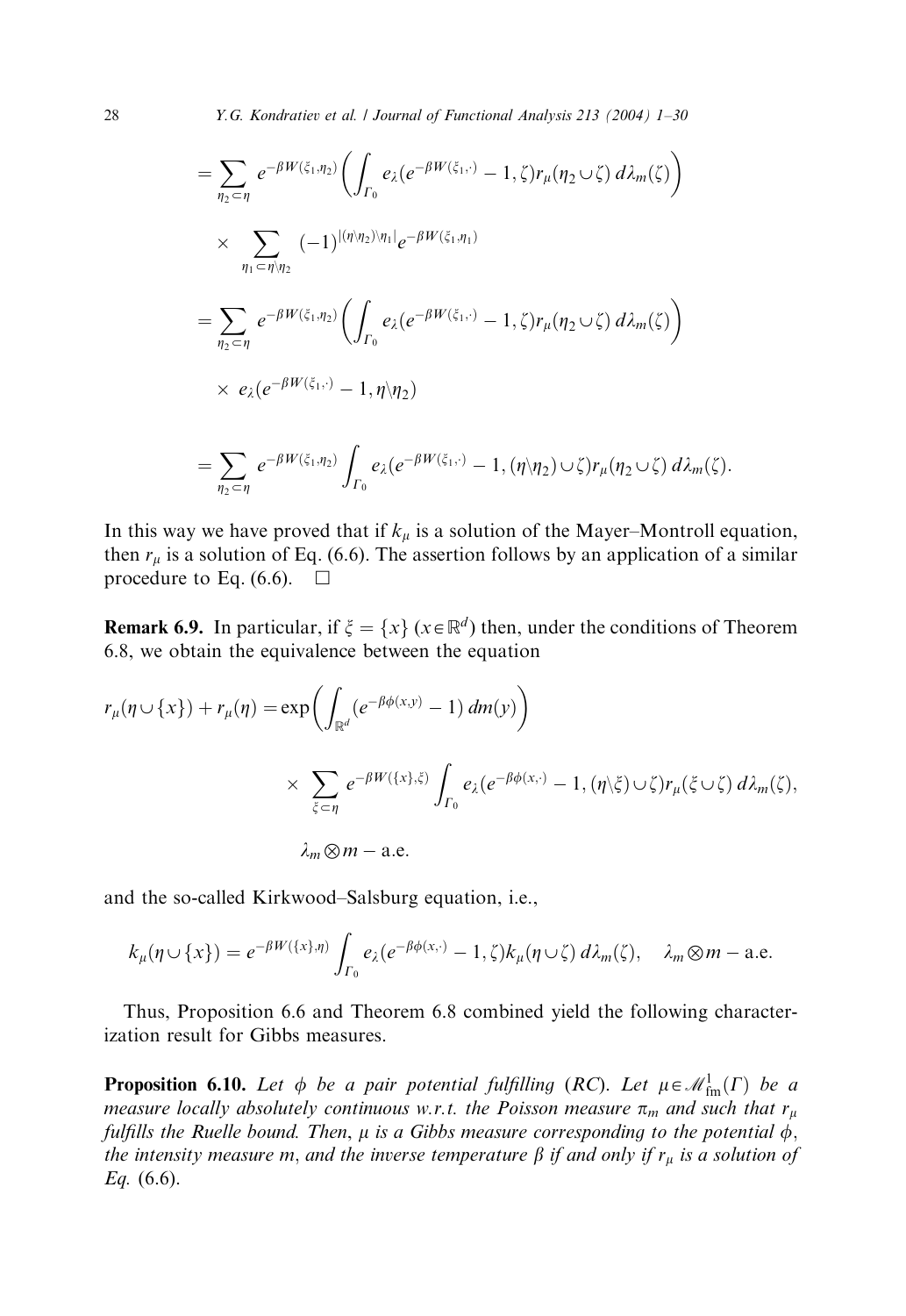28 Y.G. Kondratiev et al. *| Journal of Functional Analysis 213 (2004) 1–30* 

$$
= \sum_{\eta_2 \subset \eta} e^{-\beta W(\xi_1, \eta_2)} \left( \int_{\Gamma_0} e_{\lambda} (e^{-\beta W(\xi_1, \cdot)} - 1, \zeta) r_{\mu} (\eta_2 \cup \zeta) d\lambda_m(\zeta) \right)
$$
  
\n
$$
\times \sum_{\eta_1 \subset \eta \setminus \eta_2} (-1)^{ |(\eta \setminus \eta_2) \setminus \eta_1|} e^{-\beta W(\xi_1, \eta_1)}
$$
  
\n
$$
= \sum_{\eta_2 \subset \eta} e^{-\beta W(\xi_1, \eta_2)} \left( \int_{\Gamma_0} e_{\lambda} (e^{-\beta W(\xi_1, \cdot)} - 1, \zeta) r_{\mu} (\eta_2 \cup \zeta) d\lambda_m(\zeta) \right)
$$
  
\n
$$
\times e_{\lambda} (e^{-\beta W(\xi_1, \cdot)} - 1, \eta \setminus \eta_2)
$$
  
\n
$$
= \sum_{\eta_2 \subset \eta} e^{-\beta W(\xi_1, \eta_2)} \int_{\Gamma_0} e_{\lambda} (e^{-\beta W(\xi_1, \cdot)} - 1, (\eta \setminus \eta_2) \cup \zeta) r_{\mu} (\eta_2 \cup \zeta) d\lambda_m(\zeta).
$$

In this way we have proved that if  $k_{\mu}$  is a solution of the Mayer–Montroll equation, then  $r_{\mu}$  is a solution of Eq. (6.6). The assertion follows by an application of a similar procedure to Eq. (6.6).  $\Box$ 

**Remark 6.9.** In particular, if  $\xi = \{x\}$  ( $x \in \mathbb{R}^d$ ) then, under the conditions of Theorem 6.8, we obtain the equivalence between the equation

$$
r_{\mu}(\eta \cup \{x\}) + r_{\mu}(\eta) = \exp\left(\int_{\mathbb{R}^d} (e^{-\beta \phi(x,y)} - 1) dm(y)\right)
$$
  
\$\times \sum\_{\xi \subset \eta} e^{-\beta W(\{x\},\xi)} \int\_{\Gamma\_0} e\_{\lambda}(e^{-\beta \phi(x,\cdot)} - 1, (\eta \setminus \xi) \cup \zeta) r\_{\mu}(\xi \cup \zeta) d\lambda\_m(\zeta)\$,  
\$\lambda\_m \otimes m - \text{a.e.}\$

and the so-called Kirkwood–Salsburg equation, i.e.,

$$
k_{\mu}(\eta \cup \{x\}) = e^{-\beta W(\{x\},\eta)} \int_{\Gamma_0} e_{\lambda}(e^{-\beta \phi(x,\cdot)} - 1, \zeta) k_{\mu}(\eta \cup \zeta) d\lambda_m(\zeta), \quad \lambda_m \otimes m - \text{a.e.}
$$

Thus, Proposition 6.6 and Theorem 6.8 combined yield the following characterization result for Gibbs measures.

**Proposition 6.10.** Let  $\phi$  be a pair potential fulfilling (RC). Let  $\mu \in \mathcal{M}_{\text{fm}}^1(\Gamma)$  be a measure locally absolutely continuous w.r.t. the Poisson measure  $\pi_m$  and such that  $r_u$ fulfills the Ruelle bound. Then,  $\mu$  is a Gibbs measure corresponding to the potential  $\dot{\phi}$ , the intensity measure m, and the inverse temperature  $\beta$  if and only if  $r_{\mu}$  is a solution of Eq.  $(6.6)$ .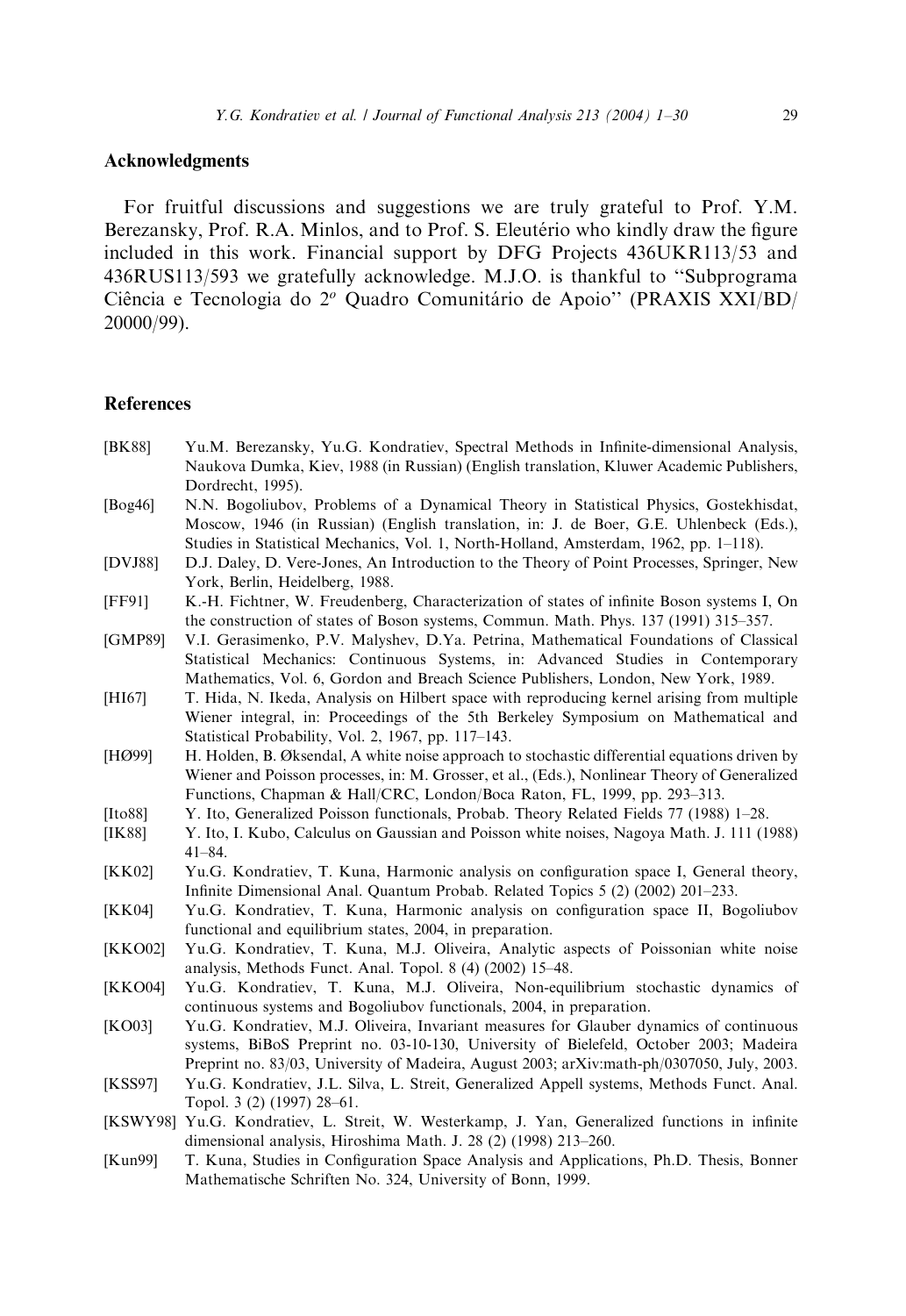## <span id="page-28-0"></span>Acknowledgments

For fruitful discussions and suggestions we are truly grateful to Prof. Y.M. Berezansky, Prof. R.A. Minlos, and to Prof. S. Eleutério who kindly draw the figure included in this work. Financial support by DFG Projects 436UKR113/53 and 436RUS113/593 we gratefully acknowledge. M.J.O. is thankful to ''Subprograma Ciência e Tecnologia do 2<sup>o</sup> Quadro Comunitário de Apoio" (PRAXIS XXI/BD/ 20000/99).

## References

- [BK88] Yu.M. Berezansky, Yu.G. Kondratiev, Spectral Methods in Infinite-dimensional Analysis, Naukova Dumka, Kiev, 1988 (in Russian) (English translation, Kluwer Academic Publishers, Dordrecht, 1995).
- [Bog46] N.N. Bogoliubov, Problems of a Dynamical Theory in Statistical Physics, Gostekhisdat, Moscow, 1946 (in Russian) (English translation, in: J. de Boer, G.E. Uhlenbeck (Eds.), Studies in Statistical Mechanics, Vol. 1, North-Holland, Amsterdam, 1962, pp. 1–118).
- [DVJ88] D.J. Daley, D. Vere-Jones, An Introduction to the Theory of Point Processes, Springer, New York, Berlin, Heidelberg, 1988.
- [FF91] K.-H. Fichtner, W. Freudenberg, Characterization of states of infinite Boson systems I, On the construction of states of Boson systems, Commun. Math. Phys. 137 (1991) 315–357.
- [GMP89] V.I. Gerasimenko, P.V. Malyshev, D.Ya. Petrina, Mathematical Foundations of Classical Statistical Mechanics: Continuous Systems, in: Advanced Studies in Contemporary Mathematics, Vol. 6, Gordon and Breach Science Publishers, London, New York, 1989.
- [HI67] T. Hida, N. Ikeda, Analysis on Hilbert space with reproducing kernel arising from multiple Wiener integral, in: Proceedings of the 5th Berkeley Symposium on Mathematical and Statistical Probability, Vol. 2, 1967, pp. 117–143.
- [HØ99] H. Holden, B. Øksendal, A white noise approach to stochastic differential equations driven by Wiener and Poisson processes, in: M. Grosser, et al., (Eds.), Nonlinear Theory of Generalized Functions, Chapman & Hall/CRC, London/Boca Raton, FL, 1999, pp. 293–313.
- [Ito88] Y. Ito, Generalized Poisson functionals, Probab. Theory Related Fields 77 (1988) 1–28.
- [IK88] Y. Ito, I. Kubo, Calculus on Gaussian and Poisson white noises, Nagoya Math. J. 111 (1988) 41–84.
- [KK02] Yu.G. Kondratiev, T. Kuna, Harmonic analysis on configuration space I, General theory, Infinite Dimensional Anal. Quantum Probab. Related Topics 5 (2) (2002) 201–233.
- [KK04] Yu.G. Kondratiev, T. Kuna, Harmonic analysis on configuration space II, Bogoliubov functional and equilibrium states, 2004, in preparation.
- [KKO02] Yu.G. Kondratiev, T. Kuna, M.J. Oliveira, Analytic aspects of Poissonian white noise analysis, Methods Funct. Anal. Topol. 8 (4) (2002) 15–48.
- [KKO04] Yu.G. Kondratiev, T. Kuna, M.J. Oliveira, Non-equilibrium stochastic dynamics of continuous systems and Bogoliubov functionals, 2004, in preparation.
- [KO03] Yu.G. Kondratiev, M.J. Oliveira, Invariant measures for Glauber dynamics of continuous systems, BiBoS Preprint no. 03-10-130, University of Bielefeld, October 2003; Madeira Preprint no. 83/03, University of Madeira, August 2003; arXiv:math-ph/0307050, July, 2003.
- [KSS97] Yu.G. Kondratiev, J.L. Silva, L. Streit, Generalized Appell systems, Methods Funct. Anal. Topol. 3 (2) (1997) 28–61.
- [KSWY98] Yu.G. Kondratiev, L. Streit, W. Westerkamp, J. Yan, Generalized functions in infinite dimensional analysis, Hiroshima Math. J. 28 (2) (1998) 213–260.
- [Kun99] T. Kuna, Studies in Configuration Space Analysis and Applications, Ph.D. Thesis, Bonner Mathematische Schriften No. 324, University of Bonn, 1999.